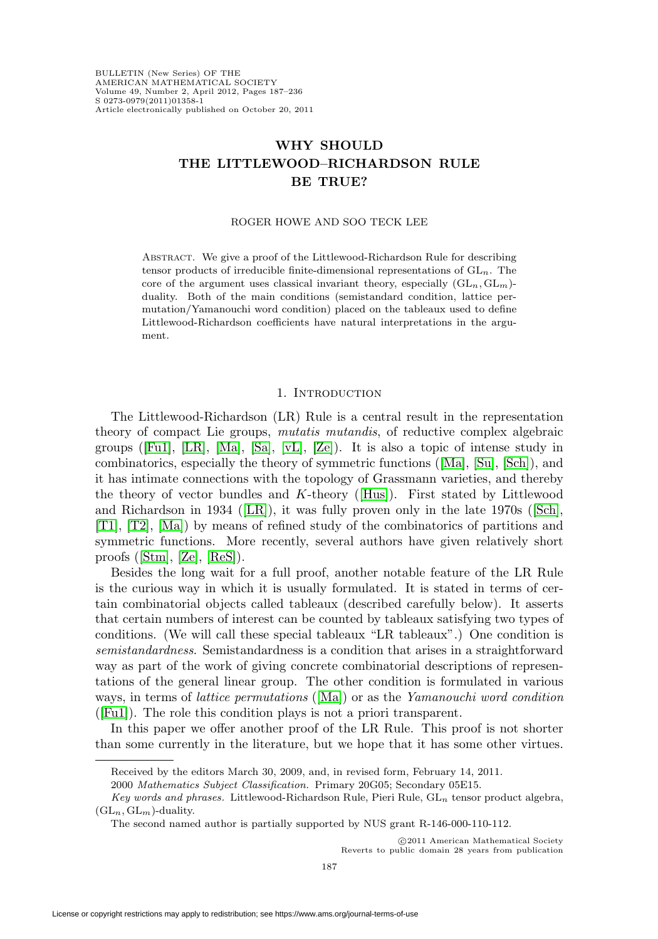# **WHY SHOULD THE LITTLEWOOD–RICHARDSON RULE BE TRUE?**

#### ROGER HOWE AND SOO TECK LEE

Abstract. We give a proof of the Littlewood-Richardson Rule for describing tensor products of irreducible finite-dimensional representations of  $GL_n$ . The core of the argument uses classical invariant theory, especially  $(GL_n, GL_m)$ duality. Both of the main conditions (semistandard condition, lattice permutation/Yamanouchi word condition) placed on the tableaux used to define Littlewood-Richardson coefficients have natural interpretations in the argument.

### 1. INTRODUCTION

The Littlewood-Richardson (LR) Rule is a central result in the representation theory of compact Lie groups, mutatis mutandis, of reductive complex algebraic groups ( $[F\text{u1}]$ ,  $[LR]$ ,  $[Ma]$ ,  $[Sa]$ ,  $[vL]$ ,  $[Ze]$ ). It is also a topic of intense study in combinatorics, especially the theory of symmetric functions ([\[Ma\]](#page-48-1), [\[Su\]](#page-48-3), [\[Sch\]](#page-48-4)), and it has intimate connections with the topology of Grassmann varieties, and thereby the theory of vector bundles and  $K$ -theory ([\[Hus\]](#page-47-0)). First stated by Littlewood and Richardson in 1934 ([\[LR\]](#page-48-0)), it was fully proven only in the late 1970s ([\[Sch\]](#page-48-4), [\[T1\]](#page-48-5), [\[T2\]](#page-49-2), [\[Ma\]](#page-48-1)) by means of refined study of the combinatorics of partitions and symmetric functions. More recently, several authors have given relatively short proofs ([\[Stm\]](#page-48-6), [\[Ze\]](#page-49-1), [\[ReS\]](#page-48-7)).

Besides the long wait for a full proof, another notable feature of the LR Rule is the curious way in which it is usually formulated. It is stated in terms of certain combinatorial objects called tableaux (described carefully below). It asserts that certain numbers of interest can be counted by tableaux satisfying two types of conditions. (We will call these special tableaux "LR tableaux".) One condition is semistandardness. Semistandardness is a condition that arises in a straightforward way as part of the work of giving concrete combinatorial descriptions of representations of the general linear group. The other condition is formulated in various ways, in terms of lattice permutations ([\[Ma\]](#page-48-1)) or as the Yamanouchi word condition ([\[Fu1\]](#page-46-0)). The role this condition plays is not a priori transparent.

In this paper we offer another proof of the LR Rule. This proof is not shorter than some currently in the literature, but we hope that it has some other virtues.

-c 2011 American Mathematical Society Reverts to public domain 28 years from publication

Received by the editors March 30, 2009, and, in revised form, February 14, 2011.

<sup>2000</sup> Mathematics Subject Classification. Primary 20G05; Secondary 05E15.

Key words and phrases. Littlewood-Richardson Rule, Pieri Rule,  $GL_n$  tensor product algebra,  $(GL_n, GL_m)$ -duality.

The second named author is partially supported by NUS grant R-146-000-110-112.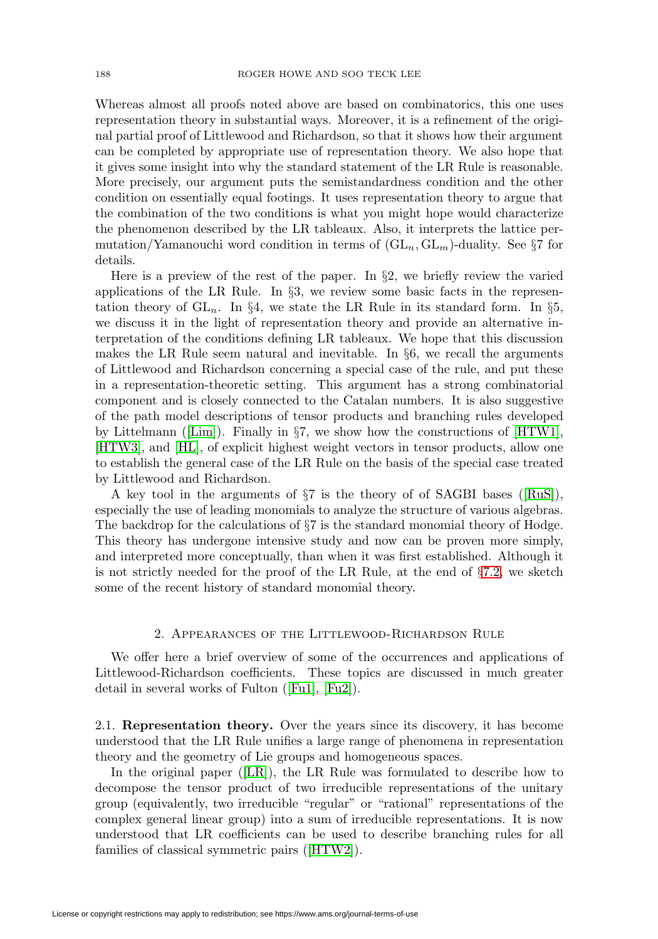Whereas almost all proofs noted above are based on combinatorics, this one uses representation theory in substantial ways. Moreover, it is a refinement of the original partial proof of Littlewood and Richardson, so that it shows how their argument can be completed by appropriate use of representation theory. We also hope that it gives some insight into why the standard statement of the LR Rule is reasonable. More precisely, our argument puts the semistandardness condition and the other condition on essentially equal footings. It uses representation theory to argue that the combination of the two conditions is what you might hope would characterize the phenomenon described by the LR tableaux. Also, it interprets the lattice permutation/Yamanouchi word condition in terms of  $(GL_n, GL_m)$ -duality. See §7 for details.

Here is a preview of the rest of the paper. In §2, we briefly review the varied applications of the LR Rule. In §3, we review some basic facts in the representation theory of  $GL_n$ . In §4, we state the LR Rule in its standard form. In §5, we discuss it in the light of representation theory and provide an alternative interpretation of the conditions defining LR tableaux. We hope that this discussion makes the LR Rule seem natural and inevitable. In §6, we recall the arguments of Littlewood and Richardson concerning a special case of the rule, and put these in a representation-theoretic setting. This argument has a strong combinatorial component and is closely connected to the Catalan numbers. It is also suggestive of the path model descriptions of tensor products and branching rules developed by Littelmann ([\[Lim\]](#page-48-8)). Finally in §7, we show how the constructions of [\[HTW1\]](#page-47-1), [\[HTW3\]](#page-47-2), and [\[HL\]](#page-47-3), of explicit highest weight vectors in tensor products, allow one to establish the general case of the LR Rule on the basis of the special case treated by Littlewood and Richardson.

A key tool in the arguments of §7 is the theory of of SAGBI bases ([\[RuS\]](#page-48-9)), especially the use of leading monomials to analyze the structure of various algebras. The backdrop for the calculations of  $\S7$  is the standard monomial theory of Hodge. This theory has undergone intensive study and now can be proven more simply, and interpreted more conceptually, than when it was first established. Although it is not strictly needed for the proof of the LR Rule, at the end of  $\S7.2$ , we sketch some of the recent history of standard monomial theory.

# 2. Appearances of the Littlewood-Richardson Rule

We offer here a brief overview of some of the occurrences and applications of Littlewood-Richardson coefficients. These topics are discussed in much greater detail in several works of Fulton ([\[Fu1\]](#page-46-0), [\[Fu2\]](#page-46-1)).

2.1. **Representation theory.** Over the years since its discovery, it has become understood that the LR Rule unifies a large range of phenomena in representation theory and the geometry of Lie groups and homogeneous spaces.

In the original paper ([\[LR\]](#page-48-0)), the LR Rule was formulated to describe how to decompose the tensor product of two irreducible representations of the unitary group (equivalently, two irreducible "regular" or "rational" representations of the complex general linear group) into a sum of irreducible representations. It is now understood that LR coefficients can be used to describe branching rules for all families of classical symmetric pairs ([\[HTW2\]](#page-47-4)).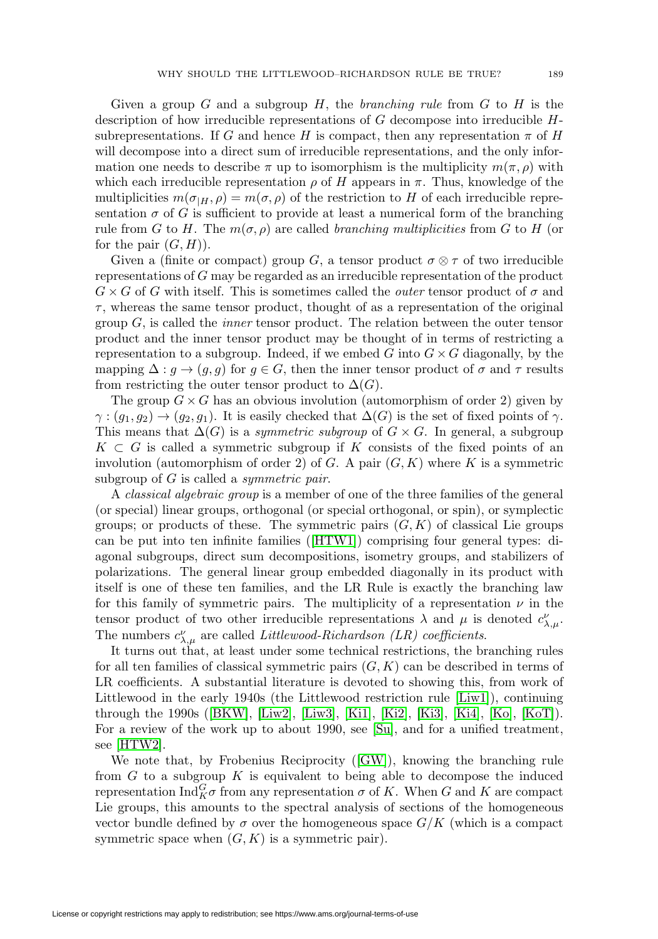Given a group G and a subgroup H, the branching rule from  $G$  to H is the description of how irreducible representations of  $G$  decompose into irreducible  $H$ subrepresentations. If G and hence H is compact, then any representation  $\pi$  of H will decompose into a direct sum of irreducible representations, and the only information one needs to describe  $\pi$  up to isomorphism is the multiplicity  $m(\pi, \rho)$  with which each irreducible representation  $\rho$  of H appears in  $\pi$ . Thus, knowledge of the multiplicities  $m(\sigma_{H}, \rho) = m(\sigma, \rho)$  of the restriction to H of each irreducible representation  $\sigma$  of G is sufficient to provide at least a numerical form of the branching rule from G to H. The  $m(\sigma, \rho)$  are called *branching multiplicities* from G to H (or for the pair  $(G, H)$ .

Given a (finite or compact) group G, a tensor product  $\sigma \otimes \tau$  of two irreducible representations of G may be regarded as an irreducible representation of the product  $G \times G$  of G with itself. This is sometimes called the *outer* tensor product of  $\sigma$  and  $\tau$ , whereas the same tensor product, thought of as a representation of the original group  $G$ , is called the *inner* tensor product. The relation between the outer tensor product and the inner tensor product may be thought of in terms of restricting a representation to a subgroup. Indeed, if we embed G into  $G \times G$  diagonally, by the mapping  $\Delta: g \to (g, g)$  for  $g \in G$ , then the inner tensor product of  $\sigma$  and  $\tau$  results from restricting the outer tensor product to  $\Delta(G)$ .

The group  $G \times G$  has an obvious involution (automorphism of order 2) given by  $\gamma:(g_1,g_2)\to(g_2,g_1)$ . It is easily checked that  $\Delta(G)$  is the set of fixed points of  $\gamma$ . This means that  $\Delta(G)$  is a *symmetric subgroup* of  $G \times G$ . In general, a subgroup  $K \subset G$  is called a symmetric subgroup if K consists of the fixed points of an involution (automorphism of order 2) of G. A pair  $(G, K)$  where K is a symmetric subgroup of  $G$  is called a *symmetric pair*.

A *classical algebraic group* is a member of one of the three families of the general (or special) linear groups, orthogonal (or special orthogonal, or spin), or symplectic groups; or products of these. The symmetric pairs  $(G, K)$  of classical Lie groups can be put into ten infinite families ([\[HTW1\]](#page-47-1)) comprising four general types: diagonal subgroups, direct sum decompositions, isometry groups, and stabilizers of polarizations. The general linear group embedded diagonally in its product with itself is one of these ten families, and the LR Rule is exactly the branching law for this family of symmetric pairs. The multiplicity of a representation  $\nu$  in the tensor product of two other irreducible representations  $\lambda$  and  $\mu$  is denoted  $c^{\nu}_{\lambda,\mu}$ . The numbers  $c^{\nu}_{\lambda,\mu}$  are called *Littlewood-Richardson (LR) coefficients*.

It turns out that, at least under some technical restrictions, the branching rules for all ten families of classical symmetric pairs  $(G, K)$  can be described in terms of LR coefficients. A substantial literature is devoted to showing this, from work of Littlewood in the early 1940s (the Littlewood restriction rule [\[Liw1\]](#page-48-10)), continuing through the 1990s ([\[BKW\]](#page-46-2), [\[Liw2\]](#page-48-11), [\[Liw3\]](#page-48-12), [\[Ki1\]](#page-47-5), [\[Ki2\]](#page-47-6), [\[Ki3\]](#page-47-7), [\[Ki4\]](#page-47-8), [\[Ko\]](#page-47-9), [\[KoT\]](#page-48-13)). For a review of the work up to about 1990, see [\[Su\]](#page-48-3), and for a unified treatment, see [\[HTW2\]](#page-47-4).

We note that, by Frobenius Reciprocity ([\[GW\]](#page-47-10)), knowing the branching rule from  $G$  to a subgroup  $K$  is equivalent to being able to decompose the induced representation  $\text{Ind}_{K}^{G} \sigma$  from any representation  $\sigma$  of K. When G and K are compact Lie groups, this amounts to the spectral analysis of sections of the homogeneous vector bundle defined by  $\sigma$  over the homogeneous space  $G/K$  (which is a compact symmetric space when  $(G, K)$  is a symmetric pair).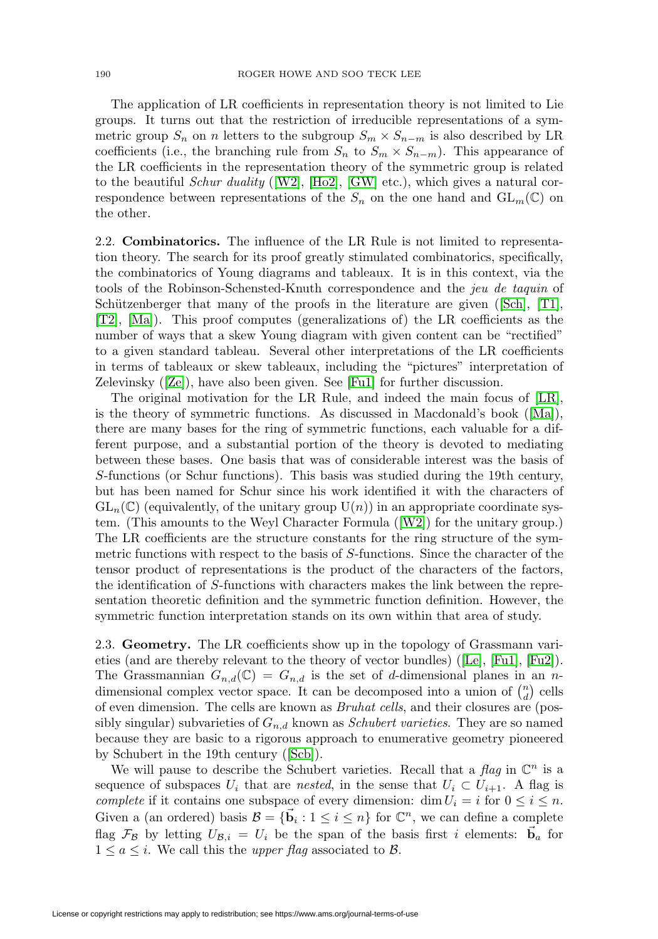The application of LR coefficients in representation theory is not limited to Lie groups. It turns out that the restriction of irreducible representations of a symmetric group  $S_n$  on n letters to the subgroup  $S_m \times S_{n-m}$  is also described by LR coefficients (i.e., the branching rule from  $S_n$  to  $S_m \times S_{n-m}$ ). This appearance of the LR coefficients in the representation theory of the symmetric group is related to the beautiful *Schur duality* ([\[W2\]](#page-49-3), [\[Ho2\]](#page-47-11), [\[GW\]](#page-47-10) etc.), which gives a natural correspondence between representations of the  $S_n$  on the one hand and  $GL_m(\mathbb{C})$  on the other.

2.2. **Combinatorics.** The influence of the LR Rule is not limited to representation theory. The search for its proof greatly stimulated combinatorics, specifically, the combinatorics of Young diagrams and tableaux. It is in this context, via the tools of the Robinson-Schensted-Knuth correspondence and the jeu de taquin of Schützenberger that many of the proofs in the literature are given ([\[Sch\]](#page-48-4),  $[T1]$ , [\[T2\]](#page-49-2), [\[Ma\]](#page-48-1)). This proof computes (generalizations of) the LR coefficients as the number of ways that a skew Young diagram with given content can be "rectified" to a given standard tableau. Several other interpretations of the LR coefficients in terms of tableaux or skew tableaux, including the "pictures" interpretation of Zelevinsky ([\[Ze\]](#page-49-1)), have also been given. See [\[Fu1\]](#page-46-0) for further discussion.

The original motivation for the LR Rule, and indeed the main focus of [\[LR\]](#page-48-0), is the theory of symmetric functions. As discussed in Macdonald's book ([\[Ma\]](#page-48-1)), there are many bases for the ring of symmetric functions, each valuable for a different purpose, and a substantial portion of the theory is devoted to mediating between these bases. One basis that was of considerable interest was the basis of S-functions (or Schur functions). This basis was studied during the 19th century, but has been named for Schur since his work identified it with the characters of  $GL_n(\mathbb{C})$  (equivalently, of the unitary group  $U(n)$ ) in an appropriate coordinate system. (This amounts to the Weyl Character Formula ([\[W2\]](#page-49-3)) for the unitary group.) The LR coefficients are the structure constants for the ring structure of the symmetric functions with respect to the basis of S-functions. Since the character of the tensor product of representations is the product of the characters of the factors, the identification of S-functions with characters makes the link between the representation theoretic definition and the symmetric function definition. However, the symmetric function interpretation stands on its own within that area of study.

<span id="page-3-0"></span>2.3. **Geometry.** The LR coefficients show up in the topology of Grassmann varieties (and are thereby relevant to the theory of vector bundles) ([\[Le\]](#page-48-14), [\[Fu1\]](#page-46-0), [\[Fu2\]](#page-46-1)). The Grassmannian  $G_{n,d}(\mathbb{C}) = G_{n,d}$  is the set of d-dimensional planes in an ndimensional complex vector space. It can be decomposed into a union of  $\binom{n}{d}$  cells of even dimension. The cells are known as Bruhat cells, and their closures are (possibly singular) subvarieties of  $G_{n,d}$  known as *Schubert varieties*. They are so named because they are basic to a rigorous approach to enumerative geometry pioneered by Schubert in the 19th century ([\[Scb\]](#page-48-15)).

We will pause to describe the Schubert varieties. Recall that a  $flag$  in  $\mathbb{C}^n$  is a sequence of subspaces  $U_i$  that are nested, in the sense that  $U_i \subset U_{i+1}$ . A flag is complete if it contains one subspace of every dimension: dim  $U_i = i$  for  $0 \le i \le n$ . Given a (an ordered) basis  $\mathcal{B} = {\vec{b}_i : 1 \leq i \leq n}$  for  $\mathbb{C}^n$ , we can define a complete flag  $\mathcal{F}_{\mathcal{B}}$  by letting  $U_{\mathcal{B},i} = U_i$  be the span of the basis first i elements:  $\vec{b}_a$  for  $1 \le a \le i$ . We call this the *upper flag* associated to B.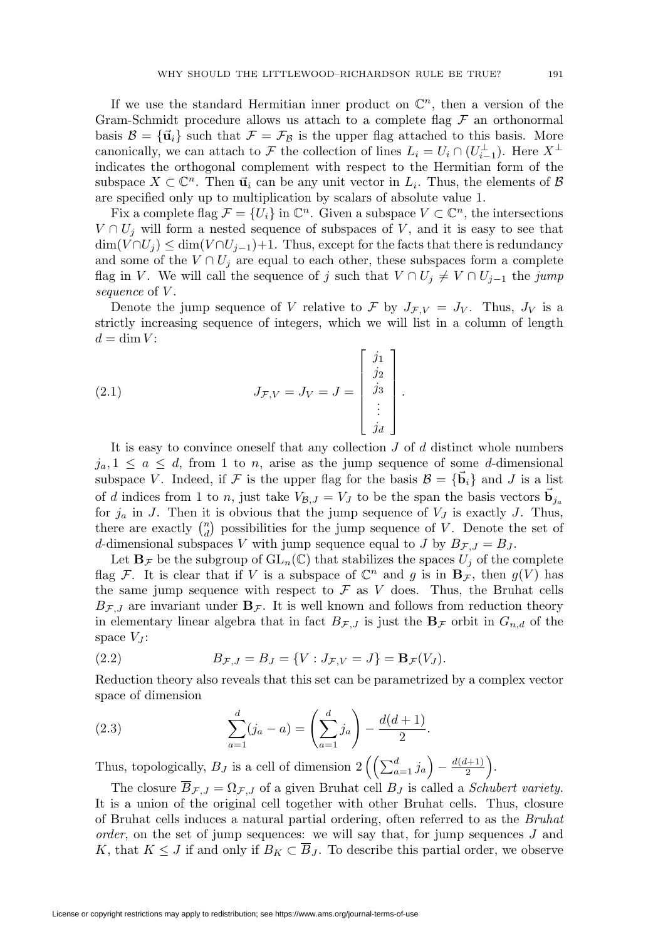If we use the standard Hermitian inner product on  $\mathbb{C}^n$ , then a version of the Gram-Schmidt procedure allows us attach to a complete flag  $\mathcal F$  an orthonormal basis  $\mathcal{B} = {\mathbf{\bar{u}}_i}$  such that  $\mathcal{F} = \mathcal{F}_{\mathcal{B}}$  is the upper flag attached to this basis. More canonically, we can attach to F the collection of lines  $L_i = U_i \cap (U_{i-1}^{\perp})$ . Here  $X^{\perp}$ indicates the orthogonal complement with respect to the Hermitian form of the subspace  $X \subset \mathbb{C}^n$ . Then  $\vec{u}_i$  can be any unit vector in  $L_i$ . Thus, the elements of  $\beta$ are specified only up to multiplication by scalars of absolute value 1.

Fix a complete flag  $\mathcal{F} = \{U_i\}$  in  $\mathbb{C}^n$ . Given a subspace  $V \subset \mathbb{C}^n$ , the intersections  $V \cap U_j$  will form a nested sequence of subspaces of V, and it is easy to see that  $\dim(V \cap U_j) \leq \dim(V \cap U_{j-1})+1$ . Thus, except for the facts that there is redundancy and some of the  $V \cap U_j$  are equal to each other, these subspaces form a complete flag in V. We will call the sequence of j such that  $V \cap U_j \neq V \cap U_{j-1}$  the jump sequence of V.

Denote the jump sequence of V relative to F by  $J_{\mathcal{F},V} = J_V$ . Thus,  $J_V$  is a strictly increasing sequence of integers, which we will list in a column of length  $d = \dim V$ :

<span id="page-4-0"></span>(2.1) 
$$
J_{\mathcal{F},V} = J_V = J = \begin{bmatrix} j_1 \\ j_2 \\ j_3 \\ \vdots \\ j_d \end{bmatrix}.
$$

It is easy to convince oneself that any collection  $J$  of  $d$  distinct whole numbers  $j_a, 1 \le a \le d$ , from 1 to n, arise as the jump sequence of some d-dimensional subspace V. Indeed, if F is the upper flag for the basis  $\mathcal{B} = {\{\vec{b}_i\}}$  and J is a list of d indices from 1 to n, just take  $V_{\mathcal{B},J} = V_J$  to be the span the basis vectors  $\vec{b}_{j_a}$ for  $j_a$  in J. Then it is obvious that the jump sequence of  $V_J$  is exactly J. Thus, there are exactly  $\binom{n}{d}$  possibilities for the jump sequence of V. Denote the set of d-dimensional subspaces V with jump sequence equal to J by  $B_{\mathcal{F},J} = B_J$ .

Let  $\mathbf{B}_{\mathcal{F}}$  be the subgroup of  $\mathrm{GL}_n(\mathbb{C})$  that stabilizes the spaces  $U_j$  of the complete flag F. It is clear that if V is a subspace of  $\mathbb{C}^n$  and g is in  $\mathbf{B}_{\mathcal{F}}$ , then  $g(V)$  has the same jump sequence with respect to  $\mathcal F$  as  $V$  does. Thus, the Bruhat cells  $B_{\mathcal{F},J}$  are invariant under  $\mathbf{B}_{\mathcal{F}}$ . It is well known and follows from reduction theory in elementary linear algebra that in fact  $B_{\mathcal{F},J}$  is just the  $\mathbf{B}_{\mathcal{F}}$  orbit in  $G_{n,d}$  of the space  $V_J$ :

(2.2) 
$$
B_{\mathcal{F},J} = B_J = \{ V : J_{\mathcal{F},V} = J \} = \mathbf{B}_{\mathcal{F}}(V_J).
$$

Reduction theory also reveals that this set can be parametrized by a complex vector space of dimension

<span id="page-4-1"></span>(2.3) 
$$
\sum_{a=1}^{d} (j_a - a) = \left(\sum_{a=1}^{d} j_a\right) - \frac{d(d+1)}{2}.
$$

Thus, topologically,  $B_J$  is a cell of dimension  $2\left(\left(\sum_{a=1}^d j_a\right)-\frac{d(d+1)}{2}\right)$ .

The closure  $\overline{B}_{\mathcal{F},J} = \Omega_{\mathcal{F},J}$  of a given Bruhat cell  $B_J$  is called a *Schubert variety*. It is a union of the original cell together with other Bruhat cells. Thus, closure of Bruhat cells induces a natural partial ordering, often referred to as the Bruhat order, on the set of jump sequences: we will say that, for jump sequences J and K, that  $K \leq J$  if and only if  $B_K \subset \overline{B}_J$ . To describe this partial order, we observe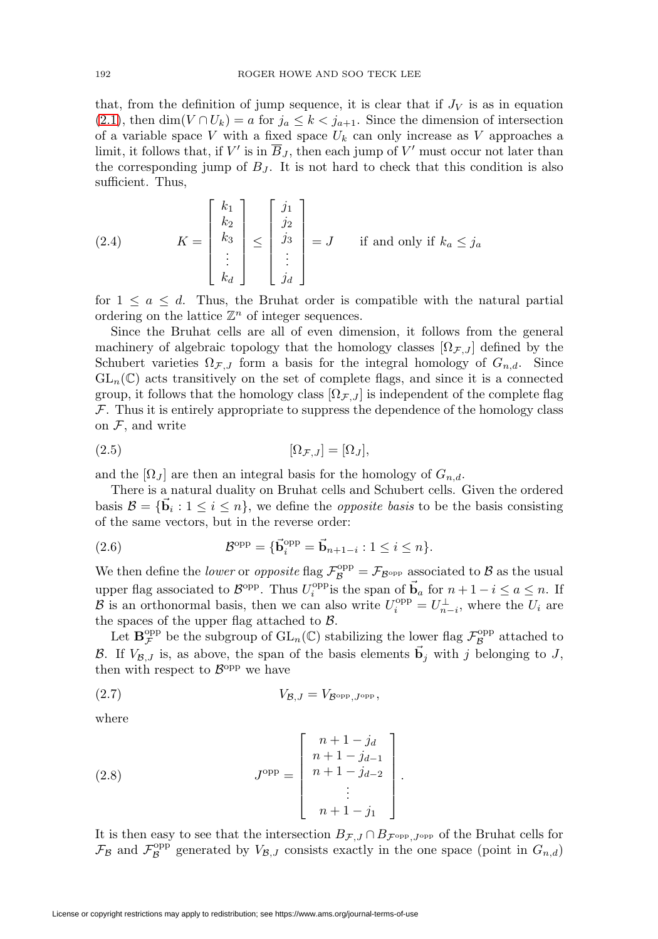that, from the definition of jump sequence, it is clear that if  $J_V$  is as in equation [\(2.1\)](#page-4-0), then dim( $V \cap U_k$ ) = a for  $j_a \leq k < j_{a+1}$ . Since the dimension of intersection of a variable space V with a fixed space  $U_k$  can only increase as V approaches a limit, it follows that, if V' is in  $\overline{B}_J$ , then each jump of V' must occur not later than the corresponding jump of  $B_J$ . It is not hard to check that this condition is also sufficient. Thus,

<span id="page-5-0"></span>(2.4) 
$$
K = \begin{bmatrix} k_1 \\ k_2 \\ k_3 \\ \vdots \\ k_d \end{bmatrix} \le \begin{bmatrix} j_1 \\ j_2 \\ j_3 \\ \vdots \\ j_d \end{bmatrix} = J \quad \text{if and only if } k_a \le j_a
$$

for  $1 \leq a \leq d$ . Thus, the Bruhat order is compatible with the natural partial ordering on the lattice  $\mathbb{Z}^n$  of integer sequences.

Since the Bruhat cells are all of even dimension, it follows from the general machinery of algebraic topology that the homology classes  $[\Omega_{\mathcal{F},J}]$  defined by the Schubert varieties  $\Omega_{\mathcal{F},J}$  form a basis for the integral homology of  $G_{n,d}$ . Since  $GL_n(\mathbb{C})$  acts transitively on the set of complete flags, and since it is a connected group, it follows that the homology class  $[\Omega_{\mathcal{F},J}]$  is independent of the complete flag  $F$ . Thus it is entirely appropriate to suppress the dependence of the homology class on  $\mathcal{F}$ , and write

$$
[\Omega_{\mathcal{F},J}] = [\Omega_J],
$$

and the  $[\Omega_J]$  are then an integral basis for the homology of  $G_{n,d}$ .

There is a natural duality on Bruhat cells and Schubert cells. Given the ordered basis  $\mathcal{B} = {\mathbf{b}_i : 1 \leq i \leq n}$ , we define the *opposite basis* to be the basis consisting of the same vectors, but in the reverse order:

(2.6) 
$$
\mathcal{B}^{\text{opp}} = {\vec{\mathbf{b}}}_i^{\text{opp}} = {\vec{\mathbf{b}}}_{n+1-i} : 1 \leq i \leq n.
$$

We then define the *lower* or *opposite* flag  $\mathcal{F}_{\mathcal{B}}^{\text{opp}} = \mathcal{F}_{\mathcal{B}^{\text{opp}}}$  associated to  $\mathcal{B}$  as the usual upper flag associated to  $\mathcal{B}^{\text{opp}}$ . Thus  $U_i^{\text{opp}}$  is the span of  $\vec{b}_a$  for  $n + 1 - i \le a \le n$ . If  $\mathcal{B}$  is an orthonormal basis, then we can also write  $U_i^{\text{opp}} = U_{n-i}^{\perp}$ , where the  $U_i$  are the spaces of the upper flag attached to  $\beta$ .

Let  $\mathbf{B}_{\mathcal{F}}^{\text{opp}}$  be the subgroup of  $\text{GL}_n(\mathbb{C})$  stabilizing the lower flag  $\mathcal{F}_{\mathcal{B}}^{\text{opp}}$  attached to B. If  $V_{\mathcal{B},J}$  is, as above, the span of the basis elements  $\vec{b}_j$  with j belonging to J, then with respect to  $\mathcal{B}^{\text{opp}}$  we have

$$
(2.7) \t\t V_{\mathcal{B},J} = V_{\mathcal{B}^{\text{opp}},J^{\text{opp}}},
$$

where

(2.8) 
$$
J^{\text{opp}} = \begin{bmatrix} n+1-j_d \\ n+1-j_{d-1} \\ n+1-j_{d-2} \\ \vdots \\ n+1-j_1 \end{bmatrix}.
$$

It is then easy to see that the intersection  $B_{\mathcal{F},J} \cap B_{\mathcal{F}^{\text{opp}}$ , Jopp of the Bruhat cells for  $\mathcal{F}_{\mathcal{B}}$  and  $\mathcal{F}_{\mathcal{B}}^{\text{opp}}$  generated by  $V_{\mathcal{B},J}$  consists exactly in the one space (point in  $G_{n,d}$ )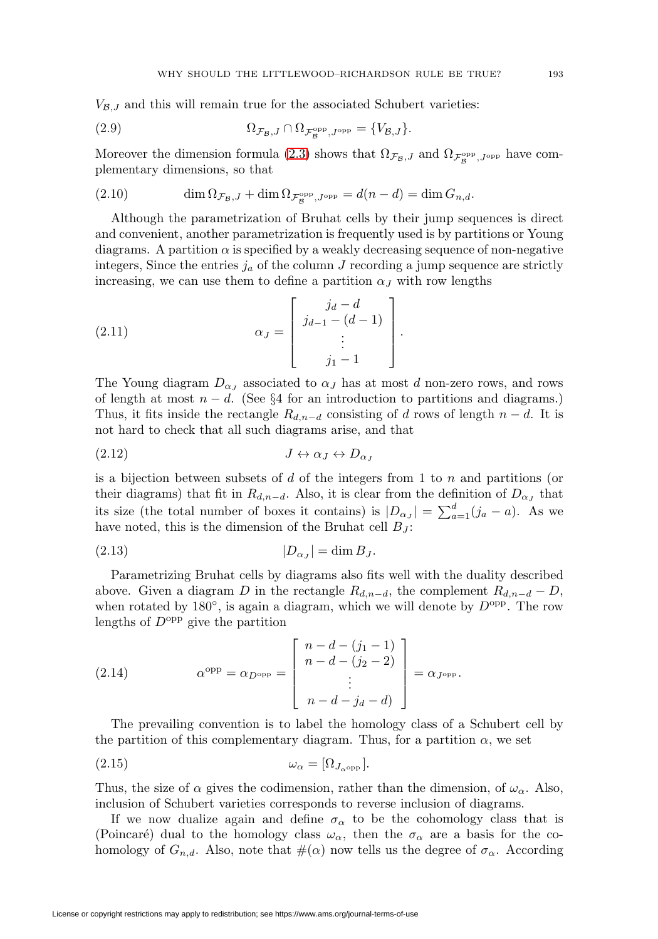$V_{\mathcal{B},J}$  and this will remain true for the associated Schubert varieties:

(2.9) 
$$
\Omega_{\mathcal{F}_{\mathcal{B}},J} \cap \Omega_{\mathcal{F}_{\mathcal{B}}^{\text{opp}},J^{\text{opp}}} = \{V_{\mathcal{B},J}\}.
$$

Moreover the dimension formula [\(2.3\)](#page-4-1) shows that  $\Omega_{\mathcal{F}_{\mathcal{B}},J}$  and  $\Omega_{\mathcal{F}_{\mathcal{B}}^{\text{opp}},J^{\text{opp}}}$  have complementary dimensions, so that

(2.10) 
$$
\dim \Omega_{\mathcal{F}_{\mathcal{B}},J} + \dim \Omega_{\mathcal{F}_{\mathcal{B}}^{\text{opp}},J^{\text{opp}}} = d(n-d) = \dim G_{n,d}.
$$

Although the parametrization of Bruhat cells by their jump sequences is direct and convenient, another parametrization is frequently used is by partitions or Young diagrams. A partition  $\alpha$  is specified by a weakly decreasing sequence of non-negative integers, Since the entries  $j_a$  of the column J recording a jump sequence are strictly increasing, we can use them to define a partition  $\alpha_J$  with row lengths

(2.11) 
$$
\alpha_J = \begin{bmatrix} j_d - d \\ j_{d-1} - (d-1) \\ \vdots \\ j_1 - 1 \end{bmatrix}.
$$

The Young diagram  $D_{\alpha}$  associated to  $\alpha$ <sub>J</sub> has at most d non-zero rows, and rows of length at most  $n - d$ . (See §4 for an introduction to partitions and diagrams.) Thus, it fits inside the rectangle  $R_{d,n-d}$  consisting of d rows of length  $n-d$ . It is not hard to check that all such diagrams arise, and that

$$
(2.12) \t\t J \leftrightarrow \alpha_J \leftrightarrow D_{\alpha_J}
$$

is a bijection between subsets of d of the integers from 1 to  $n$  and partitions (or their diagrams) that fit in  $R_{d,n-d}$ . Also, it is clear from the definition of  $D_{\alpha}$ , that its size (the total number of boxes it contains) is  $|D_{\alpha_J}| = \sum_{a=1}^d (j_a - a)$ . As we have noted, this is the dimension of the Bruhat cell  $B_J$ :

$$
(2.13)\t\t\t |D_{\alpha_J}| = \dim B_J.
$$

Parametrizing Bruhat cells by diagrams also fits well with the duality described above. Given a diagram D in the rectangle  $R_{d,n-d}$ , the complement  $R_{d,n-d} - D$ , when rotated by  $180^\circ$ , is again a diagram, which we will denote by  $D^{\text{opp}}$ . The row lengths of  $D^{\text{opp}}$  give the partition

(2.14) 
$$
\alpha^{\text{opp}} = \alpha_{D^{\text{opp}}} = \begin{bmatrix} n - d - (j_1 - 1) \\ n - d - (j_2 - 2) \\ \vdots \\ n - d - j_d - d \end{bmatrix} = \alpha_{J^{\text{opp}}}.
$$

The prevailing convention is to label the homology class of a Schubert cell by the partition of this complementary diagram. Thus, for a partition  $\alpha$ , we set

$$
(2.15) \t\t \t\t \omega_{\alpha} = [\Omega_{J_{\alpha}^{\text{opp}}}].
$$

Thus, the size of  $\alpha$  gives the codimension, rather than the dimension, of  $\omega_{\alpha}$ . Also, inclusion of Schubert varieties corresponds to reverse inclusion of diagrams.

If we now dualize again and define  $\sigma_{\alpha}$  to be the cohomology class that is (Poincaré) dual to the homology class  $\omega_{\alpha}$ , then the  $\sigma_{\alpha}$  are a basis for the cohomology of  $G_{n,d}$ . Also, note that  $\#(\alpha)$  now tells us the degree of  $\sigma_{\alpha}$ . According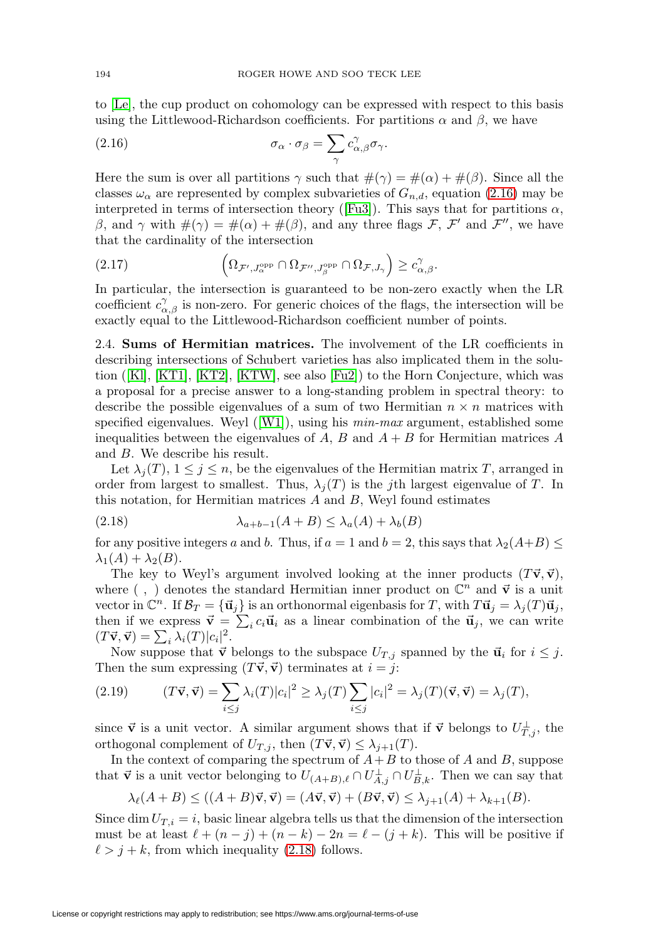to [\[Le\]](#page-48-14), the cup product on cohomology can be expressed with respect to this basis using the Littlewood-Richardson coefficients. For partitions  $\alpha$  and  $\beta$ , we have

<span id="page-7-0"></span>(2.16) 
$$
\sigma_{\alpha} \cdot \sigma_{\beta} = \sum_{\gamma} c_{\alpha,\beta}^{\gamma} \sigma_{\gamma}.
$$

Here the sum is over all partitions  $\gamma$  such that  $\#(\gamma) = \#(\alpha) + \#(\beta)$ . Since all the classes  $\omega_{\alpha}$  are represented by complex subvarieties of  $G_{n,d}$ , equation [\(2.16\)](#page-7-0) may be interpreted in terms of intersection theory ([\[Fu3\]](#page-46-3)). This says that for partitions  $\alpha$ , β, and γ with  $#(γ) = #(α) + #(β)$ , and any three flags F, F' and F'', we have that the cardinality of the intersection

(2.17) 
$$
\left(\Omega_{\mathcal{F}',J_{\alpha}^{\text{opp}}}\cap\Omega_{\mathcal{F}'',J_{\beta}^{\text{opp}}}\cap\Omega_{\mathcal{F},J_{\gamma}}\right)\geq c_{\alpha,\beta}^{\gamma}.
$$

In particular, the intersection is guaranteed to be non-zero exactly when the LR coefficient  $c_{\alpha,\beta}^{\gamma}$  is non-zero. For generic choices of the flags, the intersection will be exactly equal to the Littlewood-Richardson coefficient number of points.

2.4. **Sums of Hermitian matrices.** The involvement of the LR coefficients in describing intersections of Schubert varieties has also implicated them in the solu-tion ([\[Kl\]](#page-47-12), [\[KT1\]](#page-48-16), [\[KT2\]](#page-48-17), [\[KTW\]](#page-48-18), see also  $[Fu2]$  to the Horn Conjecture, which was a proposal for a precise answer to a long-standing problem in spectral theory: to describe the possible eigenvalues of a sum of two Hermitian  $n \times n$  matrices with specified eigenvalues. Weyl  $([W1])$  $([W1])$  $([W1])$ , using his *min-max* argument, established some inequalities between the eigenvalues of A, B and  $A + B$  for Hermitian matrices A and B. We describe his result.

Let  $\lambda_j(T)$ ,  $1 \leq j \leq n$ , be the eigenvalues of the Hermitian matrix T, arranged in order from largest to smallest. Thus,  $\lambda_j(T)$  is the jth largest eigenvalue of T. In this notation, for Hermitian matrices  $A$  and  $B$ , Weyl found estimates

<span id="page-7-1"></span>(2.18) 
$$
\lambda_{a+b-1}(A+B) \leq \lambda_a(A) + \lambda_b(B)
$$

for any positive integers a and b. Thus, if  $a = 1$  and  $b = 2$ , this says that  $\lambda_2(A+B) \leq$  $\lambda_1(A) + \lambda_2(B)$ .

The key to Weyl's argument involved looking at the inner products  $(T\vec{v}, \vec{v})$ , where  $( , )$  denotes the standard Hermitian inner product on  $\mathbb{C}^n$  and  $\vec{v}$  is a unit vector in  $\mathbb{C}^n$ . If  $\mathcal{B}_T = {\vec{u}_j}$  is an orthonormal eigenbasis for T, with  $T\vec{u}_j = \lambda_j(T)\vec{u}_j$ , then if we express  $\vec{v} = \sum_i c_i \vec{u}_i$  as a linear combination of the  $\vec{u}_j$ , we can write  $(T\vec{v}, \vec{v}) = \sum_i \lambda_i(T) |c_i|^2.$ 

Now suppose that  $\vec{v}$  belongs to the subspace  $U_{T,i}$  spanned by the  $\vec{u}_i$  for  $i \leq j$ . Then the sum expressing  $(T\vec{v}, \vec{v})$  terminates at  $i = j$ :

<span id="page-7-2"></span>(2.19) 
$$
(T\vec{\mathbf{v}}, \vec{\mathbf{v}}) = \sum_{i \leq j} \lambda_i(T) |c_i|^2 \geq \lambda_j(T) \sum_{i \leq j} |c_i|^2 = \lambda_j(T) (\vec{\mathbf{v}}, \vec{\mathbf{v}}) = \lambda_j(T),
$$

since  $\vec{v}$  is a unit vector. A similar argument shows that if  $\vec{v}$  belongs to  $U_{T,j}^{\perp}$ , the orthogonal complement of  $U_{T,j}$ , then  $(T\vec{v}, \vec{v}) \leq \lambda_{j+1}(T)$ .

In the context of comparing the spectrum of  $A + B$  to those of  $A$  and  $B$ , suppose that  $\vec{v}$  is a unit vector belonging to  $U_{(A+B),\ell} \cap U_{A,j}^{\perp} \cap U_{B,k}^{\perp}$ . Then we can say that

$$
\lambda_{\ell}(A+B) \leq ((A+B)\vec{v}, \vec{v}) = (A\vec{v}, \vec{v}) + (B\vec{v}, \vec{v}) \leq \lambda_{j+1}(A) + \lambda_{k+1}(B).
$$

Since dim  $U_{T,i} = i$ , basic linear algebra tells us that the dimension of the intersection must be at least  $\ell + (n - j) + (n - k) - 2n = \ell - (j + k)$ . This will be positive if  $\ell > j + k$ , from which inequality [\(2.18\)](#page-7-1) follows.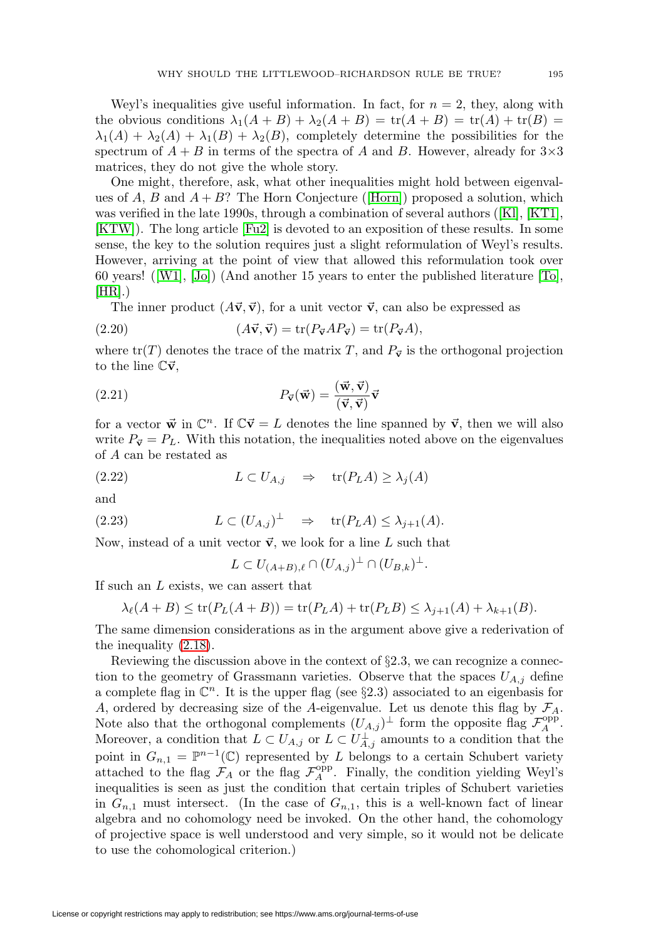Weyl's inequalities give useful information. In fact, for  $n = 2$ , they, along with the obvious conditions  $\lambda_1(A + B) + \lambda_2(A + B) = \text{tr}(A + B) = \text{tr}(A) + \text{tr}(B) =$  $\lambda_1(A) + \lambda_2(A) + \lambda_1(B) + \lambda_2(B)$ , completely determine the possibilities for the spectrum of  $A + B$  in terms of the spectra of A and B. However, already for  $3 \times 3$ matrices, they do not give the whole story.

One might, therefore, ask, what other inequalities might hold between eigenvalues of A, B and  $A + B$ ? The Horn Conjecture ([\[Horn\]](#page-47-13)) proposed a solution, which was verified in the late 1990s, through a combination of several authors ([\[Kl\]](#page-47-12), [\[KT1\]](#page-48-16), [\[KTW\]](#page-48-18)). The long article [\[Fu2\]](#page-46-1) is devoted to an exposition of these results. In some sense, the key to the solution requires just a slight reformulation of Weyl's results. However, arriving at the point of view that allowed this reformulation took over 60 years! ([\[W1\]](#page-49-4), [\[Jo\]](#page-47-14)) (And another 15 years to enter the published literature [\[To\]](#page-49-5),  $[HR]$ .)

The inner product  $(A\vec{v}, \vec{v})$ , for a unit vector  $\vec{v}$ , can also be expressed as

(2.20) 
$$
(A\vec{v}, \vec{v}) = \text{tr}(P_{\vec{v}}AP_{\vec{v}}) = \text{tr}(P_{\vec{v}}A),
$$

where  $tr(T)$  denotes the trace of the matrix T, and  $P_{\vec{v}}$  is the orthogonal projection to the line  $\mathbb{C}\vec{v}$ ,

(2.21) 
$$
P_{\vec{v}}(\vec{w}) = \frac{(\vec{w}, \vec{v})}{(\vec{v}, \vec{v})} \vec{v}
$$

for a vector  $\vec{w}$  in  $\mathbb{C}^n$ . If  $\mathbb{C}\vec{v} = L$  denotes the line spanned by  $\vec{v}$ , then we will also write  $P_{\vec{v}} = P_L$ . With this notation, the inequalities noted above on the eigenvalues of A can be restated as

$$
(2.22) \t\t\t L \subset U_{A,j} \Rightarrow \text{tr}(P_L A) \ge \lambda_j(A)
$$

and

(2.23) 
$$
L \subset (U_{A,j})^{\perp} \Rightarrow \text{tr}(P_L A) \leq \lambda_{j+1}(A).
$$

Now, instead of a unit vector  $\vec{v}$ , we look for a line L such that

$$
L \subset U_{(A+B),\ell} \cap (U_{A,j})^{\perp} \cap (U_{B,k})^{\perp}.
$$

If such an L exists, we can assert that

$$
\lambda_{\ell}(A+B) \le \operatorname{tr}(P_L(A+B)) = \operatorname{tr}(P_L A) + \operatorname{tr}(P_L B) \le \lambda_{j+1}(A) + \lambda_{k+1}(B).
$$

The same dimension considerations as in the argument above give a rederivation of the inequality [\(2.18\)](#page-7-1).

Reviewing the discussion above in the context of  $\S 2.3$ , we can recognize a connection to the geometry of Grassmann varieties. Observe that the spaces  $U_{A,j}$  define a complete flag in  $\mathbb{C}^n$ . It is the upper flag (see §2.3) associated to an eigenbasis for A, ordered by decreasing size of the A-eigenvalue. Let us denote this flag by  $\mathcal{F}_A$ . Note also that the orthogonal complements  $(U_{A,j})^{\perp}$  form the opposite flag  $\mathcal{F}_A^{\text{opp}}$ . Moreover, a condition that  $L \subset U_{A,j}$  or  $L \subset U_{A,j}^{\perp}$  amounts to a condition that the point in  $G_{n,1} = \mathbb{P}^{n-1}(\mathbb{C})$  represented by L belongs to a certain Schubert variety attached to the flag  $\mathcal{F}_A$  or the flag  $\mathcal{F}_A^{\text{opp}}$ . Finally, the condition yielding Weyl's inequalities is seen as just the condition that certain triples of Schubert varieties in  $G_{n,1}$  must intersect. (In the case of  $G_{n,1}$ , this is a well-known fact of linear algebra and no cohomology need be invoked. On the other hand, the cohomology of projective space is well understood and very simple, so it would not be delicate to use the cohomological criterion.)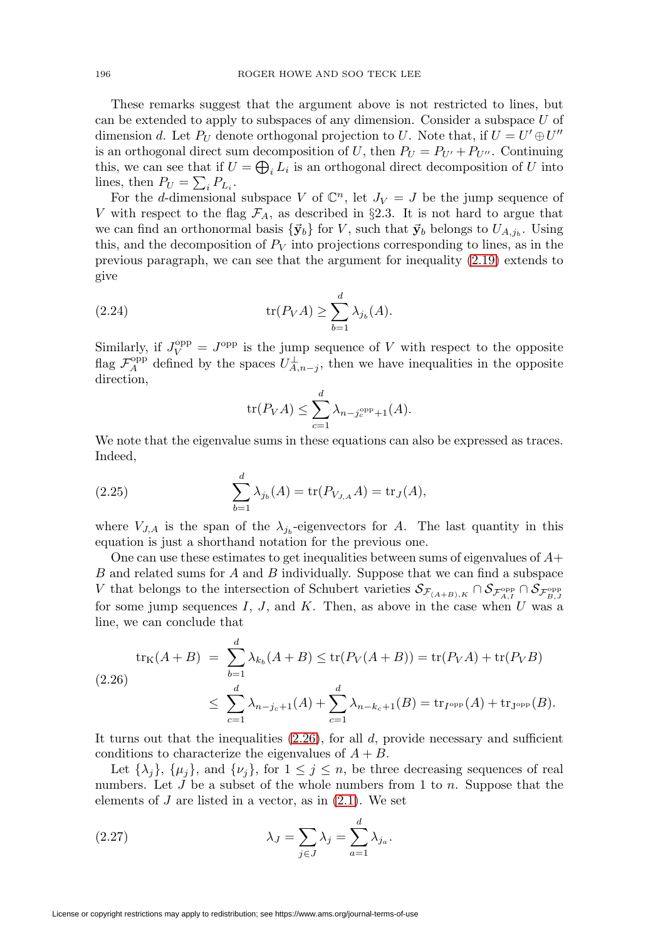These remarks suggest that the argument above is not restricted to lines, but can be extended to apply to subspaces of any dimension. Consider a subspace U of dimension d. Let  $P_U$  denote orthogonal projection to U. Note that, if  $U = U' \oplus U''$ is an orthogonal direct sum decomposition of U, then  $P_U = P_{U'} + P_{U''}$ . Continuing this, we can see that if  $U = \bigoplus_i L_i$  is an orthogonal direct decomposition of U into lines, then  $P_U = \sum_i P_{L_i}$ .

For the d-dimensional subspace V of  $\mathbb{C}^n$ , let  $J_V = J$  be the jump sequence of V with respect to the flag  $\mathcal{F}_A$ , as described in §2.3. It is not hard to argue that we can find an orthonormal basis  $\{\vec{y}_b\}$  for V, such that  $\vec{y}_b$  belongs to  $U_{A,i_b}$ . Using this, and the decomposition of  $P_V$  into projections corresponding to lines, as in the previous paragraph, we can see that the argument for inequality [\(2.19\)](#page-7-2) extends to give

(2.24) 
$$
\operatorname{tr}(P_V A) \ge \sum_{b=1}^d \lambda_{j_b}(A).
$$

Similarly, if  $J_V^{\text{opp}} = J^{\text{opp}}$  is the jump sequence of V with respect to the opposite flag  $\mathcal{F}_A^{\text{opp}}$  defined by the spaces  $U_{A,n-j}^{\perp}$ , then we have inequalities in the opposite direction,

$$
\operatorname{tr}(P_V A) \le \sum_{c=1}^d \lambda_{n-j_c^{\rm opp}+1}(A).
$$

We note that the eigenvalue sums in these equations can also be expressed as traces. Indeed,

(2.25) 
$$
\sum_{b=1}^{d} \lambda_{j_b}(A) = \text{tr}(P_{V_{J,A}}A) = \text{tr}_{J}(A),
$$

where  $V_{J,A}$  is the span of the  $\lambda_{j_b}$ -eigenvectors for A. The last quantity in this equation is just a shorthand notation for the previous one.

One can use these estimates to get inequalities between sums of eigenvalues of  $A+$ B and related sums for A and B individually. Suppose that we can find a subspace V that belongs to the intersection of Schubert varieties  $S_{\mathcal{F}_{(A+B),K}} \cap S_{\mathcal{F}_{A,I}^{\text{opp}}} \cap S_{\mathcal{F}_{B,J}^{\text{opp}}}$ for some jump sequences  $I, J$ , and  $K$ . Then, as above in the case when  $U$  was a line, we can conclude that

<span id="page-9-0"></span>
$$
\text{tr}_{K}(A+B) = \sum_{b=1}^{d} \lambda_{k_{b}}(A+B) \le \text{tr}(P_{V}(A+B)) = \text{tr}(P_{V}A) + \text{tr}(P_{V}B)
$$
\n
$$
\le \sum_{c=1}^{d} \lambda_{n-j_{c}+1}(A) + \sum_{c=1}^{d} \lambda_{n-k_{c}+1}(B) = \text{tr}_{I^{\text{opp}}}(A) + \text{tr}_{J^{\text{opp}}}(B).
$$

It turns out that the inequalities  $(2.26)$ , for all d, provide necessary and sufficient conditions to characterize the eigenvalues of  $A + B$ .

Let  $\{\lambda_j\}$ ,  $\{\mu_j\}$ , and  $\{\nu_j\}$ , for  $1 \leq j \leq n$ , be three decreasing sequences of real numbers. Let  $J$  be a subset of the whole numbers from 1 to  $n$ . Suppose that the elements of  $J$  are listed in a vector, as in  $(2.1)$ . We set

(2.27) 
$$
\lambda_J = \sum_{j \in J} \lambda_j = \sum_{a=1}^d \lambda_{j_a}.
$$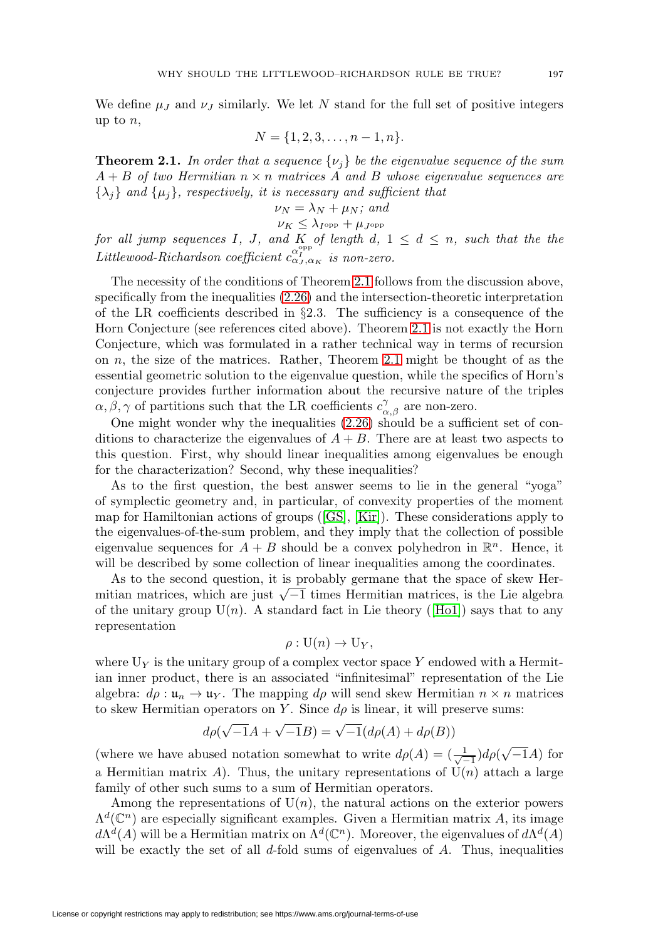We define  $\mu_J$  and  $\nu_J$  similarly. We let N stand for the full set of positive integers up to  $n$ ,

$$
N = \{1, 2, 3, \dots, n-1, n\}.
$$

<span id="page-10-0"></span>**Theorem 2.1.** In order that a sequence  $\{\nu_i\}$  be the eigenvalue sequence of the sum  $A + B$  of two Hermitian  $n \times n$  matrices A and B whose eigenvalue sequences are  $\{\lambda_j\}$  and  $\{\mu_j\}$ , respectively, it is necessary and sufficient that

$$
\nu_N = \lambda_N + \mu_N; \text{ and}
$$

$$
\nu_K \le \lambda_{I^{\text{opp}}} + \mu_{J^{\text{opp}}}
$$

for all jump sequences I, J, and K of length  $d, 1 \leq d \leq n$ , such that the the Littlewood-Richardson coefficient  $c_{\alpha_J,\alpha_K}^{\alpha_{\text{PP}}}$  is non-zero.

The necessity of the conditions of Theorem [2.1](#page-10-0) follows from the discussion above, specifically from the inequalities [\(2.26\)](#page-9-0) and the intersection-theoretic interpretation of the LR coefficients described in §2.3. The sufficiency is a consequence of the Horn Conjecture (see references cited above). Theorem [2.1](#page-10-0) is not exactly the Horn Conjecture, which was formulated in a rather technical way in terms of recursion on n, the size of the matrices. Rather, Theorem [2.1](#page-10-0) might be thought of as the essential geometric solution to the eigenvalue question, while the specifics of Horn's conjecture provides further information about the recursive nature of the triples  $\alpha, \beta, \gamma$  of partitions such that the LR coefficients  $c_{\alpha,\beta}^{\gamma}$  are non-zero.

One might wonder why the inequalities [\(2.26\)](#page-9-0) should be a sufficient set of conditions to characterize the eigenvalues of  $A + B$ . There are at least two aspects to this question. First, why should linear inequalities among eigenvalues be enough for the characterization? Second, why these inequalities?

As to the first question, the best answer seems to lie in the general "yoga" of symplectic geometry and, in particular, of convexity properties of the moment map for Hamiltonian actions of groups ([\[GS\]](#page-46-4), [\[Kir\]](#page-47-16)). These considerations apply to the eigenvalues-of-the-sum problem, and they imply that the collection of possible eigenvalue sequences for  $A + B$  should be a convex polyhedron in  $\mathbb{R}^n$ . Hence, it will be described by some collection of linear inequalities among the coordinates.

As to the second question, it is probably germane that the space of skew Hermitian matrices, which are just  $\sqrt{-1}$  times Hermitian matrices, is the Lie algebra of the unitary group  $U(n)$ . A standard fact in Lie theory ([\[Ho1\]](#page-47-17)) says that to any representation

$$
\rho: \mathrm{U}(n) \to \mathrm{U}_Y,
$$

where  $U_Y$  is the unitary group of a complex vector space Y endowed with a Hermitian inner product, there is an associated "infinitesimal" representation of the Lie algebra:  $d\rho : \mathfrak{u}_n \to \mathfrak{u}_Y$ . The mapping  $d\rho$  will send skew Hermitian  $n \times n$  matrices to skew Hermitian operators on Y. Since  $d\rho$  is linear, it will preserve sums:

$$
d\rho(\sqrt{-1}A + \sqrt{-1}B) = \sqrt{-1}(d\rho(A) + d\rho(B))
$$

(where we have abused notation somewhat to write  $d\rho(A) = (\frac{1}{\sqrt{-1}})d\rho(\sqrt{-1}A)$  for a Hermitian matrix A). Thus, the unitary representations of  $U(n)$  attach a large family of other such sums to a sum of Hermitian operators.

Among the representations of  $U(n)$ , the natural actions on the exterior powers  $\Lambda^d(\mathbb{C}^n)$  are especially significant examples. Given a Hermitian matrix A, its image  $d\Lambda^d(A)$  will be a Hermitian matrix on  $\Lambda^d(\mathbb{C}^n)$ . Moreover, the eigenvalues of  $d\Lambda^d(A)$ will be exactly the set of all  $d$ -fold sums of eigenvalues of  $A$ . Thus, inequalities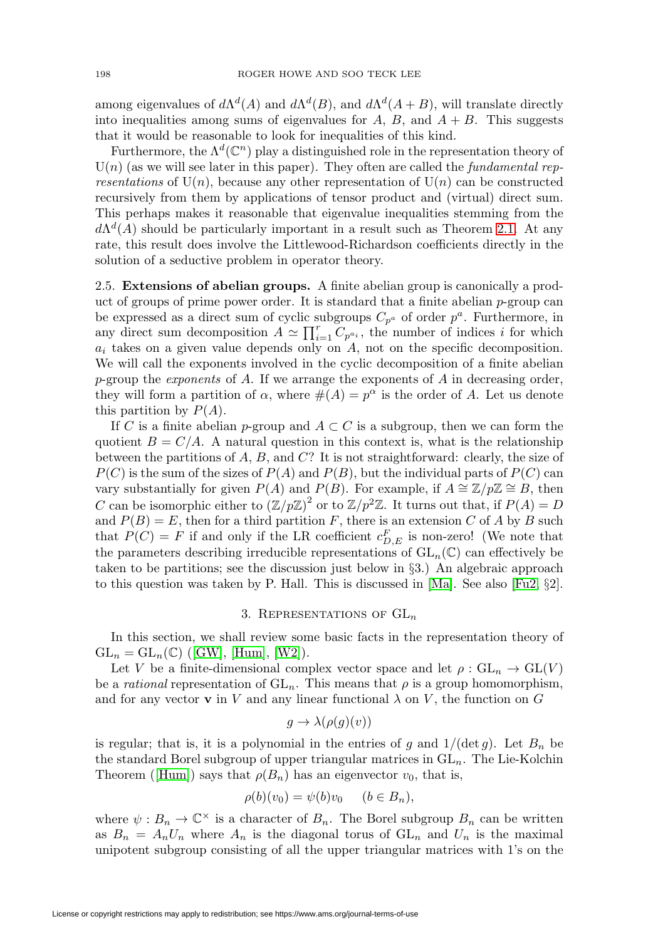among eigenvalues of  $d\Lambda^d(A)$  and  $d\Lambda^d(B)$ , and  $d\Lambda^d(A+B)$ , will translate directly into inequalities among sums of eigenvalues for  $A, B$ , and  $A + B$ . This suggests that it would be reasonable to look for inequalities of this kind.

Furthermore, the  $\Lambda^d(\mathbb{C}^n)$  play a distinguished role in the representation theory of  $U(n)$  (as we will see later in this paper). They often are called the *fundamental rep*resentations of  $U(n)$ , because any other representation of  $U(n)$  can be constructed recursively from them by applications of tensor product and (virtual) direct sum. This perhaps makes it reasonable that eigenvalue inequalities stemming from the  $d\Lambda^d(A)$  should be particularly important in a result such as Theorem [2.1.](#page-10-0) At any rate, this result does involve the Littlewood-Richardson coefficients directly in the solution of a seductive problem in operator theory.

2.5. **Extensions of abelian groups.** A finite abelian group is canonically a product of groups of prime power order. It is standard that a finite abelian  $p$ -group can be expressed as a direct sum of cyclic subgroups  $C_{p^a}$  of order  $p^a$ . Furthermore, in any direct sum decomposition  $A \simeq \prod_{i=1}^r C_{p^{a_i}}$ , the number of indices i for which  $a_i$  takes on a given value depends only on  $A$ , not on the specific decomposition. We will call the exponents involved in the cyclic decomposition of a finite abelian  $p$ -group the *exponents* of  $A$ . If we arrange the exponents of  $A$  in decreasing order, they will form a partition of  $\alpha$ , where  $\#(A) = p^{\alpha}$  is the order of A. Let us denote this partition by  $P(A)$ .

If C is a finite abelian p-group and  $A \subset C$  is a subgroup, then we can form the quotient  $B = C/A$ . A natural question in this context is, what is the relationship between the partitions of  $A, B$ , and  $C$ ? It is not straightforward: clearly, the size of  $P(C)$  is the sum of the sizes of  $P(A)$  and  $P(B)$ , but the individual parts of  $P(C)$  can vary substantially for given  $P(A)$  and  $P(B)$ . For example, if  $A \cong \mathbb{Z}/p\mathbb{Z} \cong B$ , then C can be isomorphic either to  $(\mathbb{Z}/p\mathbb{Z})^2$  or to  $\mathbb{Z}/p^2\mathbb{Z}$ . It turns out that, if  $P(A) = D$ and  $P(B) = E$ , then for a third partition F, there is an extension C of A by B such that  $P(C) = F$  if and only if the LR coefficient  $c_{D,E}^F$  is non-zero! (We note that the parameters describing irreducible representations of  $GL_n(\mathbb{C})$  can effectively be taken to be partitions; see the discussion just below in §3.) An algebraic approach to this question was taken by P. Hall. This is discussed in [\[Ma\]](#page-48-1). See also [\[Fu2,](#page-46-1) §2].

# 3. REPRESENTATIONS OF  $GL_n$

In this section, we shall review some basic facts in the representation theory of  $GL_n = GL_n(\mathbb{C})$  ([\[GW\]](#page-47-10), [\[Hum\]](#page-47-18), [\[W2\]](#page-49-3)).

Let V be a finite-dimensional complex vector space and let  $\rho: GL_n \to GL(V)$ be a *rational* representation of  $GL_n$ . This means that  $\rho$  is a group homomorphism, and for any vector **v** in V and any linear functional  $\lambda$  on V, the function on G

$$
g \to \lambda(\rho(g)(v))
$$

is regular; that is, it is a polynomial in the entries of g and  $1/(\det g)$ . Let  $B_n$  be the standard Borel subgroup of upper triangular matrices in  $GL_n$ . The Lie-Kolchin Theorem ([\[Hum\]](#page-47-18)) says that  $\rho(B_n)$  has an eigenvector  $v_0$ , that is,

$$
\rho(b)(v_0) = \psi(b)v_0 \quad (b \in B_n),
$$

where  $\psi : B_n \to \mathbb{C}^\times$  is a character of  $B_n$ . The Borel subgroup  $B_n$  can be written as  $B_n = A_n U_n$  where  $A_n$  is the diagonal torus of  $GL_n$  and  $U_n$  is the maximal unipotent subgroup consisting of all the upper triangular matrices with 1's on the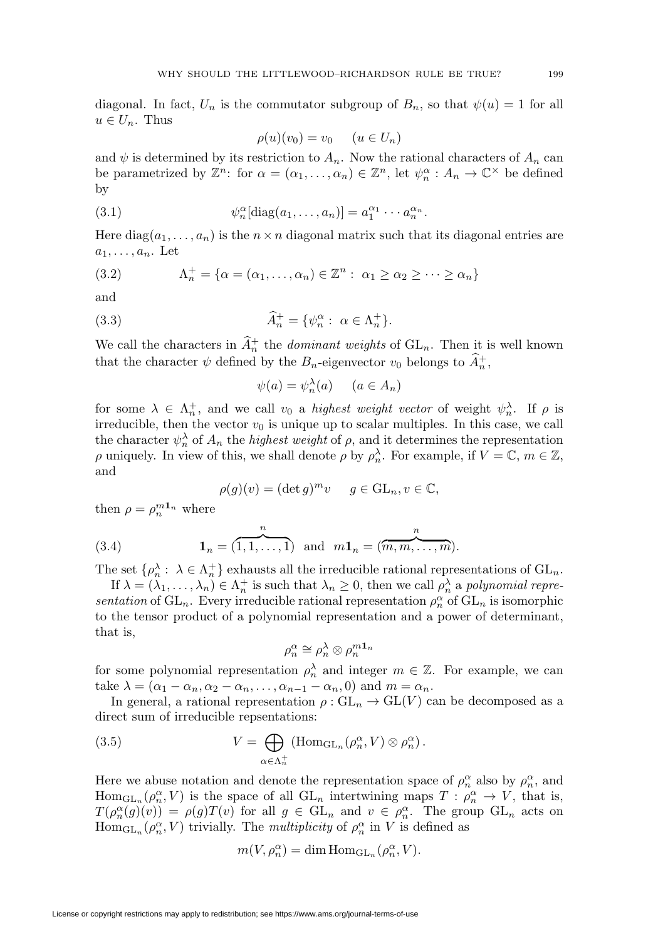diagonal. In fact,  $U_n$  is the commutator subgroup of  $B_n$ , so that  $\psi(u) = 1$  for all  $u \in U_n$ . Thus

$$
\rho(u)(v_0) = v_0 \qquad (u \in U_n)
$$

and  $\psi$  is determined by its restriction to  $A_n$ . Now the rational characters of  $A_n$  can be parametrized by  $\mathbb{Z}^n$ : for  $\alpha = (\alpha_1, \ldots, \alpha_n) \in \mathbb{Z}^n$ , let  $\psi_n^{\alpha} : A_n \to \mathbb{C}^{\times}$  be defined by

(3.1) 
$$
\psi_n^{\alpha}[\text{diag}(a_1,\ldots,a_n)] = a_1^{\alpha_1}\cdots a_n^{\alpha_n}.
$$

Here  $diag(a_1,...,a_n)$  is the  $n \times n$  diagonal matrix such that its diagonal entries are  $a_1,\ldots,a_n$ . Let

(3.2) 
$$
\Lambda_n^+ = \{ \alpha = (\alpha_1, \dots, \alpha_n) \in \mathbb{Z}^n : \ \alpha_1 \ge \alpha_2 \ge \dots \ge \alpha_n \}
$$

and

(3.3) 
$$
\widehat{A}_n^+ = \{ \psi_n^{\alpha} : \ \alpha \in \Lambda_n^+ \}.
$$

We call the characters in  $\widehat{A}_n^+$  the *dominant weights* of  $GL_n$ . Then it is well known that the character  $\psi$  defined by the  $B_n$ -eigenvector  $v_0$  belongs to  $\widehat{A}_n^+$ ,

$$
\psi(a) = \psi_n^{\lambda}(a) \qquad (a \in A_n)
$$

for some  $\lambda \in \Lambda_n^+$ , and we call  $v_0$  a *highest weight vector* of weight  $\psi_n^{\lambda}$ . If  $\rho$  is irreducible, then the vector  $v_0$  is unique up to scalar multiples. In this case, we call the character  $\psi_n^{\lambda}$  of  $A_n$  the *highest weight* of  $\rho$ , and it determines the representation  $\rho$  uniquely. In view of this, we shall denote  $\rho$  by  $\rho_n^{\lambda}$ . For example, if  $V = \mathbb{C}$ ,  $m \in \mathbb{Z}$ , and

$$
\rho(g)(v) = (\det g)^m v \quad g \in \mathrm{GL}_n, v \in \mathbb{C},
$$

then  $\rho = \rho_n^{m n}$  where

<span id="page-12-1"></span>(3.4) 
$$
\mathbf{1}_n = (\overbrace{1,1,\ldots,1}^n) \text{ and } m\mathbf{1}_n = (\overbrace{m,m,\ldots,m}^n).
$$

The set  $\{\rho_n^{\lambda} : \lambda \in \Lambda_n^+\}$  exhausts all the irreducible rational representations of  $\mathrm{GL}_n$ .

If  $\lambda = (\lambda_1, \dots, \lambda_n) \in \Lambda_n^+$  is such that  $\lambda_n \geq 0$ , then we call  $\rho_n^{\lambda}$  a polynomial representation of  $GL_n$ . Every irreducible rational representation  $\rho_n^{\alpha}$  of  $GL_n$  is isomorphic to the tensor product of a polynomial representation and a power of determinant, that is,

$$
\rho_n^{\alpha} \cong \rho_n^{\lambda} \otimes \rho_n^{m\mathbf{1}_n}
$$

for some polynomial representation  $\rho_n^{\lambda}$  and integer  $m \in \mathbb{Z}$ . For example, we can take  $\lambda = (\alpha_1 - \alpha_n, \alpha_2 - \alpha_n, \dots, \alpha_{n-1} - \alpha_n, 0)$  and  $m = \alpha_n$ .

In general, a rational representation  $\rho : GL_n \to GL(V)$  can be decomposed as a direct sum of irreducible repsentations:

<span id="page-12-0"></span>(3.5) 
$$
V = \bigoplus_{\alpha \in \Lambda_n^+} (\text{Hom}_{\text{GL}_n}(\rho_n^{\alpha}, V) \otimes \rho_n^{\alpha}).
$$

Here we abuse notation and denote the representation space of  $\rho_n^{\alpha}$  also by  $\rho_n^{\alpha}$ , and  $\text{Hom}_{\text{GL}_n}(\rho_n^{\alpha}, V)$  is the space of all  $\text{GL}_n$  intertwining maps  $T : \rho_n^{\alpha} \to V$ , that is,  $T(\rho_n^{\alpha}(g)(v)) = \rho(g)T(v)$  for all  $g \in GL_n$  and  $v \in \rho_n^{\alpha}$ . The group  $GL_n$  acts on  $\text{Hom}_{\text{GL}_n}(\rho_n^{\alpha}, V)$  trivially. The *multiplicity* of  $\rho_n^{\alpha}$  in V is defined as

$$
m(V, \rho_n^{\alpha}) = \dim \mathrm{Hom}_{\mathrm{GL}_n}(\rho_n^{\alpha}, V).
$$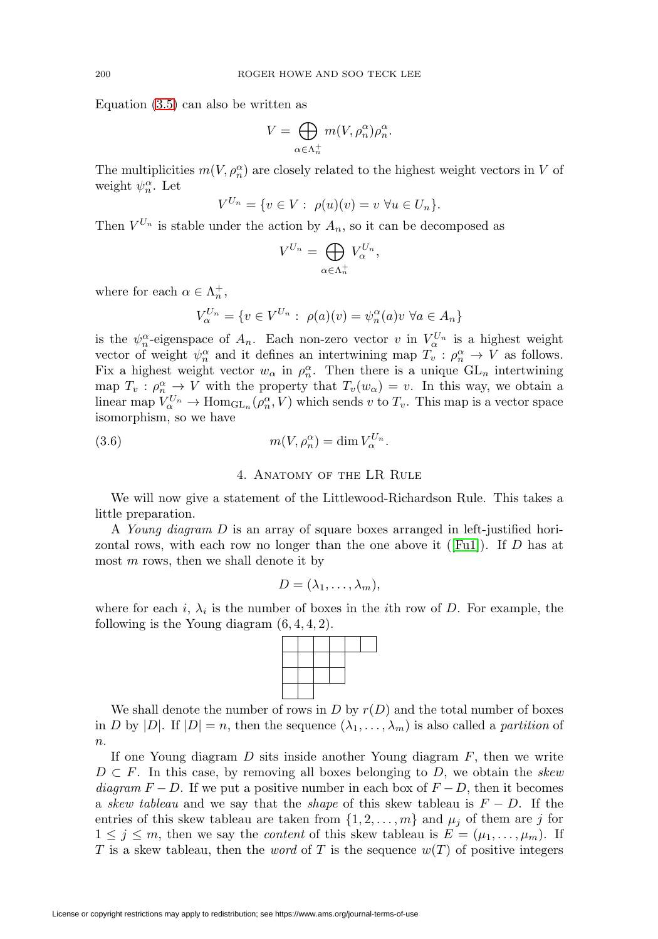Equation [\(3.5\)](#page-12-0) can also be written as

$$
V = \bigoplus_{\alpha \in \Lambda_n^+} m(V, \rho_n^{\alpha}) \rho_n^{\alpha}.
$$

The multiplicities  $m(V, \rho_n^{\alpha})$  are closely related to the highest weight vectors in V of weight  $\psi_n^{\alpha}$ . Let

$$
V^{U_n} = \{ v \in V : \ \rho(u)(v) = v \ \forall u \in U_n \}.
$$

Then  $V^{U_n}$  is stable under the action by  $A_n$ , so it can be decomposed as

$$
V^{U_n} = \bigoplus_{\alpha \in \Lambda_n^+} V_{\alpha}^{U_n},
$$

where for each  $\alpha \in \Lambda_n^+$ ,

$$
V_{\alpha}^{U_n} = \{ v \in V^{U_n} : \ \rho(a)(v) = \psi_n^{\alpha}(a)v \ \forall a \in A_n \}
$$

is the  $\psi_n^{\alpha}$ -eigenspace of  $A_n$ . Each non-zero vector v in  $V_\alpha^{U_n}$  is a highest weight vector of weight  $\psi_n^{\alpha}$  and it defines an intertwining map  $T_v : \rho_n^{\alpha} \to V$  as follows. Fix a highest weight vector  $w_{\alpha}$  in  $\rho_n^{\alpha}$ . Then there is a unique  $GL_n$  intertwining map  $T_v : \rho_n^{\alpha} \to V$  with the property that  $T_v(w_{\alpha}) = v$ . In this way, we obtain a linear map  $V_{\alpha}^{U_n} \to \text{Hom}_{\text{GL}_n}(\rho_n^{\alpha}, V)$  which sends v to  $T_v$ . This map is a vector space isomorphism, so we have

<span id="page-13-0"></span>(3.6) 
$$
m(V, \rho_n^{\alpha}) = \dim V_{\alpha}^{U_n}.
$$

### 4. Anatomy of the LR Rule

We will now give a statement of the Littlewood-Richardson Rule. This takes a little preparation.

A Young diagram D is an array of square boxes arranged in left-justified hori-zontal rows, with each row no longer than the one above it ([\[Fu1\]](#page-46-0)). If  $D$  has at most  $m$  rows, then we shall denote it by

$$
D=(\lambda_1,\ldots,\lambda_m),
$$

where for each i,  $\lambda_i$  is the number of boxes in the *i*th row of D. For example, the following is the Young diagram  $(6, 4, 4, 2)$ .



We shall denote the number of rows in  $D$  by  $r(D)$  and the total number of boxes in D by  $|D|$ . If  $|D| = n$ , then the sequence  $(\lambda_1, \ldots, \lambda_m)$  is also called a partition of  $n$ .

If one Young diagram  $D$  sits inside another Young diagram  $F$ , then we write  $D \subset F$ . In this case, by removing all boxes belonging to D, we obtain the skew diagram  $F - D$ . If we put a positive number in each box of  $F - D$ , then it becomes a skew tableau and we say that the shape of this skew tableau is  $F - D$ . If the entries of this skew tableau are taken from  $\{1, 2, ..., m\}$  and  $\mu_j$  of them are j for  $1 \leq j \leq m$ , then we say the *content* of this skew tableau is  $E = (\mu_1, \ldots, \mu_m)$ . If T is a skew tableau, then the *word* of T is the sequence  $w(T)$  of positive integers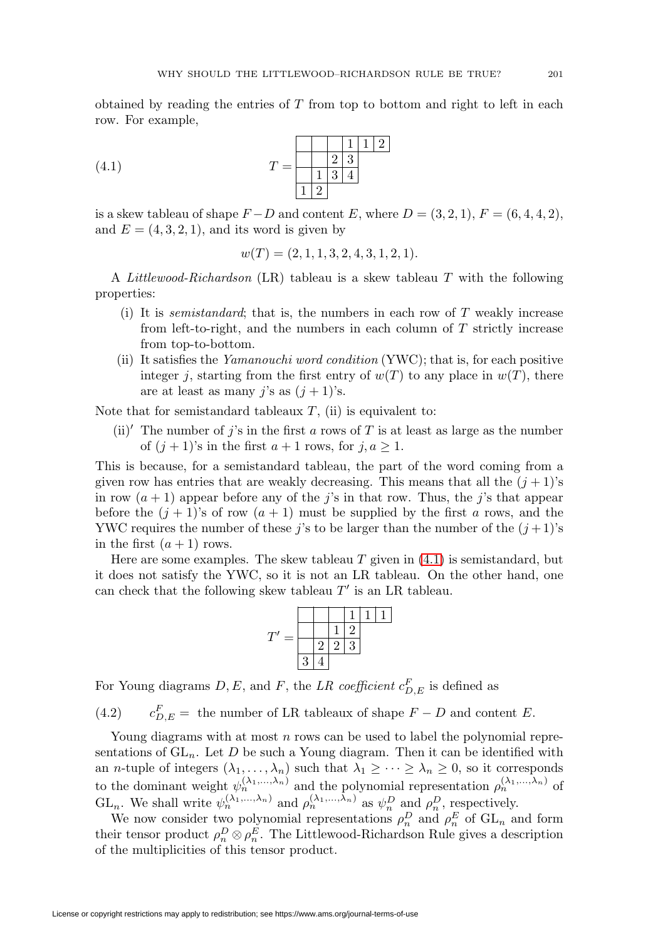obtained by reading the entries of  $T$  from top to bottom and right to left in each row. For example,

<span id="page-14-0"></span>(4.1) 
$$
T = \begin{array}{|c|c|c|c|c|} \hline & 1 & 1 & 2 \\ \hline 1 & 3 & 4 & \\ \hline 1 & 2 & \end{array}
$$

is a skew tableau of shape  $F - D$  and content E, where  $D = (3, 2, 1), F = (6, 4, 4, 2),$ and  $E = (4, 3, 2, 1)$ , and its word is given by

$$
w(T) = (2, 1, 1, 3, 2, 4, 3, 1, 2, 1).
$$

A Littlewood-Richardson (LR) tableau is a skew tableau T with the following properties:

- (i) It is *semistandard*; that is, the numbers in each row of  $T$  weakly increase from left-to-right, and the numbers in each column of  $T$  strictly increase from top-to-bottom.
- (ii) It satisfies the Yamanouchi word condition (YWC); that is, for each positive integer j, starting from the first entry of  $w(T)$  to any place in  $w(T)$ , there are at least as many j's as  $(j + 1)$ 's.

Note that for semistandard tableaux  $T$ , (ii) is equivalent to:

(ii)' The number of j's in the first a rows of T is at least as large as the number of  $(j + 1)$ 's in the first  $a + 1$  rows, for  $j, a \ge 1$ .

This is because, for a semistandard tableau, the part of the word coming from a given row has entries that are weakly decreasing. This means that all the  $(j + 1)$ 's in row  $(a + 1)$  appear before any of the j's in that row. Thus, the j's that appear before the  $(j + 1)$ 's of row  $(a + 1)$  must be supplied by the first a rows, and the YWC requires the number of these j's to be larger than the number of the  $(j+1)$ 's in the first  $(a + 1)$  rows.

Here are some examples. The skew tableau  $T$  given in  $(4.1)$  is semistandard, but it does not satisfy the YWC, so it is not an LR tableau. On the other hand, one can check that the following skew tableau  $T'$  is an LR tableau.

$$
T' = \frac{\begin{array}{|c|c|c|}\n\hline\n & 1 & 1 & 1 \\
\hline\n & 2 & 2 & 3 \\
\hline\n & 3 & 4\n\end{array}}
$$

For Young diagrams  $D, E$ , and F, the LR coefficient  $c_{D,E}^F$  is defined as

 $(4.2)$  $c_{D,E}^F =$  the number of LR tableaux of shape  $F - D$  and content E.

Young diagrams with at most  $n$  rows can be used to label the polynomial representations of  $GL_n$ . Let D be such a Young diagram. Then it can be identified with an *n*-tuple of integers  $(\lambda_1,\ldots,\lambda_n)$  such that  $\lambda_1 \geq \cdots \geq \lambda_n \geq 0$ , so it corresponds to the dominant weight  $\psi_n^{(\lambda_1,\ldots,\lambda_n)}$  and the polynomial representation  $\rho_n^{(\lambda_1,\ldots,\lambda_n)}$  of GL<sub>n</sub>. We shall write  $\psi_n^{(\lambda_1,\ldots,\lambda_n)}$  and  $\rho_n^{(\lambda_1,\ldots,\lambda_n)}$  as  $\psi_n^D$  and  $\rho_n^D$ , respectively.

We now consider two polynomial representations  $\rho_n^D$  and  $\rho_n^E$  of  $GL_n$  and form their tensor product  $\rho_n^D \otimes \rho_n^E$ . The Littlewood-Richardson Rule gives a description of the multiplicities of this tensor product.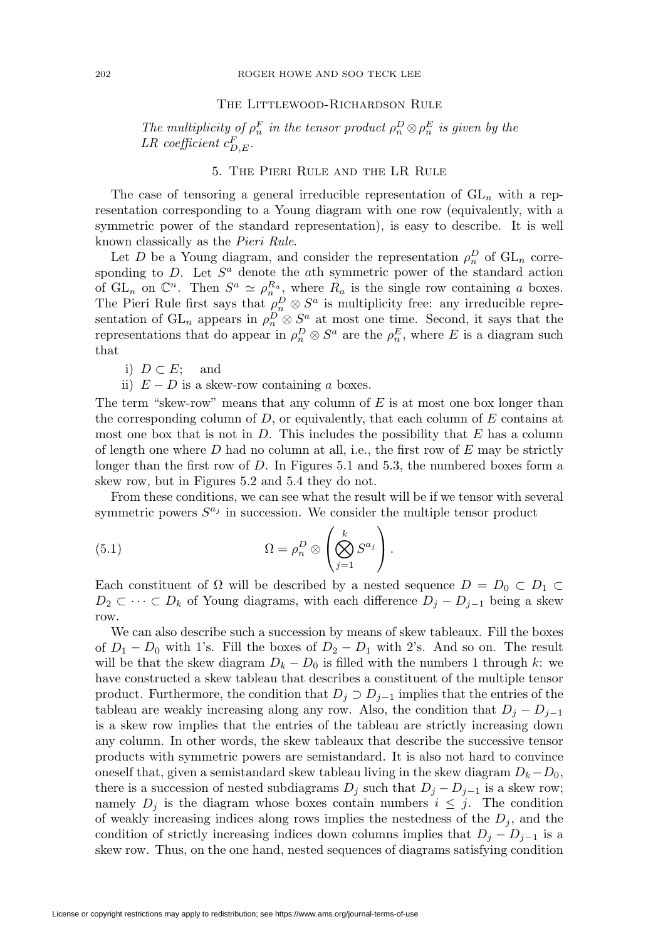### The Littlewood-Richardson Rule

The multiplicity of  $\rho_n^F$  in the tensor product  $\rho_n^D \otimes \rho_n^E$  is given by the LR coefficient  $c_{D,E}^F$ .

# 5. The Pieri Rule and the LR Rule

<span id="page-15-1"></span>The case of tensoring a general irreducible representation of  $GL_n$  with a representation corresponding to a Young diagram with one row (equivalently, with a symmetric power of the standard representation), is easy to describe. It is well known classically as the Pieri Rule.

Let D be a Young diagram, and consider the representation  $\rho_n^D$  of  $GL_n$  corresponding to  $D$ . Let  $S^a$  denote the ath symmetric power of the standard action of  $GL_n$  on  $\mathbb{C}^n$ . Then  $S^a \simeq \rho_n^{R_a}$ , where  $R_a$  is the single row containing a boxes. The Pieri Rule first says that  $\rho_n^D \otimes S^a$  is multiplicity free: any irreducible representation of  $GL_n$  appears in  $\rho_n^D \otimes S^a$  at most one time. Second, it says that the representations that do appear in  $\rho_n^D \otimes S^a$  are the  $\rho_n^E$ , where E is a diagram such that

- i)  $D \subset E$ ; and
- ii)  $E D$  is a skew-row containing a boxes.

The term "skew-row" means that any column of  $E$  is at most one box longer than the corresponding column of  $D$ , or equivalently, that each column of  $E$  contains at most one box that is not in  $D$ . This includes the possibility that  $E$  has a column of length one where  $D$  had no column at all, i.e., the first row of  $E$  may be strictly longer than the first row of D. In Figures 5.1 and 5.3, the numbered boxes form a skew row, but in Figures 5.2 and 5.4 they do not.

From these conditions, we can see what the result will be if we tensor with several symmetric powers  $S^{a_j}$  in succession. We consider the multiple tensor product

<span id="page-15-0"></span>(5.1) 
$$
\Omega = \rho_n^D \otimes \left(\bigotimes_{j=1}^k S^{a_j}\right).
$$

Each constituent of  $\Omega$  will be described by a nested sequence  $D = D_0 \subset D_1 \subset$  $D_2 \subset \cdots \subset D_k$  of Young diagrams, with each difference  $D_j - D_{j-1}$  being a skew row.

We can also describe such a succession by means of skew tableaux. Fill the boxes of  $D_1 - D_0$  with 1's. Fill the boxes of  $D_2 - D_1$  with 2's. And so on. The result will be that the skew diagram  $D_k - D_0$  is filled with the numbers 1 through k: we have constructed a skew tableau that describes a constituent of the multiple tensor product. Furthermore, the condition that  $D_j \supset D_{j-1}$  implies that the entries of the tableau are weakly increasing along any row. Also, the condition that  $D_i - D_{i-1}$ is a skew row implies that the entries of the tableau are strictly increasing down any column. In other words, the skew tableaux that describe the successive tensor products with symmetric powers are semistandard. It is also not hard to convince oneself that, given a semistandard skew tableau living in the skew diagram  $D_k-D_0$ , there is a succession of nested subdiagrams  $D_j$  such that  $D_j - D_{j-1}$  is a skew row; namely  $D_i$  is the diagram whose boxes contain numbers  $i \leq j$ . The condition of weakly increasing indices along rows implies the nestedness of the  $D_i$ , and the condition of strictly increasing indices down columns implies that  $D_j - D_{j-1}$  is a skew row. Thus, on the one hand, nested sequences of diagrams satisfying condition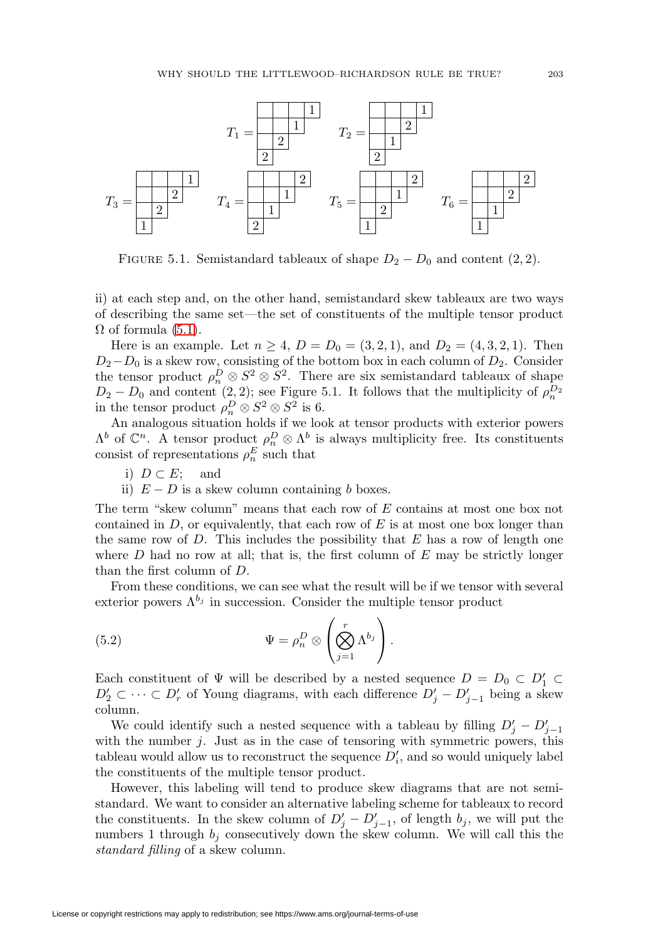

FIGURE 5.1. Semistandard tableaux of shape  $D_2 - D_0$  and content  $(2, 2)$ .

ii) at each step and, on the other hand, semistandard skew tableaux are two ways of describing the same set—the set of constituents of the multiple tensor product  $\Omega$  of formula [\(5.1\)](#page-15-0).

Here is an example. Let  $n \ge 4$ ,  $D = D_0 = (3, 2, 1)$ , and  $D_2 = (4, 3, 2, 1)$ . Then  $D_2-D_0$  is a skew row, consisting of the bottom box in each column of  $D_2$ . Consider the tensor product  $\rho_n^D \otimes S^2 \otimes S^2$ . There are six semistandard tableaux of shape  $D_2 - D_0$  and content (2, 2); see Figure 5.1. It follows that the multiplicity of  $\rho_n^{D_2}$  in the tensor product  $\rho_n^D \otimes S^2 \otimes S^2$  is 6.

An analogous situation holds if we look at tensor products with exterior powers  $\Lambda^b$  of  $\mathbb{C}^n$ . A tensor product  $\rho_n^D \otimes \Lambda^b$  is always multiplicity free. Its constituents consist of representations  $\rho_n^E$  such that

- i)  $D \subset E$ ; and
- ii)  $E D$  is a skew column containing b boxes.

The term "skew column" means that each row of E contains at most one box not contained in  $D$ , or equivalently, that each row of  $E$  is at most one box longer than the same row of  $D$ . This includes the possibility that  $E$  has a row of length one where  $D$  had no row at all; that is, the first column of  $E$  may be strictly longer than the first column of D.

From these conditions, we can see what the result will be if we tensor with several exterior powers  $\Lambda^{b_j}$  in succession. Consider the multiple tensor product

<span id="page-16-0"></span>(5.2) 
$$
\Psi = \rho_n^D \otimes \left(\bigotimes_{j=1}^r \Lambda^{b_j}\right).
$$

Each constituent of  $\Psi$  will be described by a nested sequence  $D = D_0 \subset D'_1 \subset$  $D'_2 \subset \cdots \subset D'_r$  of Young diagrams, with each difference  $D'_j - D'_{j-1}$  being a skew column.

We could identify such a nested sequence with a tableau by filling  $D'_j - D'_{j-1}$ with the number  $j$ . Just as in the case of tensoring with symmetric powers, this tableau would allow us to reconstruct the sequence  $D_i'$ , and so would uniquely label the constituents of the multiple tensor product.

However, this labeling will tend to produce skew diagrams that are not semistandard. We want to consider an alternative labeling scheme for tableaux to record the constituents. In the skew column of  $D'_j - D'_{j-1}$ , of length  $b_j$ , we will put the numbers 1 through  $b_j$  consecutively down the skew column. We will call this the standard filling of a skew column.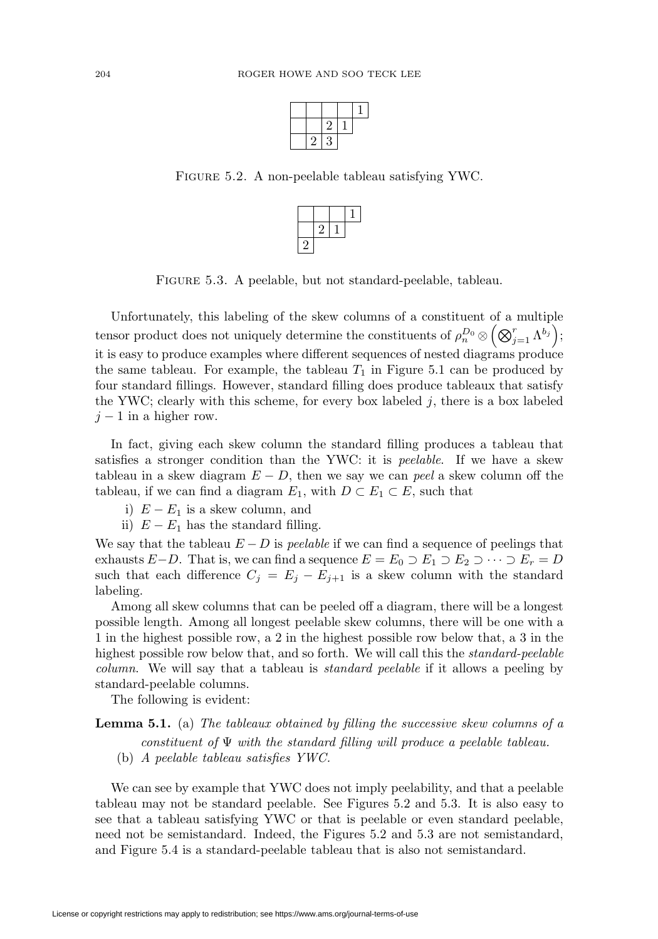|    | ٠,<br>۷ |  |
|----|---------|--|
| ۰, | 3       |  |

Figure 5.2. A non-peelable tableau satisfying YWC.



Figure 5.3. A peelable, but not standard-peelable, tableau.

Unfortunately, this labeling of the skew columns of a constituent of a multiple tensor product does not uniquely determine the constituents of  $\rho_n^{D_0} \otimes \left(\bigotimes_{j=1}^r \Lambda^{b_j}\right);$ it is easy to produce examples where different sequences of nested diagrams produce the same tableau. For example, the tableau  $T_1$  in Figure 5.1 can be produced by four standard fillings. However, standard filling does produce tableaux that satisfy the YWC; clearly with this scheme, for every box labeled  $j$ , there is a box labeled  $j-1$  in a higher row.

In fact, giving each skew column the standard filling produces a tableau that satisfies a stronger condition than the YWC: it is peelable. If we have a skew tableau in a skew diagram  $E - D$ , then we say we can *peel* a skew column off the tableau, if we can find a diagram  $E_1$ , with  $D \subset E_1 \subset E$ , such that

- i)  $E E_1$  is a skew column, and
- ii)  $E E_1$  has the standard filling.

We say that the tableau  $E - D$  is *peelable* if we can find a sequence of peelings that exhausts  $E-D$ . That is, we can find a sequence  $E = E_0 \supset E_1 \supset E_2 \supset \cdots \supset E_r = D$ such that each difference  $C_j = E_j - E_{j+1}$  is a skew column with the standard labeling.

Among all skew columns that can be peeled off a diagram, there will be a longest possible length. Among all longest peelable skew columns, there will be one with a 1 in the highest possible row, a 2 in the highest possible row below that, a 3 in the highest possible row below that, and so forth. We will call this the *standard-peelable* column. We will say that a tableau is standard peelable if it allows a peeling by standard-peelable columns.

The following is evident:

**Lemma 5.1.** (a) The tableaux obtained by filling the successive skew columns of a constituent of  $\Psi$  with the standard filling will produce a peelable tableau.

(b) A peelable tableau satisfies YWC.

We can see by example that YWC does not imply peelability, and that a peelable tableau may not be standard peelable. See Figures 5.2 and 5.3. It is also easy to see that a tableau satisfying YWC or that is peelable or even standard peelable, need not be semistandard. Indeed, the Figures 5.2 and 5.3 are not semistandard, and Figure 5.4 is a standard-peelable tableau that is also not semistandard.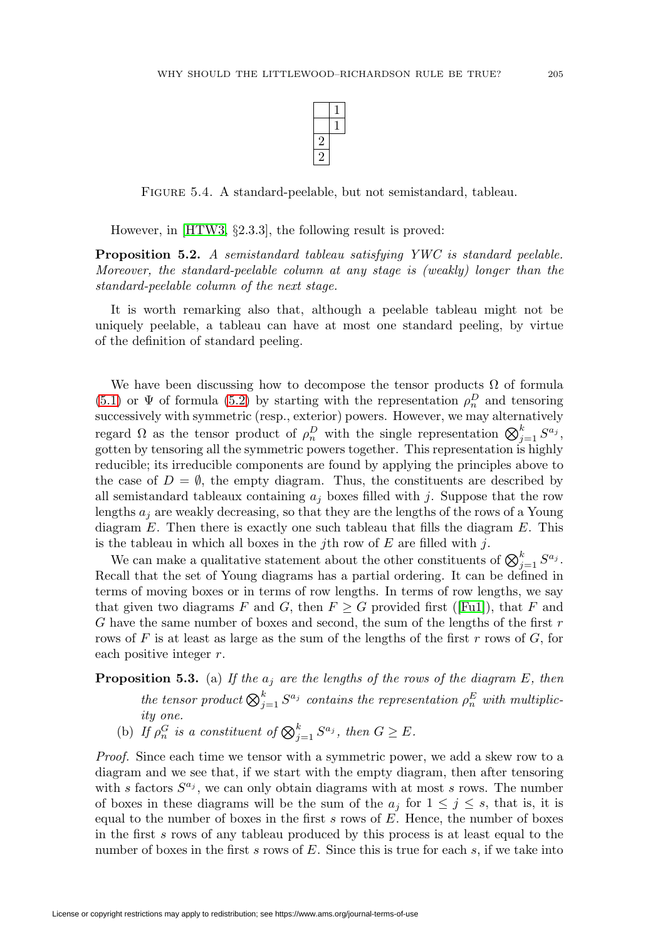

Figure 5.4. A standard-peelable, but not semistandard, tableau.

However, in [\[HTW3,](#page-47-2) §2.3.3], the following result is proved:

<span id="page-18-1"></span>**Proposition 5.2.** A semistandard tableau satisfying YWC is standard peelable. Moreover, the standard-peelable column at any stage is (weakly) longer than the standard-peelable column of the next stage.

It is worth remarking also that, although a peelable tableau might not be uniquely peelable, a tableau can have at most one standard peeling, by virtue of the definition of standard peeling.

We have been discussing how to decompose the tensor products  $\Omega$  of formula [\(5.1\)](#page-15-0) or  $\Psi$  of formula [\(5.2\)](#page-16-0) by starting with the representation  $\rho_n^D$  and tensoring successively with symmetric (resp., exterior) powers. However, we may alternatively regard  $\Omega$  as the tensor product of  $\rho_n^D$  with the single representation  $\bigotimes_{j=1}^k S^{a_j}$ , gotten by tensoring all the symmetric powers together. This representation is highly reducible; its irreducible components are found by applying the principles above to the case of  $D = \emptyset$ , the empty diagram. Thus, the constituents are described by all semistandard tableaux containing  $a_i$  boxes filled with j. Suppose that the row lengths  $a_i$  are weakly decreasing, so that they are the lengths of the rows of a Young diagram  $E$ . Then there is exactly one such tableau that fills the diagram  $E$ . This is the tableau in which all boxes in the jth row of  $E$  are filled with j.

We can make a qualitative statement about the other constituents of  $\bigotimes_{j=1}^k S^{a_j}$ . Recall that the set of Young diagrams has a partial ordering. It can be defined in terms of moving boxes or in terms of row lengths. In terms of row lengths, we say that given two diagrams F and G, then  $F \geq G$  provided first ([\[Fu1\]](#page-46-0)), that F and G have the same number of boxes and second, the sum of the lengths of the first  $r$ rows of F is at least as large as the sum of the lengths of the first  $r$  rows of  $G$ , for each positive integer r.

<span id="page-18-0"></span>**Proposition 5.3.** (a) If the  $a_j$  are the lengths of the rows of the diagram E, then

the tensor product  $\bigotimes_{j=1}^k S^{a_j}$  contains the representation  $\rho_n^E$  with multiplicity one.

(b) If  $\rho_n^G$  is a constituent of  $\bigotimes_{j=1}^k S^{a_j}$ , then  $G \geq E$ .

Proof. Since each time we tensor with a symmetric power, we add a skew row to a diagram and we see that, if we start with the empty diagram, then after tensoring with s factors  $S^{a_j}$ , we can only obtain diagrams with at most s rows. The number of boxes in these diagrams will be the sum of the  $a_j$  for  $1 \leq j \leq s$ , that is, it is equal to the number of boxes in the first  $s$  rows of  $E$ . Hence, the number of boxes in the first s rows of any tableau produced by this process is at least equal to the number of boxes in the first s rows of  $E$ . Since this is true for each s, if we take into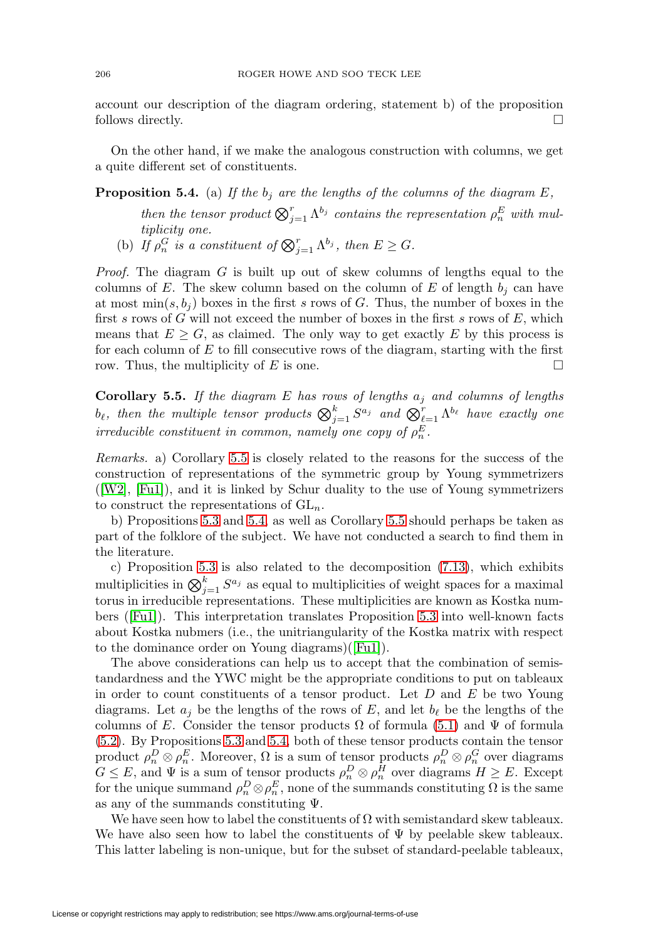account our description of the diagram ordering, statement b) of the proposition follows directly.  $\Box$ 

On the other hand, if we make the analogous construction with columns, we get a quite different set of constituents.

# <span id="page-19-1"></span>**Proposition 5.4.** (a) If the  $b_j$  are the lengths of the columns of the diagram E,

then the tensor product  $\bigotimes_{j=1}^r \Lambda^{b_j}$  contains the representation  $\rho_n^E$  with multiplicity one.

(b) If  $\rho_n^G$  is a constituent of  $\bigotimes_{j=1}^r \Lambda^{b_j}$ , then  $E \geq G$ .

*Proof.* The diagram  $G$  is built up out of skew columns of lengths equal to the columns of E. The skew column based on the column of E of length  $b_i$  can have at most  $\min(s, b_i)$  boxes in the first s rows of G. Thus, the number of boxes in the first s rows of G will not exceed the number of boxes in the first s rows of  $E$ , which means that  $E \geq G$ , as claimed. The only way to get exactly E by this process is for each column of  $E$  to fill consecutive rows of the diagram, starting with the first row. Thus, the multiplicity of E is one.  $\Box$ 

<span id="page-19-0"></span>**Corollary 5.5.** If the diagram E has rows of lengths  $a_i$  and columns of lengths  $b_\ell$ , then the multiple tensor products  $\bigotimes_{j=1}^k S^{a_j}$  and  $\bigotimes_{\ell=1}^r \Lambda^{b_\ell}$  have exactly one irreducible constituent in common, namely one copy of  $\rho_n^E$ .

Remarks. a) Corollary [5.5](#page-19-0) is closely related to the reasons for the success of the construction of representations of the symmetric group by Young symmetrizers ([\[W2\]](#page-49-3), [\[Fu1\]](#page-46-0)), and it is linked by Schur duality to the use of Young symmetrizers to construct the representations of  $GL_n$ .

b) Propositions [5.3](#page-18-0) and [5.4,](#page-19-1) as well as Corollary [5.5](#page-19-0) should perhaps be taken as part of the folklore of the subject. We have not conducted a search to find them in the literature.

c) Proposition [5.3](#page-18-0) is also related to the decomposition [\(7.13\)](#page-28-0), which exhibits multiplicities in  $\bigotimes_{j=1}^k S^{a_j}$  as equal to multiplicities of weight spaces for a maximal torus in irreducible representations. These multiplicities are known as Kostka numbers ([\[Fu1\]](#page-46-0)). This interpretation translates Proposition [5.3](#page-18-0) into well-known facts about Kostka nubmers (i.e., the unitriangularity of the Kostka matrix with respect to the dominance order on Young diagrams)([\[Fu1\]](#page-46-0)).

The above considerations can help us to accept that the combination of semistandardness and the YWC might be the appropriate conditions to put on tableaux in order to count constituents of a tensor product. Let  $D$  and  $E$  be two Young diagrams. Let  $a_i$  be the lengths of the rows of E, and let  $b_\ell$  be the lengths of the columns of E. Consider the tensor products  $\Omega$  of formula [\(5.1\)](#page-15-0) and  $\Psi$  of formula [\(5.2\)](#page-16-0). By Propositions [5.3](#page-18-0) and [5.4,](#page-19-1) both of these tensor products contain the tensor product  $\rho_n^D \otimes \rho_n^E$ . Moreover,  $\Omega$  is a sum of tensor products  $\rho_n^D \otimes \rho_n^G$  over diagrams  $G \leq E$ , and  $\Psi$  is a sum of tensor products  $\rho_n^D \otimes \rho_n^H$  over diagrams  $H \geq E$ . Except for the unique summand  $\rho_n^D \otimes \rho_n^E$ , none of the summands constituting  $\Omega$  is the same as any of the summands constituting  $\Psi$ .

We have seen how to label the constituents of  $\Omega$  with semistandard skew tableaux. We have also seen how to label the constituents of  $\Psi$  by peelable skew tableaux. This latter labeling is non-unique, but for the subset of standard-peelable tableaux,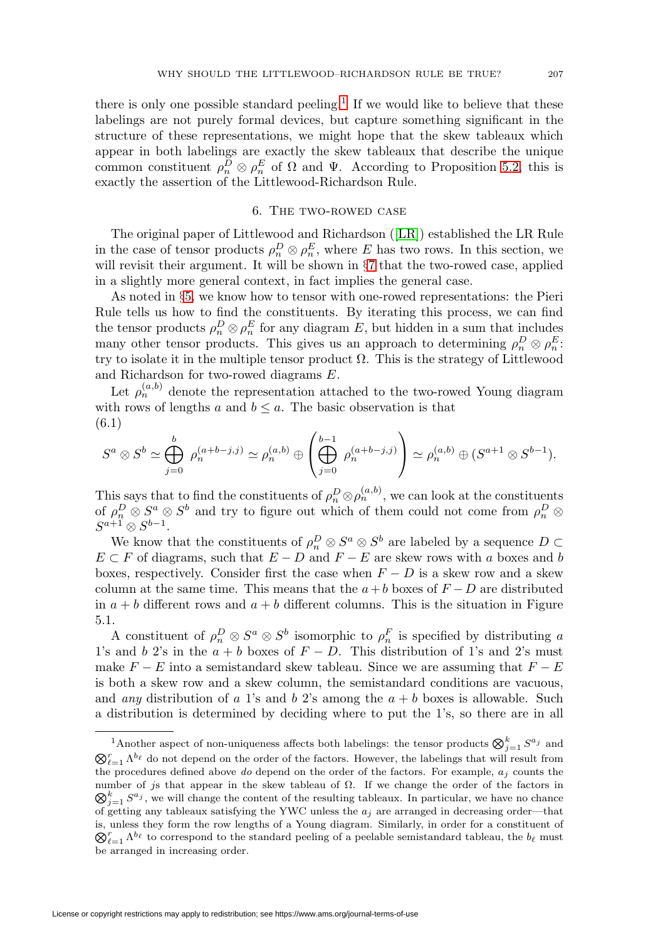there is only one possible standard peeling.<sup>[1](#page-20-0)</sup> If we would like to believe that these labelings are not purely formal devices, but capture something significant in the structure of these representations, we might hope that the skew tableaux which appear in both labelings are exactly the skew tableaux that describe the unique common constituent  $\rho_n^D \otimes \rho_n^E$  of  $\Omega$  and  $\Psi$ . According to Proposition [5.2,](#page-18-1) this is exactly the assertion of the Littlewood-Richardson Rule.

# 6. The two-rowed case

The original paper of Littlewood and Richardson ([\[LR\]](#page-48-0)) established the LR Rule in the case of tensor products  $\rho_n^D \otimes \rho_n^E$ , where E has two rows. In this section, we will revisit their argument. It will be shown in §[7](#page-25-0) that the two-rowed case, applied in a slightly more general context, in fact implies the general case.

As noted in §[5,](#page-15-1) we know how to tensor with one-rowed representations: the Pieri Rule tells us how to find the constituents. By iterating this process, we can find the tensor products  $\rho_n^D \otimes \rho_n^E$  for any diagram E, but hidden in a sum that includes many other tensor products. This gives us an approach to determining  $\rho_n^D \otimes \rho_n^E$ : try to isolate it in the multiple tensor product  $\Omega$ . This is the strategy of Littlewood and Richardson for two-rowed diagrams E.

Let  $\rho_n^{(a,b)}$  denote the representation attached to the two-rowed Young diagram with rows of lengths a and  $b \leq a$ . The basic observation is that (6.1)

<span id="page-20-1"></span>
$$
S^a \otimes S^b \simeq \bigoplus_{j=0}^b \ \rho_n^{(a+b-j,j)} \simeq \rho_n^{(a,b)} \oplus \left( \bigoplus_{j=0}^{b-1} \ \rho_n^{(a+b-j,j)} \right) \simeq \rho_n^{(a,b)} \oplus (S^{a+1} \otimes S^{b-1}).
$$

This says that to find the constituents of  $\rho_n^D \otimes \rho_n^{(a,b)}$ , we can look at the constituents of  $\rho_n^D \otimes S^a \otimes S^b$  and try to figure out which of them could not come from  $\rho_n^D \otimes$  $S^{a+1}\otimes S^{b-1}.$ 

We know that the constituents of  $\rho_n^D \otimes S^a \otimes S^b$  are labeled by a sequence  $D \subset$  $E \subset F$  of diagrams, such that  $E - D$  and  $F - E$  are skew rows with a boxes and b boxes, respectively. Consider first the case when  $F - D$  is a skew row and a skew column at the same time. This means that the  $a+b$  boxes of  $F-D$  are distributed in  $a + b$  different rows and  $a + b$  different columns. This is the situation in Figure 5.1.

A constituent of  $\rho_n^D \otimes S^a \otimes S^b$  isomorphic to  $\rho_n^F$  is specified by distributing a 1's and b 2's in the  $a + b$  boxes of  $F - D$ . This distribution of 1's and 2's must make  $F - E$  into a semistandard skew tableau. Since we are assuming that  $F - E$ is both a skew row and a skew column, the semistandard conditions are vacuous, and *any* distribution of a 1's and b 2's among the  $a + b$  boxes is allowable. Such a distribution is determined by deciding where to put the 1's, so there are in all

<span id="page-20-0"></span><sup>&</sup>lt;sup>1</sup>Another aspect of non-uniqueness affects both labelings: the tensor products  $\bigotimes_{j=1}^{k} S^{a_j}$  and  $\bigotimes_{\ell=1}^r \Lambda^{b_\ell}$  do not depend on the order of the factors. However, the labelings that will result from the procedures defined above do depend on the order of the factors. For example,  $a_i$  counts the number of js that appear in the skew tableau of  $\Omega$ . If we change the order of the factors in  $\bigotimes_{j=1}^k S^{a_j}$ , we will change the content of the resulting tableaux. In particular, we have no chance of getting any tableaux satisfying the YWC unless the  $a_j$  are arranged in decreasing order—that is, unless they form the row lengths of a Young diagram. Similarly, in order for a constituent of  $\bigotimes_{\ell=1}^r \Lambda^{b_\ell}$  to correspond to the standard peeling of a peelable semistandard tableau, the  $b_\ell$  must be arranged in increasing order.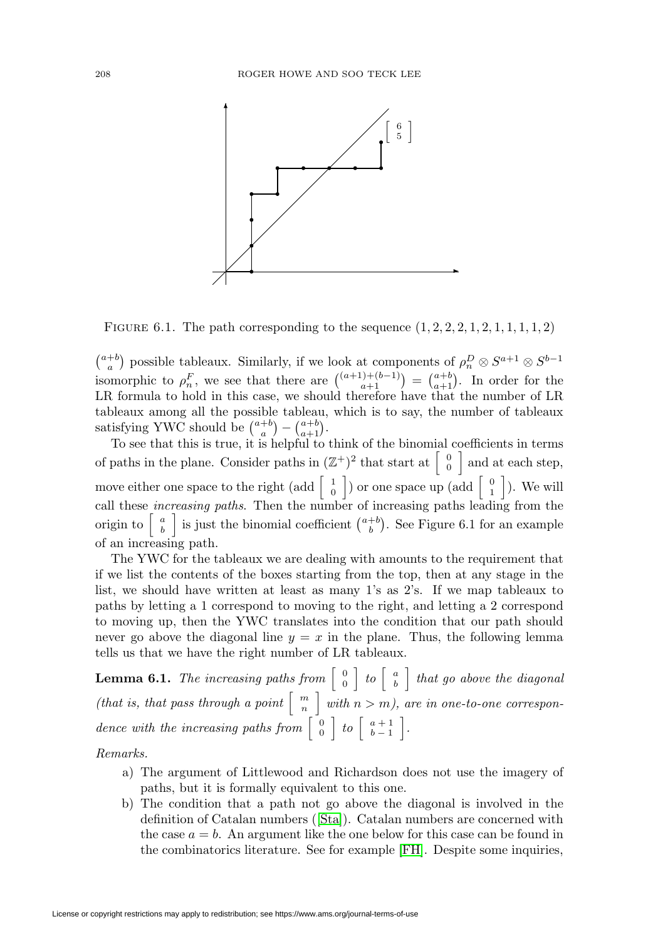

FIGURE 6.1. The path corresponding to the sequence  $(1, 2, 2, 2, 1, 2, 1, 1, 1, 1, 2)$ 

 $\binom{a+b}{a}$  possible tableaux. Similarly, if we look at components of  $\rho_n^D \otimes S^{a+1} \otimes S^{b-1}$ isomorphic to  $\rho_n^F$ , we see that there are  $\binom{(a+1)+(b-1)}{a+1} = \binom{a+b}{a+1}$ . In order for the LR formula to hold in this case, we should therefore have that the number of LR tableaux among all the possible tableau, which is to say, the number of tableaux satisfying YWC should be  $\binom{a+b}{a} - \binom{a+b}{a+1}$ .

To see that this is true, it is helpful to think of the binomial coefficients in terms of paths in the plane. Consider paths in  $(\mathbb{Z}^+)^2$  that start at  $\begin{bmatrix} 0 \\ 0 \end{bmatrix}$  and at each step, move either one space to the right (add  $\begin{bmatrix} 1 \\ 0 \end{bmatrix}$ ) or one space up (add  $\begin{bmatrix} 0 \\ 1 \end{bmatrix}$ ). We will call these increasing paths. Then the number of increasing paths leading from the origin to  $\begin{bmatrix} a \\ b \end{bmatrix}$  is just the binomial coefficient  $\binom{a+b}{b}$ . See Figure 6.1 for an example of an increasing path.

The YWC for the tableaux we are dealing with amounts to the requirement that if we list the contents of the boxes starting from the top, then at any stage in the list, we should have written at least as many 1's as 2's. If we map tableaux to paths by letting a 1 correspond to moving to the right, and letting a 2 correspond to moving up, then the YWC translates into the condition that our path should never go above the diagonal line  $y = x$  in the plane. Thus, the following lemma tells us that we have the right number of LR tableaux.

<span id="page-21-0"></span>**Lemma 6.1.** The increasing paths from  $\begin{bmatrix} 0 \\ 0 \end{bmatrix}$  to  $\begin{bmatrix} a \\ b \end{bmatrix}$  that go above the diagonal (that is, that pass through a point  $\begin{bmatrix} m \\ n \end{bmatrix}$  with  $n > m$ ), are in one-to-one correspondence with the increasing paths from  $\begin{bmatrix} 0 \\ 0 \end{bmatrix}$  to  $\begin{bmatrix} a+1 \\ b-1 \end{bmatrix}$ .

Remarks.

- a) The argument of Littlewood and Richardson does not use the imagery of paths, but it is formally equivalent to this one.
- b) The condition that a path not go above the diagonal is involved in the definition of Catalan numbers ([\[Sta\]](#page-48-19)). Catalan numbers are concerned with the case  $a = b$ . An argument like the one below for this case can be found in the combinatorics literature. See for example [\[FH\]](#page-46-5). Despite some inquiries,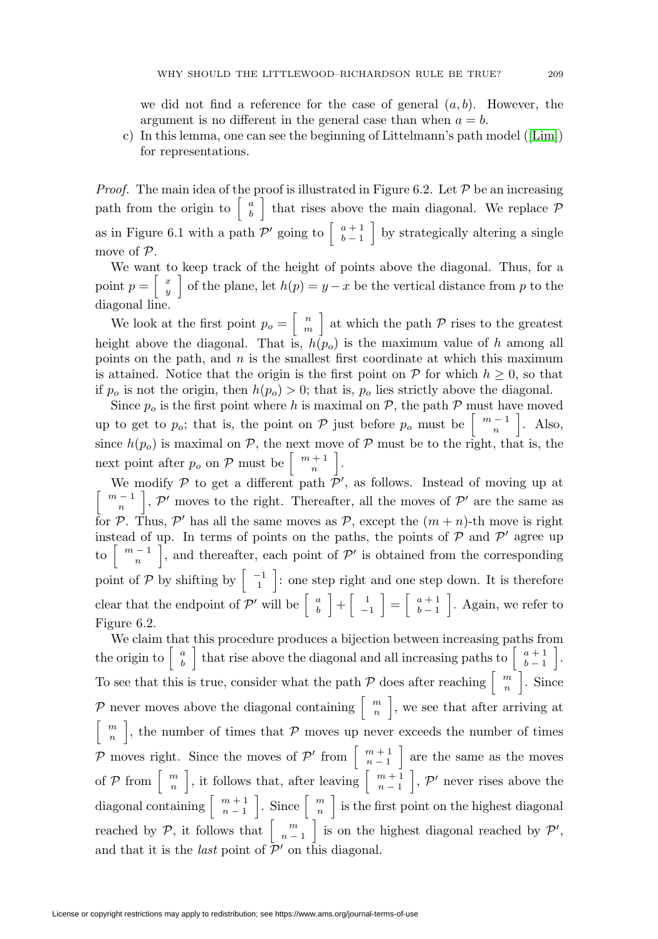we did not find a reference for the case of general  $(a, b)$ . However, the argument is no different in the general case than when  $a = b$ .

c) In this lemma, one can see the beginning of Littelmann's path model ([\[Lim\]](#page-48-8)) for representations.

*Proof.* The main idea of the proof is illustrated in Figure 6.2. Let  $P$  be an increasing path from the origin to  $\begin{bmatrix} a \\ b \end{bmatrix}$  that rises above the main diagonal. We replace  $\mathcal{P}$ as in Figure 6.1 with a path  $\mathcal{P}'$  going to  $\begin{bmatrix} a+1 \\ b-1 \end{bmatrix}$  by strategically altering a single move of P.

We want to keep track of the height of points above the diagonal. Thus, for a point  $p = \begin{bmatrix} x \\ y \end{bmatrix}$  of the plane, let  $h(p) = y - x$  be the vertical distance from p to the diagonal line.

We look at the first point  $p_o = \begin{bmatrix} n \\ m \end{bmatrix}$  at which the path  $P$  rises to the greatest height above the diagonal. That is,  $h(p<sub>o</sub>)$  is the maximum value of h among all points on the path, and  $n$  is the smallest first coordinate at which this maximum is attained. Notice that the origin is the first point on  $P$  for which  $h \geq 0$ , so that if  $p_o$  is not the origin, then  $h(p_o) > 0$ ; that is,  $p_o$  lies strictly above the diagonal.

Since  $p_o$  is the first point where h is maximal on  $P$ , the path  $P$  must have moved up to get to  $p_o$ ; that is, the point on  $P$  just before  $p_o$  must be  $\left\lceil \frac{m-1}{n} \right\rceil$ . Also, since  $h(p_0)$  is maximal on P, the next move of P must be to the right, that is, the next point after  $p_o$  on  $P$  must be  $\begin{bmatrix} m+1 \\ n \end{bmatrix}$ .

We modify  $P$  to get a different path  $P'$ , as follows. Instead of moving up at  $\left[\begin{array}{c}m-1\\n\end{array}\right]$ ,  $\mathcal{P}'$  moves to the right. Thereafter, all the moves of  $\mathcal{P}'$  are the same as for P. Thus, P' has all the same moves as P, except the  $(m+n)$ -th move is right instead of up. In terms of points on the paths, the points of  $P$  and  $P'$  agree up to  $\begin{bmatrix} m-1 \\ n \end{bmatrix}$ , and thereafter, each point of  $\mathcal{P}'$  is obtained from the corresponding point of P by shifting by  $\begin{bmatrix} -1 \\ 1 \end{bmatrix}$ : one step right and one step down. It is therefore clear that the endpoint of P' will be  $\begin{bmatrix} a \\ b \end{bmatrix} + \begin{bmatrix} 1 \\ -1 \end{bmatrix}$ −1  $=\begin{bmatrix} a+1 \\ b-1 \end{bmatrix}$  $b-1$  . Again, we refer to Figure 6.2.

We claim that this procedure produces a bijection between increasing paths from the origin to  $\begin{bmatrix} a \\ b \end{bmatrix}$  that rise above the diagonal and all increasing paths to  $\begin{bmatrix} a+1 \\ b-1 \end{bmatrix}$  . To see that this is true, consider what the path  $P$  does after reaching  $\begin{bmatrix} m \\ n \end{bmatrix}$ . Since P never moves above the diagonal containing  $\begin{bmatrix} m \\ n \end{bmatrix}$ , we see that after arriving at  $\begin{bmatrix} m \\ n \end{bmatrix}$ , the number of times that P moves up never exceeds the number of times P moves right. Since the moves of  $\mathcal{P}'$  from  $\begin{bmatrix} m+1 \\ n-1 \end{bmatrix}$  are the same as the moves of  $P$  from  $\begin{bmatrix} m \\ n \end{bmatrix}$ , it follows that, after leaving  $\begin{bmatrix} m+1 \\ n-1 \end{bmatrix}$  $\left. \right.$ ,  $\mathcal{P}'$  never rises above the diagonal containing  $\begin{bmatrix} m+1 \\ n-1 \end{bmatrix}$ Since  $\begin{bmatrix} m \\ n \end{bmatrix}$  is the first point on the highest diagonal reached by  $P$ , it follows that  $\begin{bmatrix} m \\ n-1 \end{bmatrix}$ is on the highest diagonal reached by  $\mathcal{P}'$ , and that it is the *last* point of  $\overline{P}'$  on this diagonal.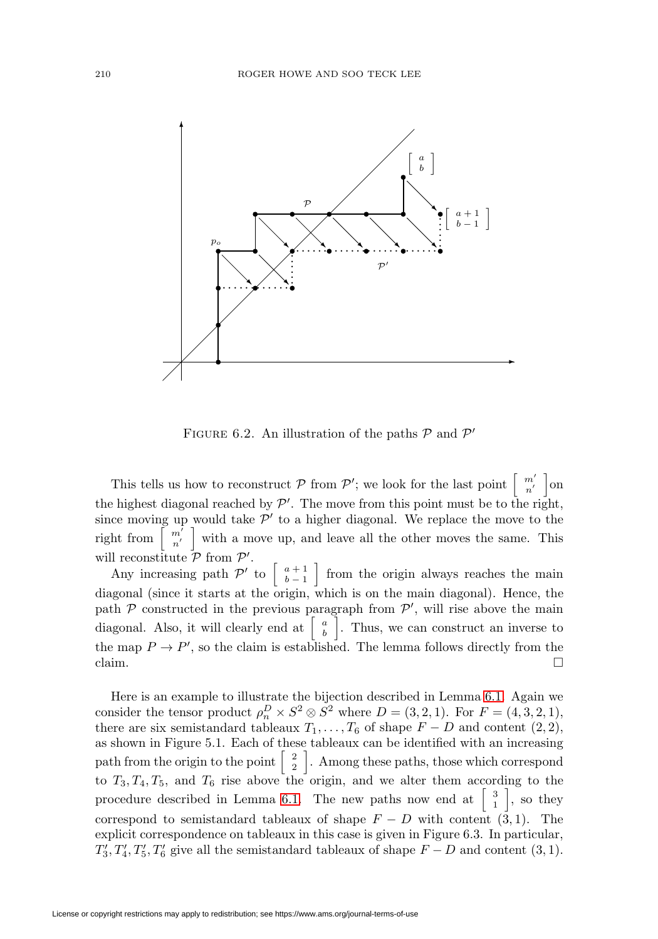

FIGURE 6.2. An illustration of the paths  $P$  and  $P'$ 

This tells us how to reconstruct  $P$  from  $P'$ ; we look for the last point  $\begin{bmatrix} m' \\ n' \end{bmatrix}$ on the highest diagonal reached by  $\mathcal{P}'$ . The move from this point must be to the right, since moving up would take  $\mathcal{P}'$  to a higher diagonal. We replace the move to the right from  $\begin{bmatrix} m' \\ n' \end{bmatrix}$  with a move up, and leave all the other moves the same. This will reconstitute  $P$  from  $P'$ .

Any increasing path  $\mathcal{P}'$  to  $\begin{bmatrix} a+1 \\ b-1 \end{bmatrix}$  from the origin always reaches the main diagonal (since it starts at the origin, which is on the main diagonal). Hence, the path  $P$  constructed in the previous paragraph from  $P'$ , will rise above the main diagonal. Also, it will clearly end at  $|$  $\binom{a}{b}$ . Thus, we can construct an inverse to the map  $P \to P'$ , so the claim is established. The lemma follows directly from the claim.  $\Box$ 

Here is an example to illustrate the bijection described in Lemma [6.1.](#page-21-0) Again we consider the tensor product  $\rho_n^D \times S^2 \otimes S^2$  where  $D = (3, 2, 1)$ . For  $F = (4, 3, 2, 1)$ , there are six semistandard tableaux  $T_1, \ldots, T_6$  of shape  $F - D$  and content  $(2, 2)$ , as shown in Figure 5.1. Each of these tableaux can be identified with an increasing path from the origin to the point  $\begin{bmatrix} 2 \\ 2 \end{bmatrix}$ . Among these paths, those which correspond to  $T_3, T_4, T_5$ , and  $T_6$  rise above the origin, and we alter them according to the procedure described in Lemma [6.1.](#page-21-0) The new paths now end at  $\begin{bmatrix} 3 \\ 1 \end{bmatrix}$ , so they correspond to semistandard tableaux of shape  $F - D$  with content  $(\bar{3}, 1)$ . The explicit correspondence on tableaux in this case is given in Figure 6.3. In particular,  $T'_3, T'_4, T'_5, T'_6$  give all the semistandard tableaux of shape  $F - D$  and content  $(3, 1)$ .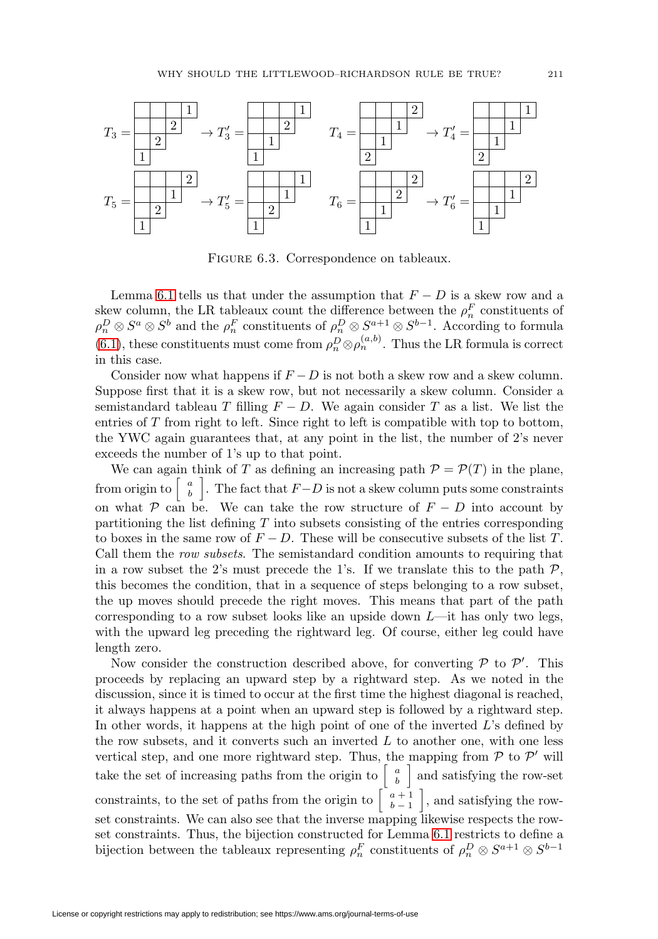

FIGURE 6.3. Correspondence on tableaux.

Lemma [6.1](#page-21-0) tells us that under the assumption that  $F - D$  is a skew row and a skew column, the LR tableaux count the difference between the  $\rho_n^F$  constituents of  $\rho_n^D \otimes S^a \otimes S^b$  and the  $\rho_n^F$  constituents of  $\rho_n^D \otimes S^{a+1} \otimes S^{b-1}$ . According to formula [\(6.1\)](#page-20-1), these constituents must come from  $\rho_n^D \otimes \rho_n^{(a,b)}$ . Thus the LR formula is correct in this case.

Consider now what happens if  $F - D$  is not both a skew row and a skew column. Suppose first that it is a skew row, but not necessarily a skew column. Consider a semistandard tableau T filling  $F - D$ . We again consider T as a list. We list the entries of  $T$  from right to left. Since right to left is compatible with top to bottom, the YWC again guarantees that, at any point in the list, the number of 2's never exceeds the number of 1's up to that point.

We can again think of T as defining an increasing path  $\mathcal{P} = \mathcal{P}(T)$  in the plane, from origin to  $\begin{bmatrix} a \\ b \end{bmatrix}$ . The fact that  $F-D$  is not a skew column puts some constraints on what P can be. We can take the row structure of  $F - D$  into account by partitioning the list defining  $T$  into subsets consisting of the entries corresponding to boxes in the same row of  $F - D$ . These will be consecutive subsets of the list T. Call them the row subsets. The semistandard condition amounts to requiring that in a row subset the 2's must precede the 1's. If we translate this to the path  $P$ , this becomes the condition, that in a sequence of steps belonging to a row subset, the up moves should precede the right moves. This means that part of the path corresponding to a row subset looks like an upside down  $L$ —it has only two legs, with the upward leg preceding the rightward leg. Of course, either leg could have length zero.

Now consider the construction described above, for converting  $P$  to  $P'$ . This proceeds by replacing an upward step by a rightward step. As we noted in the discussion, since it is timed to occur at the first time the highest diagonal is reached, it always happens at a point when an upward step is followed by a rightward step. In other words, it happens at the high point of one of the inverted L's defined by the row subsets, and it converts such an inverted  $L$  to another one, with one less vertical step, and one more rightward step. Thus, the mapping from  $P$  to  $P'$  will take the set of increasing paths from the origin to  $\begin{bmatrix} a \\ b \end{bmatrix}$  and satisfying the row-set constraints, to the set of paths from the origin to  $\begin{bmatrix} a+1 \\ b-1 \end{bmatrix}$  , and satisfying the rowset constraints. We can also see that the inverse mapping likewise respects the rowset constraints. Thus, the bijection constructed for Lemma [6.1](#page-21-0) restricts to define a bijection between the tableaux representing  $\rho_n^F$  constituents of  $\rho_n^D \otimes S^{a+1} \otimes S^{b-1}$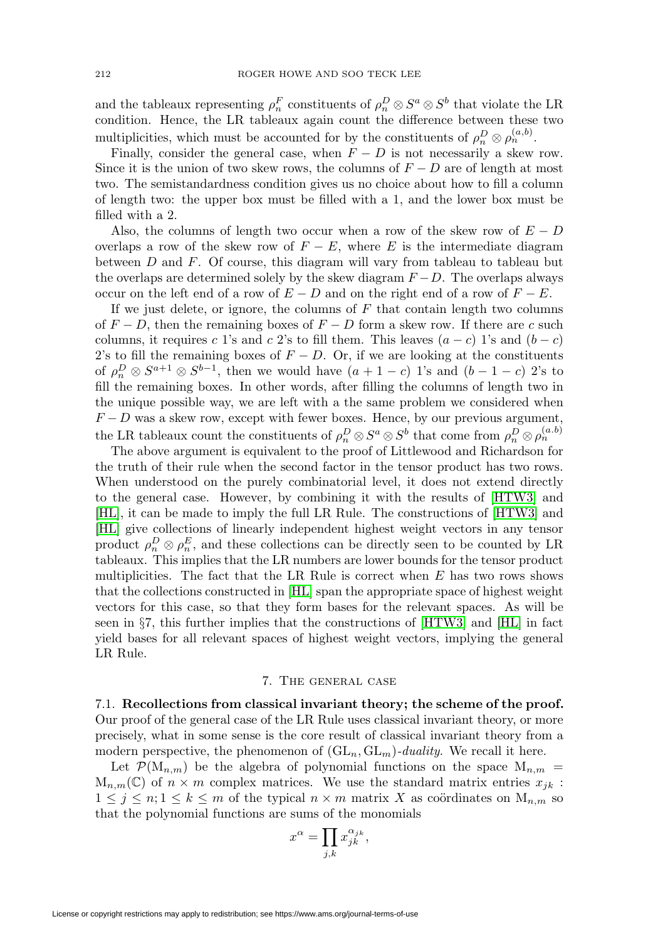and the tableaux representing  $\rho_n^F$  constituents of  $\rho_n^D \otimes S^a \otimes S^b$  that violate the LR condition. Hence, the LR tableaux again count the difference between these two multiplicities, which must be accounted for by the constituents of  $\rho_n^D \otimes \rho_n^{(a,b)}$ .

Finally, consider the general case, when  $F - D$  is not necessarily a skew row. Since it is the union of two skew rows, the columns of  $F - D$  are of length at most two. The semistandardness condition gives us no choice about how to fill a column of length two: the upper box must be filled with a 1, and the lower box must be filled with a 2.

Also, the columns of length two occur when a row of the skew row of  $E - D$ overlaps a row of the skew row of  $F - E$ , where E is the intermediate diagram between D and F. Of course, this diagram will vary from tableau to tableau but the overlaps are determined solely by the skew diagram  $F - D$ . The overlaps always occur on the left end of a row of  $E - D$  and on the right end of a row of  $F - E$ .

If we just delete, or ignore, the columns of  $F$  that contain length two columns of  $F - D$ , then the remaining boxes of  $F - D$  form a skew row. If there are c such columns, it requires c 1's and c 2's to fill them. This leaves  $(a - c)$  1's and  $(b - c)$ 2's to fill the remaining boxes of  $F - D$ . Or, if we are looking at the constituents of  $\rho_n^D \otimes S^{a+1} \otimes S^{b-1}$ , then we would have  $(a+1-c)$  1's and  $(b-1-c)$  2's to fill the remaining boxes. In other words, after filling the columns of length two in the unique possible way, we are left with a the same problem we considered when  $F - D$  was a skew row, except with fewer boxes. Hence, by our previous argument, the LR tableaux count the constituents of  $\rho_n^D \otimes S^a \otimes S^b$  that come from  $\rho_n^D \otimes \rho_n^{(a,b)}$ 

The above argument is equivalent to the proof of Littlewood and Richardson for the truth of their rule when the second factor in the tensor product has two rows. When understood on the purely combinatorial level, it does not extend directly to the general case. However, by combining it with the results of [\[HTW3\]](#page-47-2) and [\[HL\]](#page-47-3), it can be made to imply the full LR Rule. The constructions of [\[HTW3\]](#page-47-2) and [\[HL\]](#page-47-3) give collections of linearly independent highest weight vectors in any tensor product  $\rho_n^D \otimes \rho_n^E$ , and these collections can be directly seen to be counted by LR tableaux. This implies that the LR numbers are lower bounds for the tensor product multiplicities. The fact that the LR Rule is correct when E has two rows shows that the collections constructed in [\[HL\]](#page-47-3) span the appropriate space of highest weight vectors for this case, so that they form bases for the relevant spaces. As will be seen in §7, this further implies that the constructions of [\[HTW3\]](#page-47-2) and [\[HL\]](#page-47-3) in fact yield bases for all relevant spaces of highest weight vectors, implying the general LR Rule.

#### 7. The general case

<span id="page-25-1"></span><span id="page-25-0"></span>7.1. **Recollections from classical invariant theory; the scheme of the proof.** Our proof of the general case of the LR Rule uses classical invariant theory, or more precisely, what in some sense is the core result of classical invariant theory from a modern perspective, the phenomenon of  $(GL_n, GL_m)$ -duality. We recall it here.

Let  $\mathcal{P}(\mathcal{M}_{n,m})$  be the algebra of polynomial functions on the space  $\mathcal{M}_{n,m}$  $M_{n,m}(\mathbb{C})$  of  $n \times m$  complex matrices. We use the standard matrix entries  $x_{jk}$ :  $1 \leq j \leq n; 1 \leq k \leq m$  of the typical  $n \times m$  matrix X as coördinates on  $M_{n,m}$  so that the polynomial functions are sums of the monomials

$$
x^{\alpha} = \prod_{j,k} x_{jk}^{\alpha_{jk}},
$$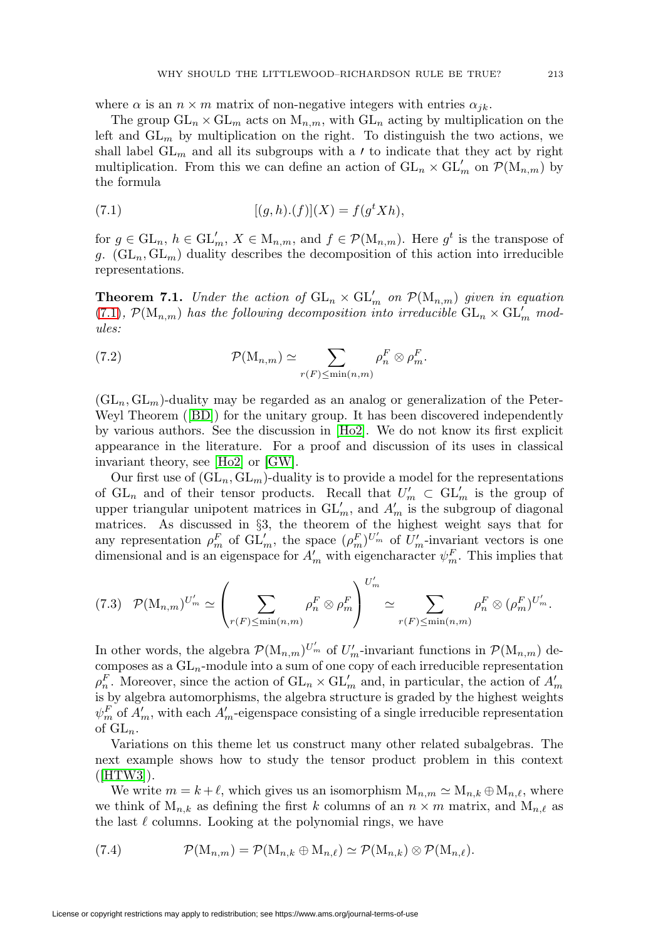where  $\alpha$  is an  $n \times m$  matrix of non-negative integers with entries  $\alpha_{ik}$ .

The group  $GL_n \times GL_m$  acts on  $M_{n,m}$ , with  $GL_n$  acting by multiplication on the left and  $GL_m$  by multiplication on the right. To distinguish the two actions, we shall label  $GL_m$  and all its subgroups with a *t* to indicate that they act by right multiplication. From this we can define an action of  $GL_n \times GL'_m$  on  $\mathcal{P}(\mathrm{M}_{n,m})$  by the formula

<span id="page-26-0"></span>(7.1) 
$$
[(g,h).(f)](X) = f(gt Xh),
$$

for  $g \in GL_n$ ,  $h \in GL'_m$ ,  $X \in M_{n,m}$ , and  $f \in \mathcal{P}(M_{n,m})$ . Here  $g^t$  is the transpose of g.  $(GL_n, GL_m)$  duality describes the decomposition of this action into irreducible representations.

**Theorem 7.1.** Under the action of  $GL_n \times GL_m'$  on  $\mathcal{P}(M_{n,m})$  given in equation [\(7.1\)](#page-26-0),  $\mathcal{P}(\mathbf{M}_{n,m})$  has the following decomposition into irreducible  $\mathrm{GL}_n \times \mathrm{GL}_m'$  modules:

(7.2) 
$$
\mathcal{P}(\mathbf{M}_{n,m}) \simeq \sum_{r(F) \leq \min(n,m)} \rho_n^F \otimes \rho_m^F.
$$

 $(\mathrm{GL}_n, \mathrm{GL}_m)$ -duality may be regarded as an analog or generalization of the Peter-Weyl Theorem ([\[BD\]](#page-46-6)) for the unitary group. It has been discovered independently by various authors. See the discussion in [\[Ho2\]](#page-47-11). We do not know its first explicit appearance in the literature. For a proof and discussion of its uses in classical invariant theory, see [\[Ho2\]](#page-47-11) or [\[GW\]](#page-47-10).

Our first use of  $(GL_n, GL_m)$ -duality is to provide a model for the representations of  $GL_n$  and of their tensor products. Recall that  $U'_m \subset GL'_m$  is the group of upper triangular unipotent matrices in  $GL'_m$ , and  $A'_m$  is the subgroup of diagonal matrices. As discussed in §3, the theorem of the highest weight says that for any representation  $\rho_m^F$  of  $\mathrm{GL}_m'$ , the space  $(\rho_m^F)^{U_m'}$  of  $U_m'$ -invariant vectors is one dimensional and is an eigenspace for  $A'_m$  with eigencharacter  $\psi_m^F$ . This implies that

<span id="page-26-1"></span>
$$
(7.3) \quad \mathcal{P}(\mathbf{M}_{n,m})^{U'_m} \simeq \left(\sum_{r(F)\leq \min(n,m)} \rho_n^F \otimes \rho_m^F\right)^{U'_m} \simeq \sum_{r(F)\leq \min(n,m)} \rho_n^F \otimes (\rho_m^F)^{U'_m}.
$$

In other words, the algebra  $\mathcal{P}(\mathrm{M}_{n,m})^{U'_{m}}$  of  $U'_{m}$ -invariant functions in  $\mathcal{P}(\mathrm{M}_{n,m})$  decomposes as a  $GL_n$ -module into a sum of one copy of each irreducible representation  $\rho_n^F$ . Moreover, since the action of  $GL_n \times GL_m'$  and, in particular, the action of  $A'_m$ is by algebra automorphisms, the algebra structure is graded by the highest weights  $\psi_m^F$  of  $A'_m$ , with each  $A'_m$ -eigenspace consisting of a single irreducible representation of  $GL_n$ .

Variations on this theme let us construct many other related subalgebras. The next example shows how to study the tensor product problem in this context  $([HTW3]).$  $([HTW3]).$  $([HTW3]).$ 

We write  $m = k + \ell$ , which gives us an isomorphism  $M_{n,m} \simeq M_{n,k} \oplus M_{n,\ell}$ , where we think of  $M_{n,k}$  as defining the first k columns of an  $n \times m$  matrix, and  $M_{n,\ell}$  as the last  $\ell$  columns. Looking at the polynomial rings, we have

(7.4) 
$$
\mathcal{P}(\mathbf{M}_{n,m}) = \mathcal{P}(\mathbf{M}_{n,k} \oplus \mathbf{M}_{n,\ell}) \simeq \mathcal{P}(\mathbf{M}_{n,k}) \otimes \mathcal{P}(\mathbf{M}_{n,\ell}).
$$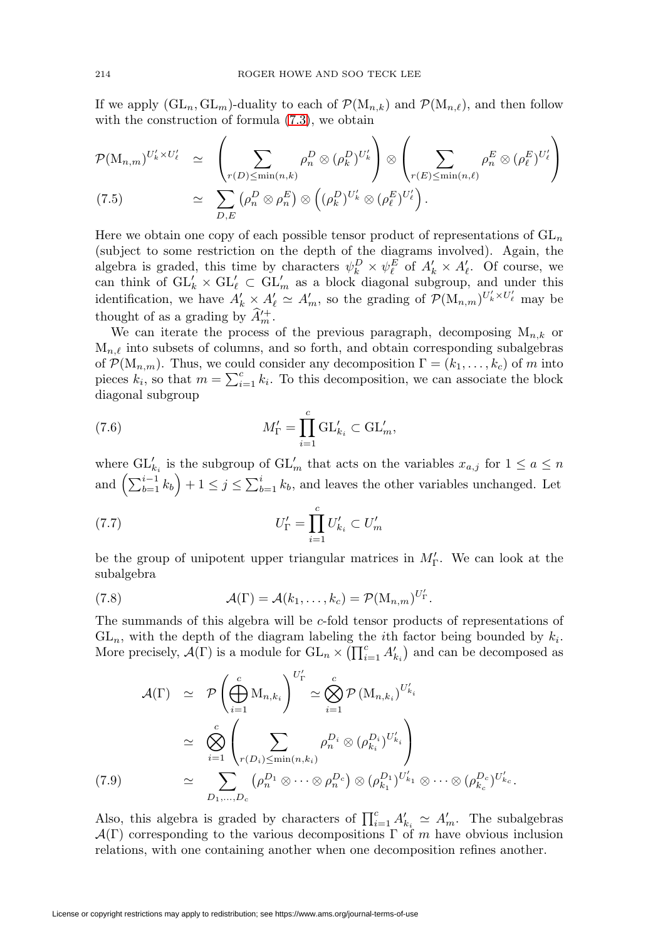If we apply  $(GL_n, GL_m)$ -duality to each of  $\mathcal{P}(M_{n,k})$  and  $\mathcal{P}(M_{n,\ell})$ , and then follow with the construction of formula  $(7.3)$ , we obtain

$$
\mathcal{P}(\mathbf{M}_{n,m})^{U'_{k} \times U'_{\ell}} \simeq \left(\sum_{r(D) \leq \min(n,k)} \rho_n^D \otimes (\rho_k^D)^{U'_{k}}\right) \otimes \left(\sum_{r(E) \leq \min(n,\ell)} \rho_n^E \otimes (\rho_{\ell}^E)^{U'_{\ell}}\right)
$$
\n(7.5)\n
$$
\simeq \sum_{D,E} (\rho_n^D \otimes \rho_n^E) \otimes \left((\rho_k^D)^{U'_{k}} \otimes (\rho_{\ell}^E)^{U'_{\ell}}\right).
$$

Here we obtain one copy of each possible tensor product of representations of  $GL_n$ (subject to some restriction on the depth of the diagrams involved). Again, the algebra is graded, this time by characters  $\psi_k^D \times \psi_\ell^E$  of  $A'_k \times A'_\ell$ . Of course, we can think of  $GL'_k \times GL'_\ell \subset GL'_m$  as a block diagonal subgroup, and under this identification, we have  $A'_k \times A'_\ell \simeq A'_m$ , so the grading of  $\mathcal{P}(\mathrm{M}_{n,m})^{U'_k \times U'_\ell}$  may be thought of as a grading by  $\hat{A}'^+_m$ .

We can iterate the process of the previous paragraph, decomposing  $M_{n,k}$  or  $M_{n,\ell}$  into subsets of columns, and so forth, and obtain corresponding subalgebras of  $\mathcal{P}(M_{n,m})$ . Thus, we could consider any decomposition  $\Gamma = (k_1,\ldots,k_c)$  of m into pieces  $k_i$ , so that  $m = \sum_{i=1}^{c} k_i$ . To this decomposition, we can associate the block diagonal subgroup

(7.6) 
$$
M'_{\Gamma} = \prod_{i=1}^{c} \operatorname{GL}'_{k_i} \subset \operatorname{GL}'_m,
$$

where  $\mathrm{GL}_{k_i}'$  is the subgroup of  $\mathrm{GL}_m'$  that acts on the variables  $x_{a,j}$  for  $1 \le a \le n$ and  $\left(\sum_{b=1}^{i-1} k_b\right) + 1 \leq j \leq \sum_{b=1}^{i} k_b$ , and leaves the other variables unchanged. Let

$$
(7.7) \t\t\t U'_{\Gamma} = \prod_{i=1}^{c} U'_{k_i} \subset U'_{m}
$$

be the group of unipotent upper triangular matrices in  $M'_{\Gamma}$ . We can look at the subalgebra

<span id="page-27-1"></span>(7.8) 
$$
\mathcal{A}(\Gamma) = \mathcal{A}(k_1,\ldots,k_c) = \mathcal{P}(\mathbf{M}_{n,m})^{U'_\Gamma}.
$$

The summands of this algebra will be c-fold tensor products of representations of  $GL_n$ , with the depth of the diagram labeling the *i*th factor being bounded by  $k_i$ . More precisely,  $\mathcal{A}(\Gamma)$  is a module for  $GL_n \times \overline{(\prod_{i=1}^c A'_{k_i})}$  and can be decomposed as

<span id="page-27-0"></span>
$$
\mathcal{A}(\Gamma) \simeq \mathcal{P}\left(\bigoplus_{i=1}^{c} M_{n,k_{i}}\right)^{U'_{\Gamma}} \simeq \bigotimes_{i=1}^{c} \mathcal{P}\left(M_{n,k_{i}}\right)^{U'_{k_{i}}} \simeq \bigotimes_{i=1}^{c} \left(\sum_{r(D_{i}) \leq \min(n,k_{i})} \rho_{n}^{D_{i}} \otimes (\rho_{k_{i}}^{D_{i}})^{U'_{k_{i}}} \right) \simeq \sum_{D_{1},...,D_{c}} (\rho_{n}^{D_{1}} \otimes \cdots \otimes \rho_{n}^{D_{c}}) \otimes (\rho_{k_{1}}^{D_{1}})^{U'_{k_{1}}} \otimes \cdots \otimes (\rho_{k_{c}}^{D_{c}})^{U'_{k_{c}}}.
$$

Also, this algebra is graded by characters of  $\prod_{i=1}^{c} A'_{k_i} \simeq A'_{m}$ . The subalgebras  $\mathcal{A}(\Gamma)$  corresponding to the various decompositions  $\Gamma$  of m have obvious inclusion relations, with one containing another when one decomposition refines another.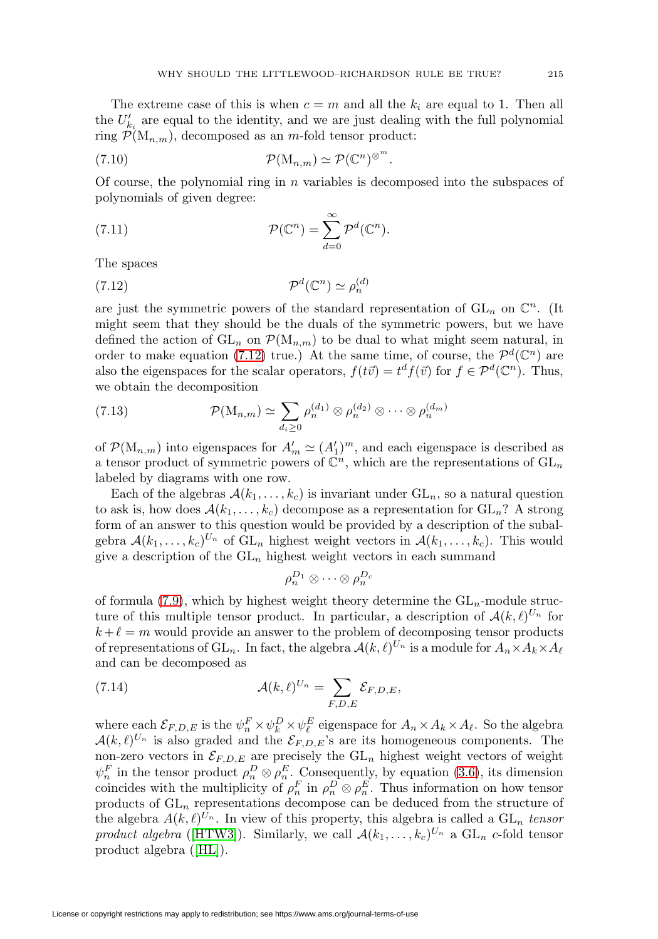The extreme case of this is when  $c = m$  and all the  $k_i$  are equal to 1. Then all the  $U'_{k_i}$  are equal to the identity, and we are just dealing with the full polynomial ring  $\mathcal{P}(\mathbf{M}_{n,m})$ , decomposed as an m-fold tensor product:

(7.10) 
$$
\mathcal{P}(\mathbf{M}_{n,m}) \simeq \mathcal{P}(\mathbb{C}^n)^{\otimes^m}.
$$

Of course, the polynomial ring in  $n$  variables is decomposed into the subspaces of polynomials of given degree:

(7.11) 
$$
\mathcal{P}(\mathbb{C}^n) = \sum_{d=0}^{\infty} \mathcal{P}^d(\mathbb{C}^n).
$$

The spaces

<span id="page-28-1"></span>
$$
(7.12)\t\t\t\t\mathcal{P}^d(\mathbb{C}^n) \simeq \rho_n^{(d)}
$$

are just the symmetric powers of the standard representation of  $GL_n$  on  $\mathbb{C}^n$ . (It might seem that they should be the duals of the symmetric powers, but we have defined the action of  $GL_n$  on  $\mathcal{P}(M_{n,m})$  to be dual to what might seem natural, in order to make equation [\(7.12\)](#page-28-1) true.) At the same time, of course, the  $\mathcal{P}^d(\mathbb{C}^n)$  are also the eigenspaces for the scalar operators,  $f(t\vec{v}) = t^d f(\vec{v})$  for  $f \in \mathcal{P}^d(\mathbb{C}^n)$ . Thus, we obtain the decomposition

<span id="page-28-0"></span>(7.13) 
$$
\mathcal{P}(\mathbf{M}_{n,m}) \simeq \sum_{d_i \geq 0} \rho_n^{(d_1)} \otimes \rho_n^{(d_2)} \otimes \cdots \otimes \rho_n^{(d_m)}
$$

of  $\mathcal{P}(\mathbf{M}_{n,m})$  into eigenspaces for  $A'_m \simeq (A'_1)^m$ , and each eigenspace is described as a tensor product of symmetric powers of  $\mathbb{C}^n$ , which are the representations of  $GL_n$ labeled by diagrams with one row.

Each of the algebras  $A(k_1,\ldots,k_c)$  is invariant under  $GL_n$ , so a natural question to ask is, how does  $\mathcal{A}(k_1,\ldots,k_c)$  decompose as a representation for  $GL_n$ ? A strong form of an answer to this question would be provided by a description of the subalgebra  $\mathcal{A}(k_1,\ldots,k_c)^{U_n}$  of  $GL_n$  highest weight vectors in  $\mathcal{A}(k_1,\ldots,k_c)$ . This would give a description of the  $GL_n$  highest weight vectors in each summand

$$
\rho^{D_1}_n \otimes \cdots \otimes \rho^{D_c}_n
$$

of formula [\(7.9\)](#page-27-0), which by highest weight theory determine the  $GL_n$ -module structure of this multiple tensor product. In particular, a description of  $\mathcal{A}(k,\ell)^{U_n}$  for  $k + \ell = m$  would provide an answer to the problem of decomposing tensor products of representations of  $GL_n$ . In fact, the algebra  $\mathcal{A}(k,\ell)^{U_n}$  is a module for  $A_n \times A_k \times A_{\ell}$ and can be decomposed as

(7.14) 
$$
\mathcal{A}(k,\ell)^{U_n} = \sum_{F,D,E} \mathcal{E}_{F,D,E},
$$

where each  $\mathcal{E}_{F,D,E}$  is the  $\psi_n^F \times \psi_k^D \times \psi_\ell^E$  eigenspace for  $A_n \times A_k \times A_\ell$ . So the algebra  $\mathcal{A}(k,\ell)^{U_n}$  is also graded and the  $\mathcal{E}_{F,D,E}$ 's are its homogeneous components. The non-zero vectors in  $\mathcal{E}_{F,D,E}$  are precisely the  $GL_n$  highest weight vectors of weight  $\psi_n^F$  in the tensor product  $\rho_n^D \otimes \rho_n^E$ . Consequently, by equation [\(3.6\)](#page-13-0), its dimension coincides with the multiplicity of  $\rho_n^F$  in  $\rho_n^D \otimes \rho_n^E$ . Thus information on how tensor products of  $GL_n$  representations decompose can be deduced from the structure of the algebra  $A(k,\ell)^{U_n}$ . In view of this property, this algebra is called a  $GL_n$  tensor product algebra ([\[HTW3\]](#page-47-2)). Similarly, we call  $\mathcal{A}(k_1,\ldots,k_c)^{U_n}$  a  $\mathrm{GL}_n$  c-fold tensor product algebra ([\[HL\]](#page-47-3)).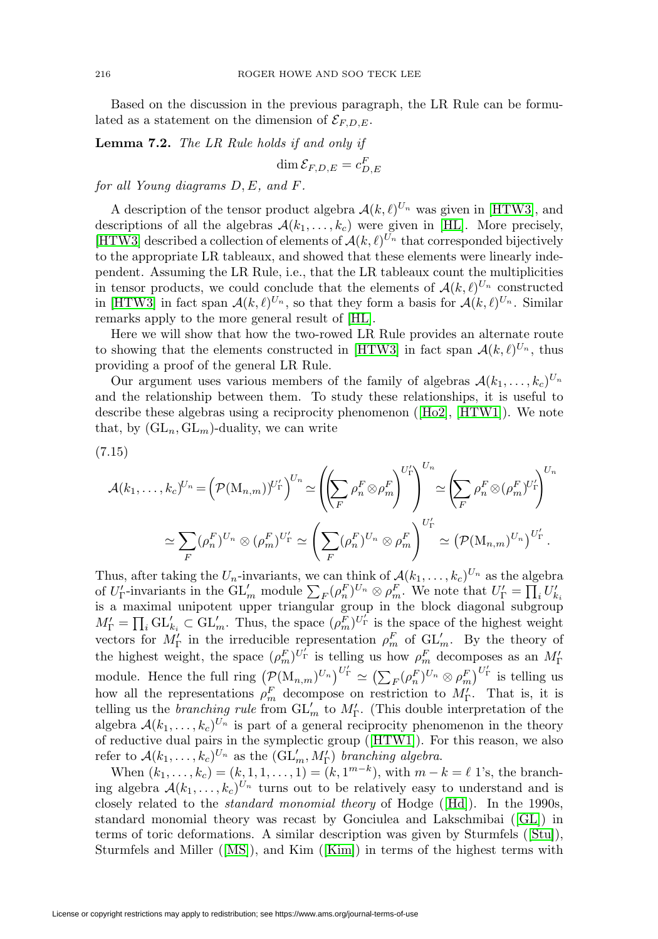Based on the discussion in the previous paragraph, the LR Rule can be formulated as a statement on the dimension of  $\mathcal{E}_{F,D,E}$ .

<span id="page-29-0"></span>**Lemma 7.2.** The LR Rule holds if and only if  $\dim \mathcal{E}_{F,D,E} = c^F_{D,E}$ 

for all Young diagrams D, E, and F.

A description of the tensor product algebra  $\mathcal{A}(k,\ell)^{U_n}$  was given in [\[HTW3\]](#page-47-2), and descriptions of all the algebras  $A(k_1,...,k_c)$  were given in [\[HL\]](#page-47-3). More precisely, [\[HTW3\]](#page-47-2) described a collection of elements of  $\mathcal{A}(k,\ell)^{U_n}$  that corresponded bijectively to the appropriate LR tableaux, and showed that these elements were linearly independent. Assuming the LR Rule, i.e., that the LR tableaux count the multiplicities in tensor products, we could conclude that the elements of  $\mathcal{A}(k,\ell)^{U_n}$  constructed in [\[HTW3\]](#page-47-2) in fact span  $\mathcal{A}(k,\ell)^{U_n}$ , so that they form a basis for  $\mathcal{A}(k,\ell)^{U_n}$ . Similar remarks apply to the more general result of [\[HL\]](#page-47-3).

Here we will show that how the two-rowed LR Rule provides an alternate route to showing that the elements constructed in [\[HTW3\]](#page-47-2) in fact span  $\mathcal{A}(k,\ell)^{U_n}$ , thus providing a proof of the general LR Rule.

Our argument uses various members of the family of algebras  $\mathcal{A}(k_1,\ldots,k_c)^{U_n}$ and the relationship between them. To study these relationships, it is useful to describe these algebras using a reciprocity phenomenon ([\[Ho2\]](#page-47-11), [\[HTW1\]](#page-47-1)). We note that, by  $(GL_n, GL_m)$ -duality, we can write

$$
(7.15)
$$

$$
\mathcal{A}(k_1,\ldots,k_c)^{U_n} = \left(\mathcal{P}(\mathbf{M}_{n,m})^{U_{\Gamma}'}\right)^{U_n} \simeq \left(\left(\sum_F \rho_n^F \otimes \rho_m^F\right)^{U_{\Gamma}'}\right)^{U_n} \simeq \left(\sum_F \rho_n^F \otimes (\rho_m^F)^{U_{\Gamma}'}\right)^{U_n}
$$

$$
\simeq \sum_F (\rho_n^F)^{U_n} \otimes (\rho_m^F)^{U_{\Gamma}'} \simeq \left(\sum_F (\rho_n^F)^{U_n} \otimes \rho_m^F\right)^{U_{\Gamma}'} \simeq \left(\mathcal{P}(\mathbf{M}_{n,m})^{U_n}\right)^{U_{\Gamma}'}.
$$

Thus, after taking the  $U_n$ -invariants, we can think of  $\mathcal{A}(k_1,\ldots,k_c)^{U_n}$  as the algebra of  $U_{\Gamma}'$ -invariants in the  $GL'_m$  module  $\sum_F (\rho_n^F)^{U_n} \otimes \rho_m^F$ . We note that  $U_{\Gamma}' = \prod_i U'_{k_i}$ is a maximal unipotent upper triangular group in the block diagonal subgroup  $M'_{\Gamma} = \prod_i \text{GL}'_{k_i} \subset \text{GL}'_m$ . Thus, the space  $(\rho_m^F)^{U'_{\Gamma}}$  is the space of the highest weight vectors for  $M_{\Gamma}'$  in the irreducible representation  $\rho_m^F$  of  $\mathrm{GL}_m'$ . By the theory of the highest weight, the space  $(\rho_m^F)^{U_{\Gamma}'}$  is telling us how  $\rho_m^F$  decomposes as an  $M_{\Gamma}'$ module. Hence the full ring  $(\mathcal{P}(\mathrm{M}_{n,m})^{U_n})^{U'_\Gamma} \simeq \left(\sum_F (\rho_n^F)^{U_n} \otimes \rho_m^F\right)^{U'_\Gamma}$  is telling us how all the representations  $\rho_m^F$  decompose on restriction to  $M'_\Gamma$ . That is, it is telling us the *branching rule* from  $GL'_m$  to  $M'_{\Gamma}$ . (This double interpretation of the algebra  $\mathcal{A}(k_1,\ldots,k_c)^{U_n}$  is part of a general reciprocity phenomenon in the theory of reductive dual pairs in the symplectic group ([\[HTW1\]](#page-47-1)). For this reason, we also refer to  $\mathcal{A}(k_1,\ldots,k_c)^{U_n}$  as the  $(\mathrm{GL}'_m, M'_{\Gamma})$  branching algebra.

When  $(k_1,..., k_c) = (k, 1, 1,..., 1) = (k, 1^{m-k})$ , with  $m - k = \ell$  1's, the branching algebra  $\mathcal{A}(k_1,\ldots,k_c)^{U_n}$  turns out to be relatively easy to understand and is closely related to the standard monomial theory of Hodge ([\[Hd\]](#page-47-19)). In the 1990s, standard monomial theory was recast by Gonciulea and Lakschmibai ([\[GL\]](#page-46-7)) in terms of toric deformations. A similar description was given by Sturmfels ([\[Stu\]](#page-48-20)), Sturmfels and Miller ([\[MS\]](#page-48-21)), and Kim ([\[Kim\]](#page-47-20)) in terms of the highest terms with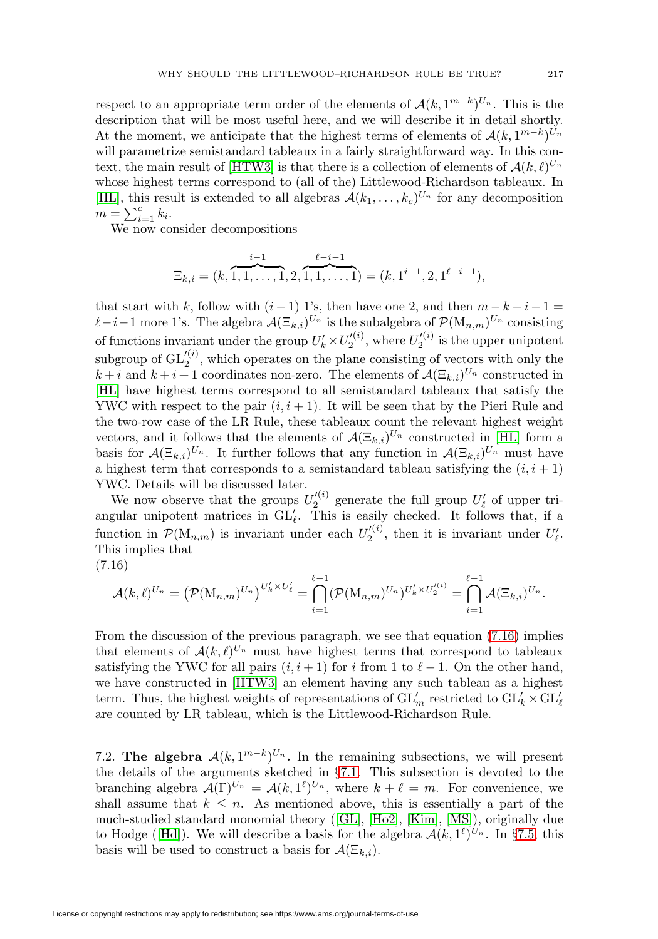respect to an appropriate term order of the elements of  $\mathcal{A}(k, 1^{m-k})^{U_n}$ . This is the description that will be most useful here, and we will describe it in detail shortly. At the moment, we anticipate that the highest terms of elements of  $\mathcal{A}(k, 1^{m-k})^{U_n}$ will parametrize semistandard tableaux in a fairly straightforward way. In this con-text, the main result of [\[HTW3\]](#page-47-2) is that there is a collection of elements of  $\mathcal{A}(k,\ell)^{U_n}$ whose highest terms correspond to (all of the) Littlewood-Richardson tableaux. In [\[HL\]](#page-47-3), this result is extended to all algebras  $\mathcal{A}(k_1,\ldots,k_c)^{U_n}$  for any decomposition  $m = \sum_{i=1}^{c} k_i$ .

We now consider decompositions

$$
\Xi_{k,i} = (k, \overbrace{1,1,\ldots,1}^{i-1}, 2, \overbrace{1,1,\ldots,1}^{\ell-i-1}) = (k, 1^{i-1}, 2, 1^{\ell-i-1}),
$$

that start with k, follow with  $(i-1)$  1's, then have one 2, and then  $m-k-i-1=$  $\ell-i-1$  more 1's. The algebra  $\mathcal{A}(\Xi_{k,i})^{U_n}$  is the subalgebra of  $\mathcal{P}(\mathrm{M}_{n,m})^{U_n}$  consisting of functions invariant under the group  $U'_k \times U'^{(i)}_2$ , where  $U'^{(i)}_2$  is the upper unipotent subgroup of  $GL_2^{(i)}$ , which operates on the plane consisting of vectors with only the  $k+i$  and  $k+i+1$  coordinates non-zero. The elements of  $\mathcal{A}(\Xi_{k,i})^{U_n}$  constructed in [\[HL\]](#page-47-3) have highest terms correspond to all semistandard tableaux that satisfy the YWC with respect to the pair  $(i, i + 1)$ . It will be seen that by the Pieri Rule and the two-row case of the LR Rule, these tableaux count the relevant highest weight vectors, and it follows that the elements of  $\mathcal{A}(\Xi_{k,i})^{U_n}$  constructed in [\[HL\]](#page-47-3) form a basis for  $\mathcal{A}(\Xi_{k,i})^{U_n}$ . It further follows that any function in  $\mathcal{A}(\Xi_{k,i})^{U_n}$  must have a highest term that corresponds to a semistandard tableau satisfying the  $(i, i + 1)$ YWC. Details will be discussed later.

We now observe that the groups  $U_2^{(i)}$  generate the full group  $U'_\ell$  of upper triangular unipotent matrices in  $GL_{\ell}$ . This is easily checked. It follows that, if a function in  $\mathcal{P}(\mathbf{M}_{n,m})$  is invariant under each  $U_2^{(i)}$ , then it is invariant under  $U_{\ell}'$ . This implies that

<span id="page-30-1"></span>
$$
(7.16)
$$

$$
\mathcal{A}(k,\ell)^{U_n} = (\mathcal{P}(\mathrm{M}_{n,m})^{U_n})^{U'_k \times U'_\ell} = \bigcap_{i=1}^{\ell-1} (\mathcal{P}(\mathrm{M}_{n,m})^{U_n})^{U'_k \times U'^{(i)}_2} = \bigcap_{i=1}^{\ell-1} \mathcal{A}(\Xi_{k,i})^{U_n}.
$$

From the discussion of the previous paragraph, we see that equation [\(7.16\)](#page-30-1) implies that elements of  $\mathcal{A}(k,\ell)^{U_n}$  must have highest terms that correspond to tableaux satisfying the YWC for all pairs  $(i, i + 1)$  for i from 1 to  $\ell - 1$ . On the other hand, we have constructed in [\[HTW3\]](#page-47-2) an element having any such tableau as a highest term. Thus, the highest weights of representations of  $\operatorname{GL}_m'$  restricted to  $\operatorname{GL}_k' \times \operatorname{GL}_\ell'$ are counted by LR tableau, which is the Littlewood-Richardson Rule.

<span id="page-30-0"></span>7.2. **The algebra**  $\mathcal{A}(k, 1^{m-k})^{U_n}$ . In the remaining subsections, we will present the details of the arguments sketched in §[7.1.](#page-25-1) This subsection is devoted to the branching algebra  $\mathcal{A}(\Gamma)^{U_n} = \mathcal{A}(k, 1^{\ell})^{U_n}$ , where  $k + \ell = m$ . For convenience, we shall assume that  $k \leq n$ . As mentioned above, this is essentially a part of the much-studied standard monomial theory ([\[GL\]](#page-46-7), [\[Ho2\]](#page-47-11), [\[Kim\]](#page-47-20), [\[MS\]](#page-48-21)), originally due to Hodge ([\[Hd\]](#page-47-19)). We will describe a basis for the algebra  $\mathcal{A}(k, 1^{\ell})^{U_n}$ . In §[7.5,](#page-42-0) this basis will be used to construct a basis for  $\mathcal{A}(\Xi_{k,i})$ .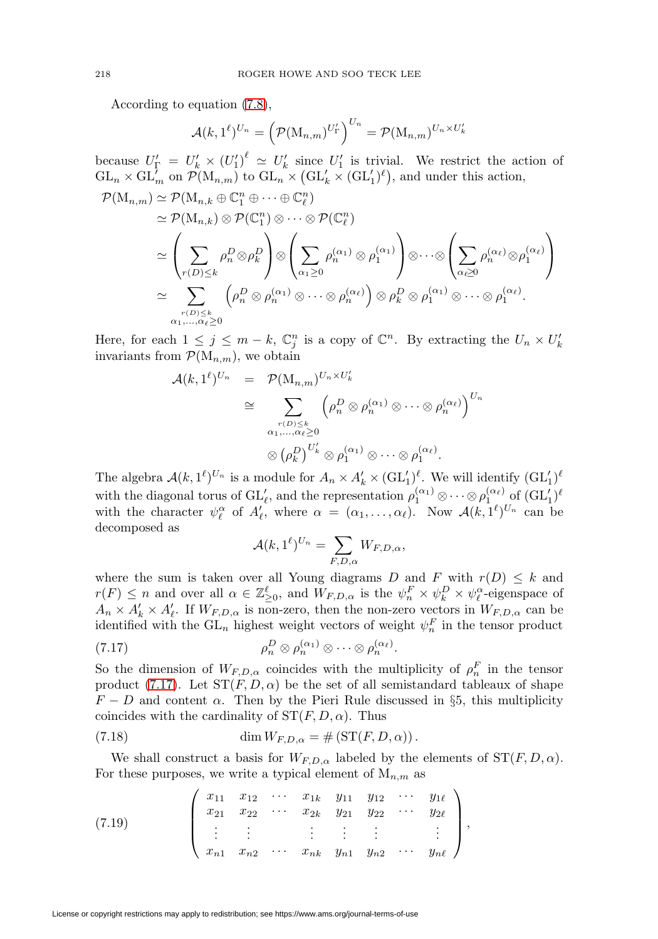According to equation [\(7.8\)](#page-27-1),

$$
\mathcal{A}(k,1^{\ell})^{U_n} = \left(\mathcal{P}(\mathrm{M}_{n,m})^{U'_\Gamma}\right)^{U_n} = \mathcal{P}(\mathrm{M}_{n,m})^{U_n \times U'_k}
$$

because  $U_{\Gamma}' = U'_{k} \times (U'_{1})^{\ell} \simeq U'_{k}$  since  $U'_{1}$  is trivial. We restrict the action of  $GL_n \times GL'_m$  on  $\mathcal{P}(\mathrm{M}_{n,m})$  to  $\mathrm{GL}_n \times (\mathrm{GL}'_k \times (\mathrm{GL}'_1)^{\ell})$ , and under this action,

$$
\mathcal{P}(\mathbf{M}_{n,m}) \simeq \mathcal{P}(\mathbf{M}_{n,k} \oplus \mathbb{C}_{1}^{n} \oplus \cdots \oplus \mathbb{C}_{\ell}^{n}) \simeq \mathcal{P}(\mathbf{M}_{n,k}) \otimes \mathcal{P}(\mathbb{C}_{1}^{n}) \otimes \cdots \otimes \mathcal{P}(\mathbb{C}_{\ell}^{n}) \simeq \left(\sum_{r(D) \leq k} \rho_{n}^{D} \otimes \rho_{k}^{D}\right) \otimes \left(\sum_{\alpha_{1} \geq 0} \rho_{n}^{(\alpha_{1})} \otimes \rho_{1}^{(\alpha_{1})}\right) \otimes \cdots \otimes \left(\sum_{\alpha_{\ell} \geq 0} \rho_{n}^{(\alpha_{\ell})} \otimes \rho_{1}^{(\alpha_{\ell})}\right) \simeq \sum_{\substack{r(D) \leq k \\ \alpha_{1}, \dots, \alpha_{\ell} \geq 0}} \left(\rho_{n}^{D} \otimes \rho_{n}^{(\alpha_{1})} \otimes \cdots \otimes \rho_{n}^{(\alpha_{\ell})}\right) \otimes \rho_{k}^{D} \otimes \rho_{1}^{(\alpha_{1})} \otimes \cdots \otimes \rho_{1}^{(\alpha_{\ell})}.
$$

Here, for each  $1 \leq j \leq m - k$ ,  $\mathbb{C}_j^n$  is a copy of  $\mathbb{C}^n$ . By extracting the  $U_n \times U'_k$ invariants from  $\mathcal{P}(\mathbf{M}_{n,m})$ , we obtain

$$
\mathcal{A}(k,1^{\ell})^{U_n} = \mathcal{P}(\mathbf{M}_{n,m})^{U_n \times U'_k}
$$
  
\n
$$
\cong \sum_{\substack{r(D) \leq k, \\ \alpha_1,\dots,\alpha_{\ell} \geq 0}} \left(\rho_n^D \otimes \rho_n^{(\alpha_1)} \otimes \dots \otimes \rho_n^{(\alpha_{\ell})}\right)^{U_n}
$$
  
\n
$$
\otimes (\rho_k^D)^{U'_k} \otimes \rho_1^{(\alpha_1)} \otimes \dots \otimes \rho_1^{(\alpha_{\ell})}.
$$

The algebra  $\mathcal{A}(k,1^{\ell})^{U_n}$  is a module for  $A_n \times A'_k \times (\mathrm{GL}_1')^{\ell}$ . We will identify  $(\mathrm{GL}_1')^{\ell}$ with the diagonal torus of  $\mathrm{GL}_{\ell}$ , and the representation  $\rho_1^{(\alpha_1)} \otimes \cdots \otimes \rho_1^{(\alpha_{\ell})}$  of  $(\mathrm{GL}_1')^{\ell}$ with the character  $\psi_{\ell}^{\alpha}$  of  $A'_{\ell}$ , where  $\alpha = (\alpha_1, \ldots, \alpha_{\ell})$ . Now  $\mathcal{A}(k, 1^{\ell})^{U_n}$  can be decomposed as

$$
\mathcal{A}(k,1^{\ell})^{U_n} = \sum_{F,D,\alpha} W_{F,D,\alpha},
$$

where the sum is taken over all Young diagrams D and F with  $r(D) \leq k$  and  $r(F) \leq n$  and over all  $\alpha \in \mathbb{Z}_{\geq 0}^{\ell}$ , and  $W_{F,D,\alpha}$  is the  $\psi_n^F \times \psi_k^D \times \psi_{\ell}^{\alpha}$ -eigenspace of  $A_n \times A'_k \times A'_l$ . If  $W_{F,D,\alpha}$  is non-zero, then the non-zero vectors in  $W_{F,D,\alpha}$  can be identified with the  $\mathrm{GL}_n$  highest weight vectors of weight  $\psi_n^F$  in the tensor product

<span id="page-31-0"></span>(7.17) 
$$
\rho_n^D \otimes \rho_n^{(\alpha_1)} \otimes \cdots \otimes \rho_n^{(\alpha_\ell)}.
$$

So the dimension of  $W_{F,D,\alpha}$  coincides with the multiplicity of  $\rho_n^F$  in the tensor product [\(7.17\)](#page-31-0). Let  $ST(F, D, \alpha)$  be the set of all semistandard tableaux of shape  $F - D$  and content  $\alpha$ . Then by the Pieri Rule discussed in §5, this multiplicity coincides with the cardinality of  $ST(F, D, \alpha)$ . Thus

(7.18) 
$$
\dim W_{F,D,\alpha} = \# \left( \mathrm{ST}(F,D,\alpha) \right).
$$

We shall construct a basis for  $W_{F,D,\alpha}$  labeled by the elements of  $ST(F, D, \alpha)$ . For these purposes, we write a typical element of  $M_{n,m}$  as

<span id="page-31-1"></span>(7.19) 
$$
\begin{pmatrix} x_{11} & x_{12} & \cdots & x_{1k} & y_{11} & y_{12} & \cdots & y_{1\ell} \\ x_{21} & x_{22} & \cdots & x_{2k} & y_{21} & y_{22} & \cdots & y_{2\ell} \\ \vdots & \vdots & & \vdots & \vdots & & \vdots \\ x_{n1} & x_{n2} & \cdots & x_{nk} & y_{n1} & y_{n2} & \cdots & y_{n\ell} \end{pmatrix},
$$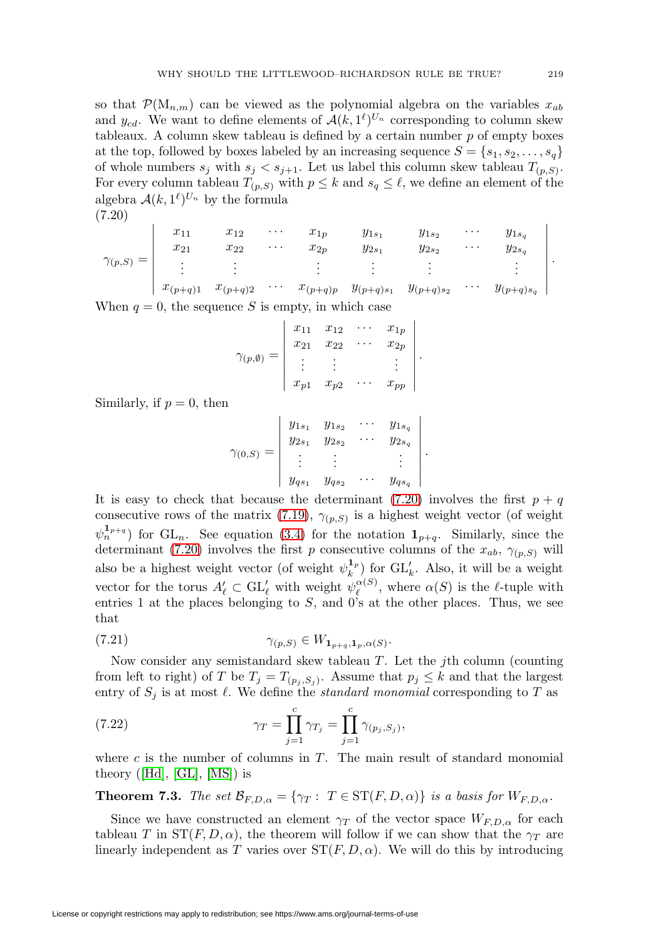so that  $\mathcal{P}(\mathbf{M}_{n,m})$  can be viewed as the polynomial algebra on the variables  $x_{ab}$ and  $y_{cd}$ . We want to define elements of  $\mathcal{A}(k, 1^{\ell})^{U_n}$  corresponding to column skew tableaux. A column skew tableau is defined by a certain number  $p$  of empty boxes at the top, followed by boxes labeled by an increasing sequence  $S = \{s_1, s_2, \ldots, s_q\}$ of whole numbers  $s_j$  with  $s_j < s_{j+1}$ . Let us label this column skew tableau  $T_{(p,S)}$ . For every column tableau  $T_{(p,S)}$  with  $p \leq k$  and  $s_q \leq \ell$ , we define an element of the algebra  $A(k, 1^{\ell})^{U_n}$  by the formula

<span id="page-32-0"></span>
$$
(7.20)
$$

$$
\gamma_{(p,S)} = \begin{vmatrix}\nx_{11} & x_{12} & \cdots & x_{1p} & y_{1s_1} & y_{1s_2} & \cdots & y_{1s_q} \\
x_{21} & x_{22} & \cdots & x_{2p} & y_{2s_1} & y_{2s_2} & \cdots & y_{2s_q} \\
\vdots & \vdots & \vdots & \vdots & \vdots & \vdots \\
x_{(p+q)1} & x_{(p+q)2} & \cdots & x_{(p+q)p} & y_{(p+q)s_1} & y_{(p+q)s_2} & \cdots & y_{(p+q)s_q}\n\end{vmatrix}.
$$

When  $q = 0$ , the sequence S is empty, in which case

$$
\gamma_{(p,\emptyset)} = \begin{vmatrix} x_{11} & x_{12} & \cdots & x_{1p} \\ x_{21} & x_{22} & \cdots & x_{2p} \\ \vdots & \vdots & & \vdots \\ x_{p1} & x_{p2} & \cdots & x_{pp} \end{vmatrix}.
$$

Similarly, if  $p = 0$ , then

$$
\gamma_{(0,S)} = \begin{vmatrix} y_{1s_1} & y_{1s_2} & \cdots & y_{1s_q} \\ y_{2s_1} & y_{2s_2} & \cdots & y_{2s_q} \\ \vdots & \vdots & & \vdots \\ y_{qs_1} & y_{qs_2} & \cdots & y_{qs_q} \end{vmatrix}.
$$

It is easy to check that because the determinant [\(7.20\)](#page-32-0) involves the first  $p + q$ consecutive rows of the matrix [\(7.19\)](#page-31-1),  $\gamma_{(p,S)}$  is a highest weight vector (of weight  $(\psi_n^{\mathbf{1}_{p+q}})$  for GL<sub>n</sub>. See equation [\(3.4\)](#page-12-1) for the notation  $\mathbf{1}_{p+q}$ . Similarly, since the determinant [\(7.20\)](#page-32-0) involves the first p consecutive columns of the  $x_{ab}$ ,  $\gamma_{(p,S)}$  will also be a highest weight vector (of weight  $\psi_k^{1_p}$ ) for  $GL'_k$ . Also, it will be a weight vector for the torus  $A'_\ell \subset \mathrm{GL}'_\ell$  with weight  $\psi_\ell^{\alpha(S)}$ , where  $\alpha(S)$  is the  $\ell$ -tuple with entries 1 at the places belonging to  $S$ , and 0's at the other places. Thus, we see that

$$
\gamma_{(p,S)} \in W_{\mathbf{1}_{p+q},\mathbf{1}_p,\alpha(S)}.
$$

Now consider any semistandard skew tableau  $T$ . Let the *j*th column (counting from left to right) of T be  $T_j = T_{(p_i, S_j)}$ . Assume that  $p_j \leq k$  and that the largest entry of  $S_j$  is at most  $\ell$ . We define the *standard monomial* corresponding to T as

<span id="page-32-2"></span>(7.22) 
$$
\gamma_T = \prod_{j=1}^c \gamma_{T_j} = \prod_{j=1}^c \gamma_{(p_j, S_j)},
$$

where c is the number of columns in  $T$ . The main result of standard monomial theory ([\[Hd\]](#page-47-19),  $[GL]$ ,  $[MS]$ ) is

<span id="page-32-1"></span>**Theorem 7.3.** The set  $\mathcal{B}_{F,D,\alpha} = \{ \gamma_T : T \in \mathrm{ST}(F,D,\alpha) \}$  is a basis for  $W_{F,D,\alpha}$ .

Since we have constructed an element  $\gamma_T$  of the vector space  $W_{F,D,\alpha}$  for each tableau T in  $ST(F, D, \alpha)$ , the theorem will follow if we can show that the  $\gamma_T$  are linearly independent as T varies over  $ST(F, D, \alpha)$ . We will do this by introducing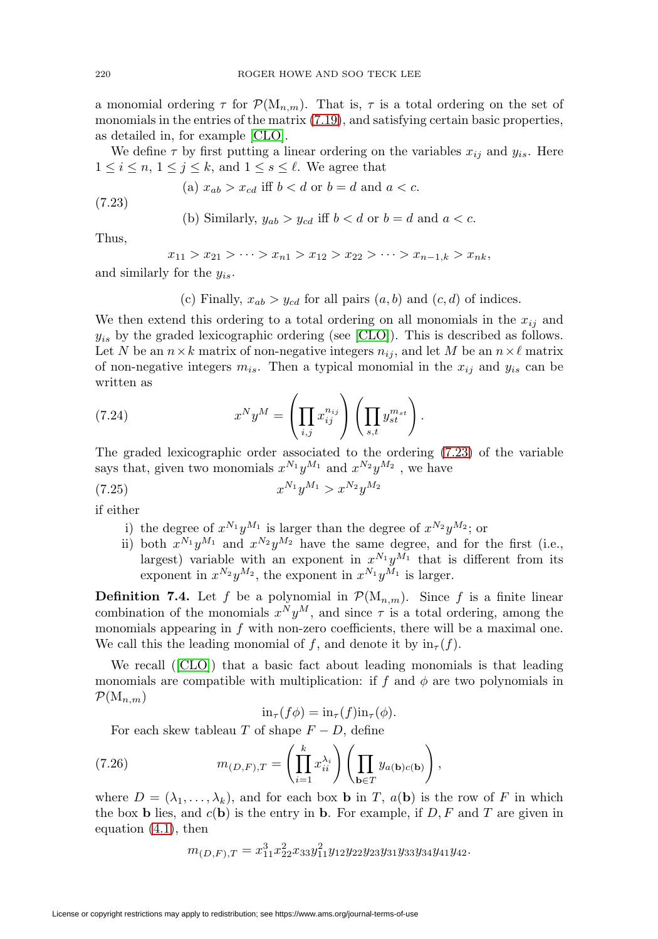a monomial ordering  $\tau$  for  $\mathcal{P}(M_{n,m})$ . That is,  $\tau$  is a total ordering on the set of monomials in the entries of the matrix [\(7.19\)](#page-31-1), and satisfying certain basic properties, as detailed in, for example [\[CLO\]](#page-46-8).

We define  $\tau$  by first putting a linear ordering on the variables  $x_{ij}$  and  $y_{is}$ . Here  $1 \leq i \leq n, 1 \leq j \leq k$ , and  $1 \leq s \leq \ell$ . We agree that

(a) 
$$
x_{ab} > x_{cd}
$$
 iff  $b < d$  or  $b = d$  and  $a < c$ .

<span id="page-33-0"></span>(7.23)

(b) Similarly, 
$$
y_{ab} > y_{cd}
$$
 iff  $b < d$  or  $b = d$  and  $a < c$ .

Thus,

$$
x_{11} > x_{21} > \cdots > x_{n1} > x_{12} > x_{22} > \cdots > x_{n-1,k} > x_{nk},
$$

and similarly for the  $y_{is}$ .

(c) Finally,  $x_{ab} > y_{cd}$  for all pairs  $(a, b)$  and  $(c, d)$  of indices.

We then extend this ordering to a total ordering on all monomials in the  $x_{ij}$  and  $y_{is}$  by the graded lexicographic ordering (see [\[CLO\]](#page-46-8)). This is described as follows. Let N be an  $n \times k$  matrix of non-negative integers  $n_{ij}$ , and let M be an  $n \times \ell$  matrix of non-negative integers  $m_{is}$ . Then a typical monomial in the  $x_{ij}$  and  $y_{is}$  can be written as

(7.24) 
$$
x^N y^M = \left(\prod_{i,j} x_{ij}^{n_{ij}}\right) \left(\prod_{s,t} y_{st}^{m_{st}}\right).
$$

The graded lexicographic order associated to the ordering [\(7.23\)](#page-33-0) of the variable says that, given two monomials  $x^{N_1}y^{M_1}$  and  $x^{N_2}y^{M_2}$ , we have

$$
(7.25) \t\t x^{N_1} y^{M_1} > x^{N_2} y^{M_2}
$$

if either

- i) the degree of  $x^{N_1}y^{M_1}$  is larger than the degree of  $x^{N_2}y^{M_2}$ ; or
- ii) both  $x^{N_1}y^{M_1}$  and  $x^{N_2}y^{M_2}$  have the same degree, and for the first (i.e., largest) variable with an exponent in  $x^{N_1}y^{M_1}$  that is different from its exponent in  $x^{N_2}y^{M_2}$ , the exponent in  $x^{N_1}y^{M_1}$  is larger.

**Definition 7.4.** Let f be a polynomial in  $\mathcal{P}(M_{n,m})$ . Since f is a finite linear combination of the monomials  $x^N y^M$ , and since  $\tau$  is a total ordering, among the monomials appearing in  $f$  with non-zero coefficients, there will be a maximal one. We call this the leading monomial of f, and denote it by  $\text{in}_{\tau}(f)$ .

We recall ([\[CLO\]](#page-46-8)) that a basic fact about leading monomials is that leading monomials are compatible with multiplication: if f and  $\phi$  are two polynomials in  $\mathcal{P}(\mathrm{M}_{n,m})$ 

$$
\mathrm{in}_{\tau}(f\phi) = \mathrm{in}_{\tau}(f)\mathrm{in}_{\tau}(\phi).
$$

For each skew tableau T of shape  $F - D$ , define

<span id="page-33-1"></span>(7.26) 
$$
m_{(D,F),T} = \left(\prod_{i=1}^k x_{ii}^{\lambda_i}\right) \left(\prod_{\mathbf{b}\in T} y_{a(\mathbf{b})c(\mathbf{b})}\right),
$$

where  $D = (\lambda_1, \ldots, \lambda_k)$ , and for each box **b** in T,  $a(\mathbf{b})$  is the row of F in which the box **b** lies, and  $c(\mathbf{b})$  is the entry in **b**. For example, if  $D, F$  and  $T$  are given in equation [\(4.1\)](#page-14-0), then

$$
m_{(D,F),T} = x_{11}^3 x_{22}^2 x_{33} y_{11}^2 y_{12} y_{22} y_{23} y_{31} y_{33} y_{34} y_{41} y_{42}.
$$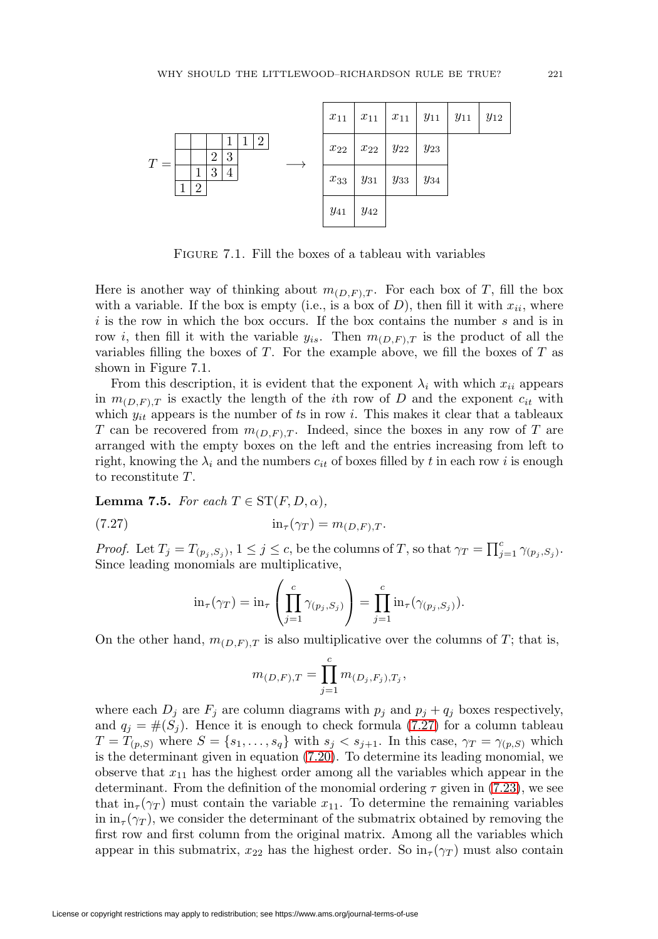

FIGURE 7.1. Fill the boxes of a tableau with variables

Here is another way of thinking about  $m_{(D,F),T}$ . For each box of T, fill the box with a variable. If the box is empty (i.e., is a box of  $D$ ), then fill it with  $x_{ii}$ , where  $i$  is the row in which the box occurs. If the box contains the number  $s$  and is in row *i*, then fill it with the variable  $y_{is}$ . Then  $m_{(D,F),T}$  is the product of all the variables filling the boxes of  $T$ . For the example above, we fill the boxes of  $T$  as shown in Figure 7.1.

From this description, it is evident that the exponent  $\lambda_i$  with which  $x_{ii}$  appears in  $m_{(D,F),T}$  is exactly the length of the *i*th row of D and the exponent  $c_{it}$  with which  $y_{it}$  appears is the number of ts in row i. This makes it clear that a tableaux T can be recovered from  $m_{(D,F),T}$ . Indeed, since the boxes in any row of T are arranged with the empty boxes on the left and the entries increasing from left to right, knowing the  $\lambda_i$  and the numbers  $c_{it}$  of boxes filled by t in each row i is enough to reconstitute T.

<span id="page-34-1"></span>**Lemma 7.5.** For each  $T \in \mathrm{ST}(F, D, \alpha)$ ,

<span id="page-34-0"></span>
$$
(7.27) \qquad \qquad \text{in}_{\tau}(\gamma_T) = m_{(D,F),T}.
$$

*Proof.* Let  $T_j = T_{(p_j, S_j)}, 1 \leq j \leq c$ , be the columns of T, so that  $\gamma_T = \prod_{j=1}^c \gamma_{(p_j, S_j)}$ . Since leading monomials are multiplicative,

$$
\operatorname{in}_{\tau}(\gamma_T) = \operatorname{in}_{\tau} \left( \prod_{j=1}^c \gamma_{(p_j, S_j)} \right) = \prod_{j=1}^c \operatorname{in}_{\tau}(\gamma_{(p_j, S_j)}).
$$

On the other hand,  $m_{(D,F),T}$  is also multiplicative over the columns of T; that is,

$$
m_{(D,F),T} = \prod_{j=1}^{c} m_{(D_j,F_j),T_j},
$$

where each  $D_j$  are  $F_j$  are column diagrams with  $p_j$  and  $p_j + q_j$  boxes respectively, and  $q_j = \#(S_j)$ . Hence it is enough to check formula [\(7.27\)](#page-34-0) for a column tableau  $T = T_{(p,S)}$  where  $S = \{s_1, \ldots, s_q\}$  with  $s_j < s_{j+1}$ . In this case,  $\gamma_T = \gamma_{(p,S)}$  which is the determinant given in equation [\(7.20\)](#page-32-0). To determine its leading monomial, we observe that  $x_{11}$  has the highest order among all the variables which appear in the determinant. From the definition of the monomial ordering  $\tau$  given in [\(7.23\)](#page-33-0), we see that  $\text{in}_{\tau}(\gamma_T)$  must contain the variable  $x_{11}$ . To determine the remaining variables in  $\text{in } \pi_{\tau}(\gamma_T)$ , we consider the determinant of the submatrix obtained by removing the first row and first column from the original matrix. Among all the variables which appear in this submatrix,  $x_{22}$  has the highest order. So  $\ln(\gamma_T)$  must also contain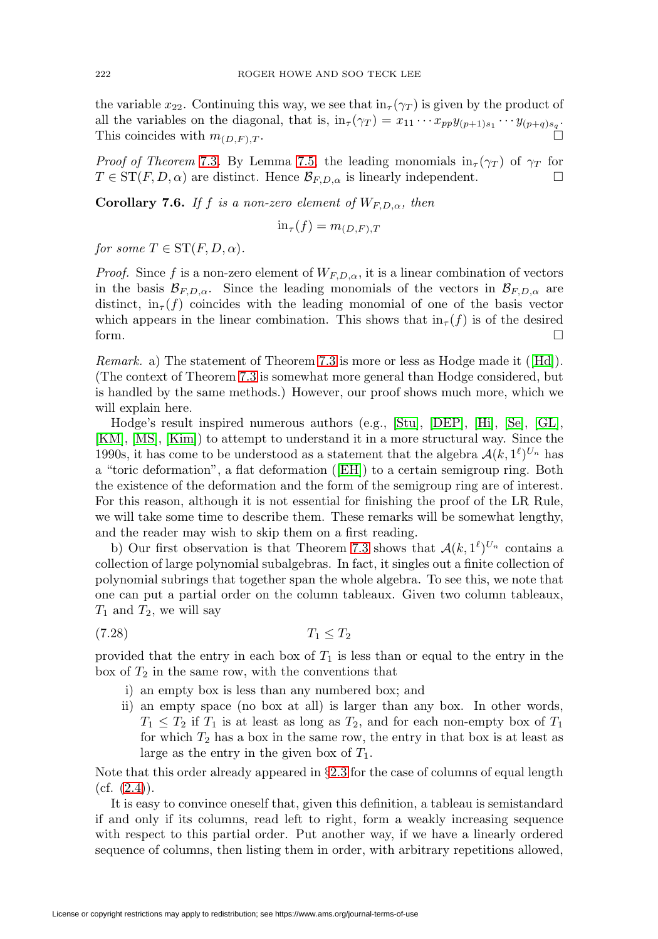the variable  $x_{22}$ . Continuing this way, we see that  $\ln(\gamma_T)$  is given by the product of all the variables on the diagonal, that is,  $in_{\tau}(\gamma_T) = x_{11} \cdots x_{pp} y_{(p+1)s_1} \cdots y_{(p+q)s_q}$ . This coincides with  $m_{(D,F),T}$ .

*Proof of Theorem* [7.3](#page-32-1). By Lemma [7.5,](#page-34-1) the leading monomials  $in_{\tau}(\gamma_T)$  of  $\gamma_T$  for  $T \in \text{ST}(F, D, \alpha)$  are distinct. Hence  $\mathcal{B}_{F,D,\alpha}$  is linearly independent.

<span id="page-35-1"></span>**Corollary 7.6.** If f is a non-zero element of  $W_{F,D,\alpha}$ , then

$$
\text{in}_{\tau}(f) = m_{(D,F),T}
$$

for some  $T \in \mathrm{ST}(F, D, \alpha)$ .

*Proof.* Since f is a non-zero element of  $W_{F,D,\alpha}$ , it is a linear combination of vectors in the basis  $\mathcal{B}_{F,D,\alpha}$ . Since the leading monomials of the vectors in  $\mathcal{B}_{F,D,\alpha}$  are distinct,  $\text{in}_{\tau}(f)$  coincides with the leading monomial of one of the basis vector which appears in the linear combination. This shows that  $\text{in}_{\tau}(f)$  is of the desired form.

Remark. a) The statement of Theorem [7.3](#page-32-1) is more or less as Hodge made it ([\[Hd\]](#page-47-19)). (The context of Theorem [7.3](#page-32-1) is somewhat more general than Hodge considered, but is handled by the same methods.) However, our proof shows much more, which we will explain here.

Hodge's result inspired numerous authors (e.g., [\[Stu\]](#page-48-20), [\[DEP\]](#page-46-9), [\[Hi\]](#page-47-21), [\[Se\]](#page-48-22), [\[GL\]](#page-46-7), [\[KM\]](#page-47-22), [\[MS\]](#page-48-21), [\[Kim\]](#page-47-20)) to attempt to understand it in a more structural way. Since the 1990s, it has come to be understood as a statement that the algebra  $\mathcal{A}(k, 1^{\ell})^{U_n}$  has a "toric deformation", a flat deformation ([\[EH\]](#page-46-10)) to a certain semigroup ring. Both the existence of the deformation and the form of the semigroup ring are of interest. For this reason, although it is not essential for finishing the proof of the LR Rule, we will take some time to describe them. These remarks will be somewhat lengthy, and the reader may wish to skip them on a first reading.

b) Our first observation is that Theorem [7.3](#page-32-1) shows that  $\mathcal{A}(k, 1^{\ell})^{U_n}$  contains a collection of large polynomial subalgebras. In fact, it singles out a finite collection of polynomial subrings that together span the whole algebra. To see this, we note that one can put a partial order on the column tableaux. Given two column tableaux,  $T_1$  and  $T_2$ , we will say

<span id="page-35-0"></span>
$$
(7.28) \t\t T_1 \le T_2
$$

provided that the entry in each box of  $T_1$  is less than or equal to the entry in the box of  $T_2$  in the same row, with the conventions that

- i) an empty box is less than any numbered box; and
- ii) an empty space (no box at all) is larger than any box. In other words,  $T_1 \leq T_2$  if  $T_1$  is at least as long as  $T_2$ , and for each non-empty box of  $T_1$ for which  $T_2$  has a box in the same row, the entry in that box is at least as large as the entry in the given box of  $T_1$ .

Note that this order already appeared in §[2.3](#page-3-0) for the case of columns of equal length  $(cf. (2.4)).$  $(cf. (2.4)).$  $(cf. (2.4)).$ 

It is easy to convince oneself that, given this definition, a tableau is semistandard if and only if its columns, read left to right, form a weakly increasing sequence with respect to this partial order. Put another way, if we have a linearly ordered sequence of columns, then listing them in order, with arbitrary repetitions allowed,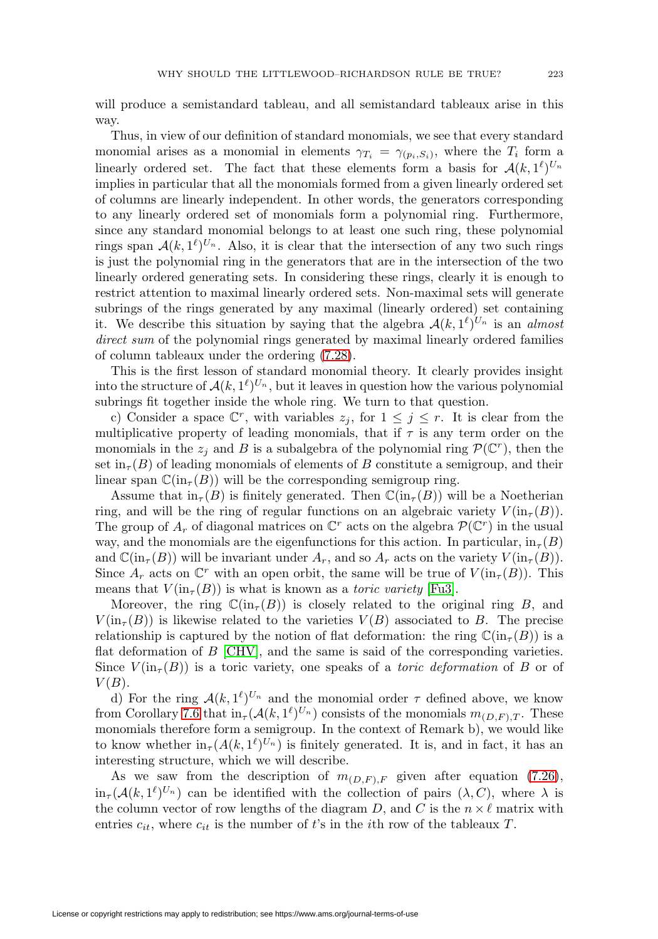will produce a semistandard tableau, and all semistandard tableaux arise in this way.

Thus, in view of our definition of standard monomials, we see that every standard monomial arises as a monomial in elements  $\gamma_{T_i} = \gamma_{(p_i,S_i)}$ , where the  $T_i$  form a linearly ordered set. The fact that these elements form a basis for  $\mathcal{A}(k, 1^{\ell})^{U_n}$ implies in particular that all the monomials formed from a given linearly ordered set of columns are linearly independent. In other words, the generators corresponding to any linearly ordered set of monomials form a polynomial ring. Furthermore, since any standard monomial belongs to at least one such ring, these polynomial rings span  $\mathcal{A}(k, 1^{\ell})^{U_n}$ . Also, it is clear that the intersection of any two such rings is just the polynomial ring in the generators that are in the intersection of the two linearly ordered generating sets. In considering these rings, clearly it is enough to restrict attention to maximal linearly ordered sets. Non-maximal sets will generate subrings of the rings generated by any maximal (linearly ordered) set containing it. We describe this situation by saying that the algebra  $\mathcal{A}(k, 1^{\ell})^{U_n}$  is an almost direct sum of the polynomial rings generated by maximal linearly ordered families of column tableaux under the ordering [\(7.28\)](#page-35-0).

This is the first lesson of standard monomial theory. It clearly provides insight into the structure of  $\mathcal{A}(k, 1^{\ell})^{U_n}$ , but it leaves in question how the various polynomial subrings fit together inside the whole ring. We turn to that question.

c) Consider a space  $\mathbb{C}^r$ , with variables  $z_i$ , for  $1 \leq j \leq r$ . It is clear from the multiplicative property of leading monomials, that if  $\tau$  is any term order on the monomials in the  $z_j$  and B is a subalgebra of the polynomial ring  $\mathcal{P}(\mathbb{C}^r)$ , then the set  $\text{in}_{\tau}(B)$  of leading monomials of elements of B constitute a semigroup, and their linear span  $\mathbb{C}(\text{in}_{\tau}(B))$  will be the corresponding semigroup ring.

Assume that  $\text{in}_{\tau}(B)$  is finitely generated. Then  $\mathbb{C}(\text{in}_{\tau}(B))$  will be a Noetherian ring, and will be the ring of regular functions on an algebraic variety  $V(\text{in}_{\tau}(B))$ . The group of  $A_r$  of diagonal matrices on  $\mathbb{C}^r$  acts on the algebra  $\mathcal{P}(\mathbb{C}^r)$  in the usual way, and the monomials are the eigenfunctions for this action. In particular,  $\text{in}_{\tau}(B)$ and  $\mathbb{C}(\text{in}_{\tau}(B))$  will be invariant under  $A_r$ , and so  $A_r$  acts on the variety  $V(\text{in}_{\tau}(B))$ . Since  $A_r$  acts on  $\mathbb{C}^r$  with an open orbit, the same will be true of  $V(\text{in}_{\tau}(B))$ . This means that  $V(\text{in}_{\tau}(B))$  is what is known as a *toric variety* [\[Fu3\]](#page-46-3).

Moreover, the ring  $\mathbb{C}(\text{in}_{\tau}(B))$  is closely related to the original ring B, and  $V(\text{in}_{\tau}(B))$  is likewise related to the varieties  $V(B)$  associated to B. The precise relationship is captured by the notion of flat deformation: the ring  $\mathbb{C}(\text{in}_{\tau}(B))$  is a flat deformation of  $B$  [\[CHV\]](#page-46-11), and the same is said of the corresponding varieties. Since  $V(\text{in}_{\tau}(B))$  is a toric variety, one speaks of a *toric deformation* of B or of  $V(B)$ .

d) For the ring  $\mathcal{A}(k, 1^{\ell})^{U_n}$  and the monomial order  $\tau$  defined above, we know from Corollary [7.6](#page-35-1) that  $\text{in}_{\tau}(\mathcal{A}(k,1^{\ell})^{U_n})$  consists of the monomials  $m_{(D,F),T}$ . These monomials therefore form a semigroup. In the context of Remark b), we would like to know whether  $\ln_{\tau}(A(k, 1^{\ell})^{U_n})$  is finitely generated. It is, and in fact, it has an interesting structure, which we will describe.

As we saw from the description of  $m_{(D,F),F}$  given after equation [\(7.26\)](#page-33-1),  $\text{in}_{\tau}(\mathcal{A}(k, 1^{\ell})^{U_n})$  can be identified with the collection of pairs  $(\lambda, C)$ , where  $\lambda$  is the column vector of row lengths of the diagram D, and C is the  $n \times \ell$  matrix with entries  $c_{it}$ , where  $c_{it}$  is the number of t's in the ith row of the tableaux T.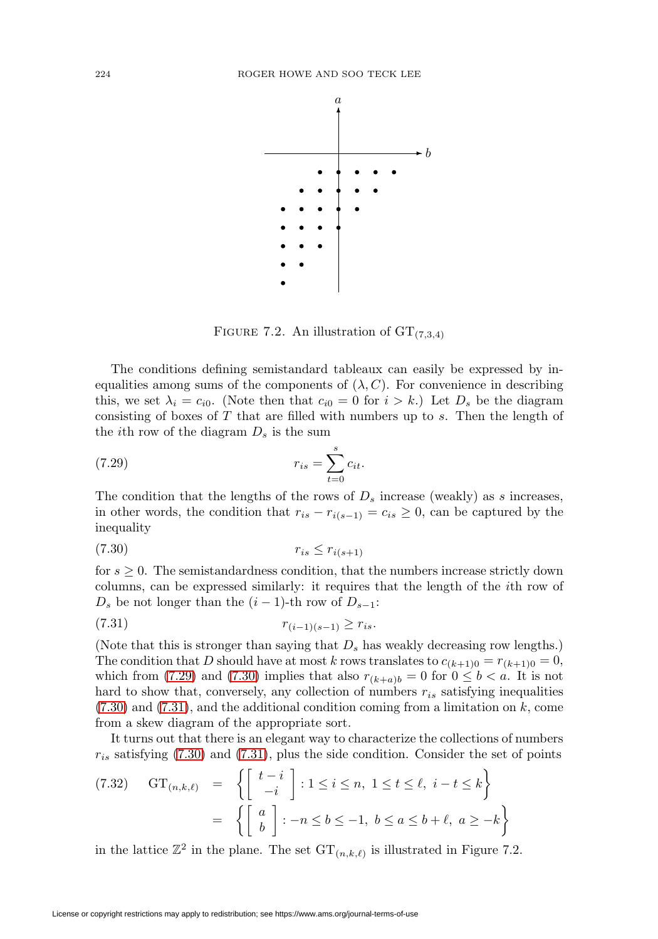

FIGURE 7.2. An illustration of  $GT_{(7,3,4)}$ 

The conditions defining semistandard tableaux can easily be expressed by inequalities among sums of the components of  $(\lambda, C)$ . For convenience in describing this, we set  $\lambda_i = c_{i0}$ . (Note then that  $c_{i0} = 0$  for  $i > k$ .) Let  $D_s$  be the diagram consisting of boxes of  $T$  that are filled with numbers up to  $s$ . Then the length of the *i*th row of the diagram  $D_s$  is the sum

<span id="page-37-0"></span>(7.29) 
$$
r_{is} = \sum_{t=0}^{s} c_{it}.
$$

The condition that the lengths of the rows of  $D_s$  increase (weakly) as s increases, in other words, the condition that  $r_{is} - r_{i(s-1)} = c_{is} \geq 0$ , can be captured by the inequality

<span id="page-37-1"></span>
$$
(7.30) \t\t\t r_{is} \le r_{i(s+1)}
$$

for  $s \geq 0$ . The semistandardness condition, that the numbers increase strictly down columns, can be expressed similarly: it requires that the length of the ith row of  $D_s$  be not longer than the  $(i-1)$ -th row of  $D_{s-1}$ :

<span id="page-37-2"></span>
$$
(7.31) \t\t\t r_{(i-1)(s-1)} \ge r_{is}.
$$

(Note that this is stronger than saying that  $D_s$  has weakly decreasing row lengths.) The condition that D should have at most k rows translates to  $c_{(k+1)0} = r_{(k+1)0} = 0$ , which from [\(7.29\)](#page-37-0) and [\(7.30\)](#page-37-1) implies that also  $r_{(k+a)b} = 0$  for  $0 \leq b < a$ . It is not hard to show that, conversely, any collection of numbers  $r_{is}$  satisfying inequalities  $(7.30)$  and  $(7.31)$ , and the additional condition coming from a limitation on k, come from a skew diagram of the appropriate sort.

It turns out that there is an elegant way to characterize the collections of numbers  $r_{is}$  satisfying [\(7.30\)](#page-37-1) and [\(7.31\)](#page-37-2), plus the side condition. Consider the set of points

$$
(7.32) \quad \text{GT}_{(n,k,\ell)} = \left\{ \begin{bmatrix} t-i \\ -i \end{bmatrix} : 1 \le i \le n, \ 1 \le t \le \ell, \ i-t \le k \right\}
$$

$$
= \left\{ \begin{bmatrix} a \\ b \end{bmatrix} : -n \le b \le -1, \ b \le a \le b+\ell, \ a \ge -k \right\}
$$

in the lattice  $\mathbb{Z}^2$  in the plane. The set  $\mathrm{GT}_{(n,k,\ell)}$  is illustrated in Figure 7.2.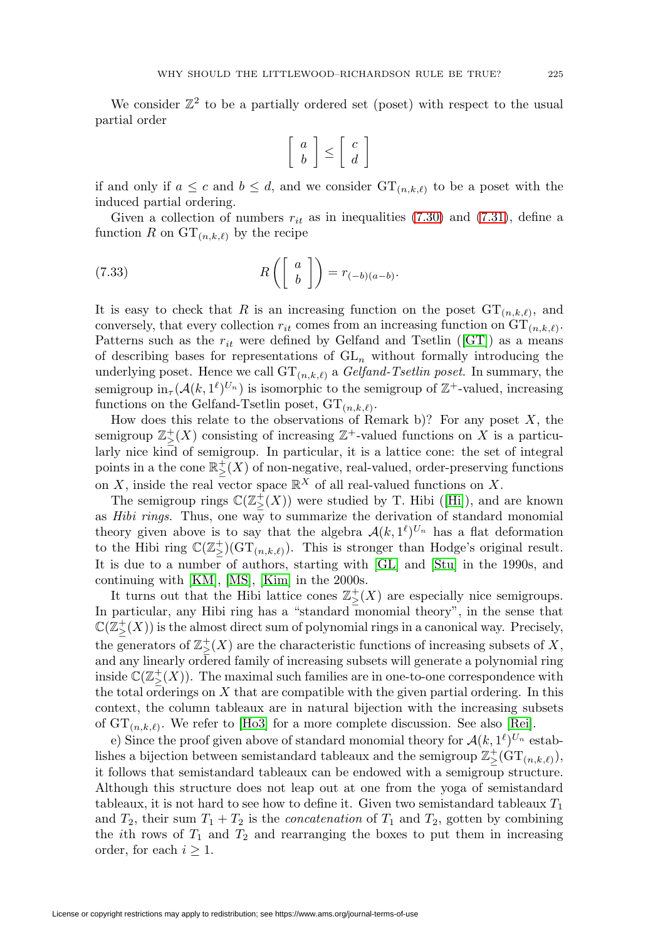We consider  $\mathbb{Z}^2$  to be a partially ordered set (poset) with respect to the usual partial order

$$
\left[\begin{array}{c} a \\ b \end{array}\right] \leq \left[\begin{array}{c} c \\ d \end{array}\right]
$$

if and only if  $a \leq c$  and  $b \leq d$ , and we consider  $\mathrm{GT}_{(n,k,\ell)}$  to be a poset with the induced partial ordering.

Given a collection of numbers  $r_{it}$  as in inequalities [\(7.30\)](#page-37-1) and [\(7.31\)](#page-37-2), define a function R on  $GT_{(n,k,\ell)}$  by the recipe

(7.33) 
$$
R\left(\left[\begin{array}{c}a\\b\end{array}\right]\right) = r_{(-b)(a-b)}.
$$

It is easy to check that R is an increasing function on the poset  $\mathrm{GT}_{(n,k,\ell)}$ , and conversely, that every collection  $r_{it}$  comes from an increasing function on  $\mathrm{GT}_{(n,k,\ell)}$ . Patterns such as the  $r_{it}$  were defined by Gelfand and Tsetlin ([\[GT\]](#page-46-12)) as a means of describing bases for representations of  $GL_n$  without formally introducing the underlying poset. Hence we call  $\mathrm{GT}_{(n,k,\ell)}$  a *Gelfand-Tsetlin poset*. In summary, the semigroup  $\text{in}_{\tau}(\mathcal{A}(k, 1^{\ell})^{U_n})$  is isomorphic to the semigroup of  $\mathbb{Z}^+$ -valued, increasing functions on the Gelfand-Tsetlin poset,  $GT_{(n,k,\ell)}$ .

How does this relate to the observations of Remark b)? For any poset  $X$ , the semigroup  $\mathbb{Z}^+_{\geq}(X)$  consisting of increasing  $\mathbb{Z}^+$ -valued functions on X is a particularly nice kind of semigroup. In particular, it is a lattice cone: the set of integral points in a the cone  $\mathbb{R}^+_{\geq}(X)$  of non-negative, real-valued, order-preserving functions on X, inside the real vector space  $\mathbb{R}^X$  of all real-valued functions on X.

The semigroup rings  $\mathbb{C}(\mathbb{Z}^+_{\geq}(X))$  were studied by T. Hibi ([\[Hi\]](#page-47-21)), and are known as *Hibi rings*. Thus, one way to summarize the derivation of standard monomial theory given above is to say that the algebra  $\mathcal{A}(k, 1^{\ell})^{U_n}$  has a flat deformation to the Hibi ring  $\mathbb{C}(\mathbb{Z}_{\geq}^{+})(\mathrm{GT}_{(n,k,\ell)})$ . This is stronger than Hodge's original result. It is due to a number of authors, starting with [\[GL\]](#page-46-7) and [\[Stu\]](#page-48-20) in the 1990s, and continuing with [\[KM\]](#page-47-22), [\[MS\]](#page-48-21), [\[Kim\]](#page-47-20) in the 2000s.

It turns out that the Hibi lattice cones  $\mathbb{Z}_{\geq}^{+}(X)$  are especially nice semigroups. In particular, any Hibi ring has a "standard monomial theory", in the sense that  $\mathbb{C}(\mathbb{Z}^+_\ge(X))$  is the almost direct sum of polynomial rings in a canonical way. Precisely, the generators of  $\mathbb{Z}^+_{\geq}(X)$  are the characteristic functions of increasing subsets of X, and any linearly ordered family of increasing subsets will generate a polynomial ring inside  $\mathbb{C}(\mathbb{Z}_{\geq}^{+}(X))$ . The maximal such families are in one-to-one correspondence with the total orderings on  $X$  that are compatible with the given partial ordering. In this context, the column tableaux are in natural bijection with the increasing subsets of  $GT_{(n,k,\ell)}$ . We refer to [\[Ho3\]](#page-47-23) for a more complete discussion. See also [\[Rei\]](#page-48-23).

e) Since the proof given above of standard monomial theory for  $\mathcal{A}(k, 1^{\ell})^{U_n}$  establishes a bijection between semistandard tableaux and the semigroup  $\mathbb{Z}_{\geq}^{+}(GT_{(n,k,\ell)}),$ it follows that semistandard tableaux can be endowed with a semigroup structure. Although this structure does not leap out at one from the yoga of semistandard tableaux, it is not hard to see how to define it. Given two semistandard tableaux  $T_1$ and  $T_2$ , their sum  $T_1 + T_2$  is the *concatenation* of  $T_1$  and  $T_2$ , gotten by combining the *i*th rows of  $T_1$  and  $T_2$  and rearranging the boxes to put them in increasing order, for each  $i \geq 1$ .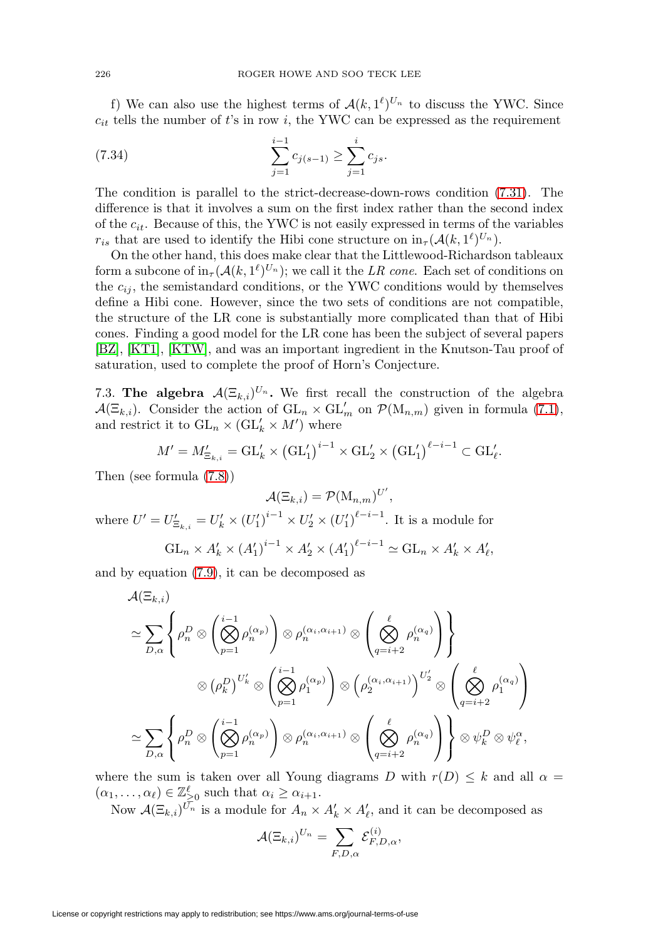f) We can also use the highest terms of  $\mathcal{A}(k, 1^{\ell})^{U_n}$  to discuss the YWC. Since  $c_{it}$  tells the number of t's in row i, the YWC can be expressed as the requirement

(7.34) 
$$
\sum_{j=1}^{i-1} c_{j(s-1)} \ge \sum_{j=1}^{i} c_{js}.
$$

The condition is parallel to the strict-decrease-down-rows condition [\(7.31\)](#page-37-2). The difference is that it involves a sum on the first index rather than the second index of the  $c_{it}$ . Because of this, the YWC is not easily expressed in terms of the variables  $r_{is}$  that are used to identify the Hibi cone structure on  $\text{in}_{\tau}(\mathcal{A}(k, 1^{\ell})^{U_n})$ .

On the other hand, this does make clear that the Littlewood-Richardson tableaux form a subcone of  $\text{in}_{\tau}(\mathcal{A}(k, 1^{\ell})^{U_n})$ ; we call it the LR cone. Each set of conditions on the  $c_{ij}$ , the semistandard conditions, or the YWC conditions would by themselves define a Hibi cone. However, since the two sets of conditions are not compatible, the structure of the LR cone is substantially more complicated than that of Hibi cones. Finding a good model for the LR cone has been the subject of several papers [\[BZ\]](#page-46-13), [\[KT1\]](#page-48-16), [\[KTW\]](#page-48-18), and was an important ingredient in the Knutson-Tau proof of saturation, used to complete the proof of Horn's Conjecture.

7.3. **The algebra**  $\mathcal{A}(\Xi_{k,i})^{U_n}$ . We first recall the construction of the algebra  $\mathcal{A}(\Xi_{k,i})$ . Consider the action of  $\mathrm{GL}_n \times \mathrm{GL}_m'$  on  $\mathcal{P}(\mathrm{M}_{n,m})$  given in formula [\(7.1\)](#page-26-0), and restrict it to  $GL_n \times (GL'_k \times M')$  where

$$
M' = M'_{\Xi_{k,i}} = \mathrm{GL}'_k \times (\mathrm{GL}'_1)^{i-1} \times \mathrm{GL}'_2 \times (\mathrm{GL}'_1)^{\ell-i-1} \subset \mathrm{GL}'_{\ell}.
$$

Then (see formula [\(7.8\)](#page-27-1))

$$
\mathcal{A}(\Xi_{k,i})=\mathcal{P}(\mathrm{M}_{n,m})^{U'},
$$

where  $U' = U'_{\Xi_{k,i}} = U'_{k} \times (U'_{1})^{i-1} \times U'_{2} \times (U'_{1})^{i-i-1}$ . It is a module for

$$
GL_n \times A'_k \times (A'_1)^{i-1} \times A'_2 \times (A'_1)^{\ell-i-1} \simeq GL_n \times A'_k \times A'_\ell,
$$

and by equation [\(7.9\)](#page-27-0), it can be decomposed as

$$
\mathcal{A}(\Xi_{k,i})
$$
\n
$$
\simeq \sum_{D,\alpha} \left\{ \rho_n^D \otimes \left( \bigotimes_{p=1}^{i-1} \rho_n^{(\alpha_p)} \right) \otimes \rho_n^{(\alpha_i, \alpha_{i+1})} \otimes \left( \bigotimes_{q=i+2}^{\ell} \rho_n^{(\alpha_q)} \right) \right\}
$$
\n
$$
\otimes (\rho_k^D)^{U'_k} \otimes \left( \bigotimes_{p=1}^{i-1} \rho_1^{(\alpha_p)} \right) \otimes \left( \rho_2^{(\alpha_i, \alpha_{i+1})} \right)^{U'_2} \otimes \left( \bigotimes_{q=i+2}^{\ell} \rho_1^{(\alpha_q)} \right)
$$
\n
$$
\simeq \sum_{D,\alpha} \left\{ \rho_n^D \otimes \left( \bigotimes_{p=1}^{i-1} \rho_n^{(\alpha_p)} \right) \otimes \rho_n^{(\alpha_i, \alpha_{i+1})} \otimes \left( \bigotimes_{q=i+2}^{\ell} \rho_n^{(\alpha_q)} \right) \right\} \otimes \psi_k^D \otimes \psi_\ell^{\alpha},
$$

where the sum is taken over all Young diagrams D with  $r(D) \leq k$  and all  $\alpha =$  $(\alpha_1,\ldots,\alpha_\ell) \in \mathbb{Z}_{\geq 0}^{\ell}$  such that  $\alpha_i \geq \alpha_{i+1}$ .

Now  $\mathcal{A}(\Xi_{k,i})^{U_n}$  is a module for  $A_n \times A'_k \times A'_\ell$ , and it can be decomposed as

$$
\mathcal{A}(\Xi_{k,i})^{U_n}=\sum_{F,D,\alpha}\mathcal{E}_{F,D,\alpha}^{(i)},
$$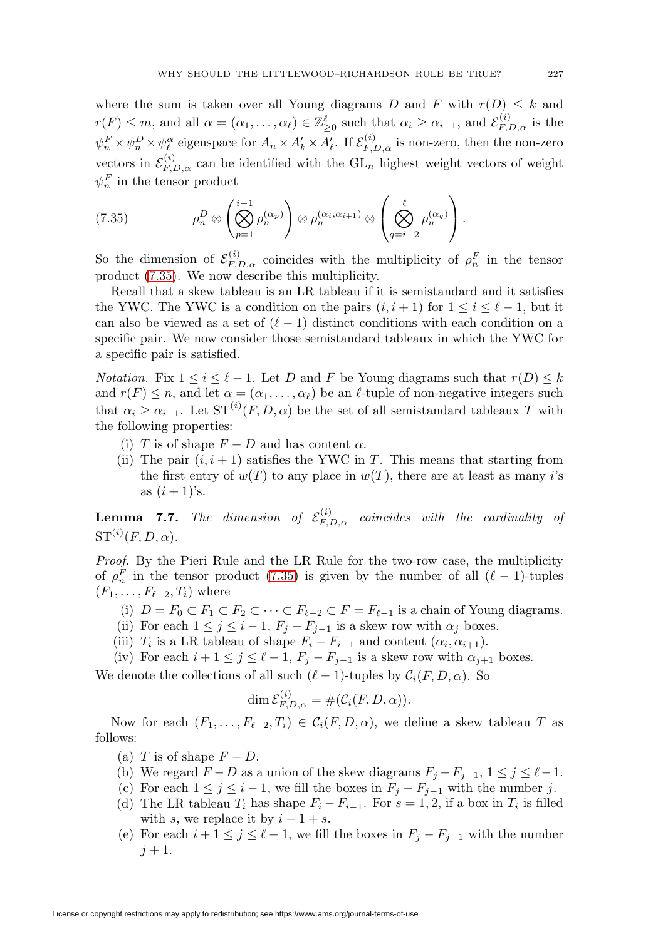where the sum is taken over all Young diagrams D and F with  $r(D) \leq k$  and  $r(F) \leq m$ , and all  $\alpha = (\alpha_1, \ldots, \alpha_\ell) \in \mathbb{Z}_{\geq 0}^{\ell}$  such that  $\alpha_i \geq \alpha_{i+1}$ , and  $\mathcal{E}_{F,D,\alpha}^{(i)}$  is the  $\psi_n^F \times \psi_n^D \times \psi_\ell^\alpha$  eigenspace for  $A_n \times A'_k \times A'_\ell$ . If  $\mathcal{E}_{F,D,\alpha}^{(i)}$  is non-zero, then the non-zero vectors in  $\mathcal{E}_{F,D,\alpha}^{(i)}$  can be identified with the  $GL_n$  highest weight vectors of weight  $\psi_n^F$  in the tensor product

<span id="page-40-0"></span>(7.35) 
$$
\rho_n^D \otimes \left(\bigotimes_{p=1}^{i-1} \rho_n^{(\alpha_p)}\right) \otimes \rho_n^{(\alpha_i, \alpha_{i+1})} \otimes \left(\bigotimes_{q=i+2}^{\ell} \rho_n^{(\alpha_q)}\right).
$$

So the dimension of  $\mathcal{E}_{F,D,\alpha}^{(i)}$  coincides with the multiplicity of  $\rho_n^F$  in the tensor product [\(7.35\)](#page-40-0). We now describe this multiplicity.

Recall that a skew tableau is an LR tableau if it is semistandard and it satisfies the YWC. The YWC is a condition on the pairs  $(i, i + 1)$  for  $1 \le i \le \ell - 1$ , but it can also be viewed as a set of  $(\ell-1)$  distinct conditions with each condition on a specific pair. We now consider those semistandard tableaux in which the YWC for a specific pair is satisfied.

*Notation.* Fix  $1 \leq i \leq \ell - 1$ . Let D and F be Young diagrams such that  $r(D) \leq k$ and  $r(F) \leq n$ , and let  $\alpha = (\alpha_1, \ldots, \alpha_\ell)$  be an  $\ell$ -tuple of non-negative integers such that  $\alpha_i \geq \alpha_{i+1}$ . Let  $ST^{(i)}(F, D, \alpha)$  be the set of all semistandard tableaux T with the following properties:

- (i) T is of shape  $F D$  and has content  $\alpha$ .
- (ii) The pair  $(i, i + 1)$  satisfies the YWC in T. This means that starting from the first entry of  $w(T)$  to any place in  $w(T)$ , there are at least as many i's as  $(i + 1)$ 's.

<span id="page-40-1"></span>**Lemma 7.7.** The dimension of  $\mathcal{E}_{F,D,\alpha}^{(i)}$  coincides with the cardinality of  $\mathrm{ST}^{(i)}(F,D,\alpha).$ 

Proof. By the Pieri Rule and the LR Rule for the two-row case, the multiplicity of  $\rho_n^F$  in the tensor product [\(7.35\)](#page-40-0) is given by the number of all  $(\ell-1)$ -tuples  $(F_1,\ldots,F_{\ell-2},T_i)$  where

- (i)  $D = F_0 \subset F_1 \subset F_2 \subset \cdots \subset F_{\ell-2} \subset F = F_{\ell-1}$  is a chain of Young diagrams.
- (ii) For each  $1 \leq j \leq i-1$ ,  $F_j F_{j-1}$  is a skew row with  $\alpha_j$  boxes.
- (iii)  $T_i$  is a LR tableau of shape  $F_i F_{i-1}$  and content  $(\alpha_i, \alpha_{i+1})$ .
- (iv) For each  $i + 1 \leq j \leq \ell 1$ ,  $F_j F_{j-1}$  is a skew row with  $\alpha_{j+1}$  boxes.

We denote the collections of all such  $(\ell - 1)$ -tuples by  $C_i(F, D, \alpha)$ . So

$$
\dim \mathcal{E}_{F,D,\alpha}^{(i)} = \#(\mathcal{C}_i(F,D,\alpha)).
$$

Now for each  $(F_1,\ldots,F_{\ell-2},T_i) \in C_i(F,D,\alpha)$ , we define a skew tableau T as follows:

- (a) T is of shape  $F D$ .
- (b) We regard  $F D$  as a union of the skew diagrams  $F_j F_{j-1}, 1 \le j \le \ell 1$ .
- (c) For each  $1 \leq j \leq i-1$ , we fill the boxes in  $F_j F_{j-1}$  with the number j.
- (d) The LR tableau  $T_i$  has shape  $F_i F_{i-1}$ . For  $s = 1, 2$ , if a box in  $T_i$  is filled with s, we replace it by  $i - 1 + s$ .
- (e) For each  $i + 1 \leq j \leq \ell 1$ , we fill the boxes in  $F_j F_{j-1}$  with the number  $j + 1$ .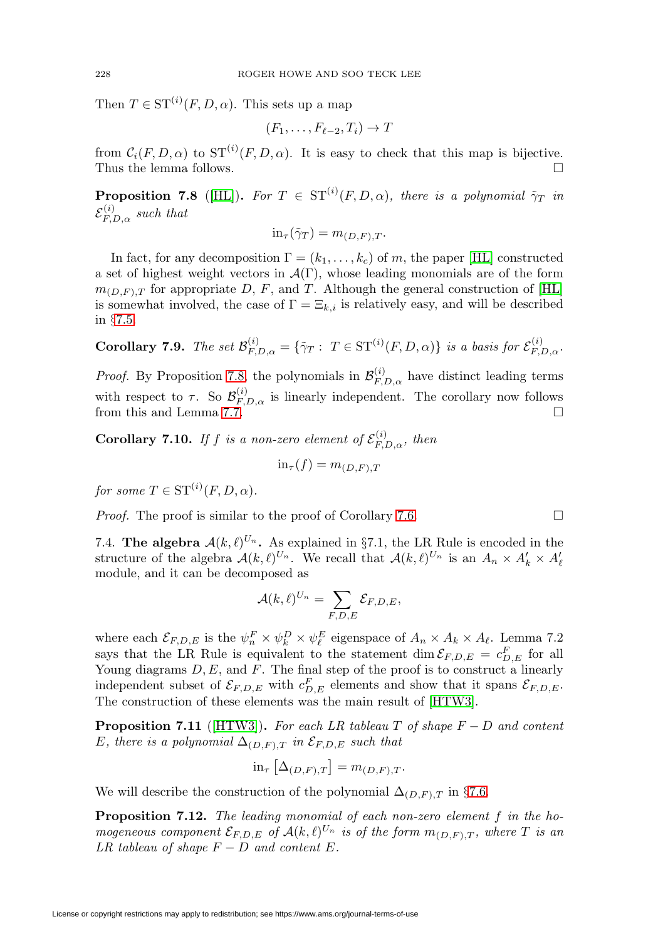Then  $T \in \mathrm{ST}^{(i)}(F,D,\alpha)$ . This sets up a map

$$
(F_1,\ldots,F_{\ell-2},T_i)\to T
$$

from  $C_i(F, D, \alpha)$  to  $ST^{(i)}(F, D, \alpha)$ . It is easy to check that this map is bijective. Thus the lemma follows.

<span id="page-41-0"></span>**Proposition 7.8** ([\[HL\]](#page-47-3)). For  $T \in ST^{(i)}(F, D, \alpha)$ , there is a polynomial  $\tilde{\gamma}_T$  in  $\mathcal{E}_{F,D,\alpha}^{(i)}$  such that

$$
\text{in}_{\tau}(\tilde{\gamma}_T) = m_{(D,F),T}.
$$

In fact, for any decomposition  $\Gamma = (k_1, \ldots, k_c)$  of m, the paper [\[HL\]](#page-47-3) constructed a set of highest weight vectors in  $\mathcal{A}(\Gamma)$ , whose leading monomials are of the form  $m_{(D,F),T}$  for appropriate D, F, and T. Although the general construction of [\[HL\]](#page-47-3) is somewhat involved, the case of  $\Gamma = \Xi_{k,i}$  is relatively easy, and will be described in §[7.5.](#page-42-0)

Corollary 7.9. The set 
$$
\mathcal{B}_{F,D,\alpha}^{(i)} = \{ \tilde{\gamma}_T : T \in \mathrm{ST}^{(i)}(F,D,\alpha) \}
$$
 is a basis for  $\mathcal{E}_{F,D,\alpha}^{(i)}$ .

*Proof.* By Proposition [7.8,](#page-41-0) the polynomials in  $\mathcal{B}_{F,D,\alpha}^{(i)}$  have distinct leading terms with respect to  $\tau$ . So  $\mathcal{B}_{F,D,\alpha}^{(i)}$  is linearly independent. The corollary now follows from this and Lemma [7.7.](#page-40-1)  $\Box$ 

<span id="page-41-1"></span>**Corollary 7.10.** If f is a non-zero element of  $\mathcal{E}_{F,D,\alpha}^{(i)}$ , then

$$
\text{in}_{\tau}(f) = m_{(D,F),T}
$$

for some  $T \in \mathrm{ST}^{(i)}(F,D,\alpha)$ .

*Proof.* The proof is similar to the proof of Corollary [7.6.](#page-35-1)  $\Box$ 

7.4. **The algebra**  $\mathcal{A}(k,\ell)^{U_n}$ . As explained in §7.1, the LR Rule is encoded in the structure of the algebra  $\mathcal{A}(k,\ell)^{U_n}$ . We recall that  $\mathcal{A}(k,\ell)^{U_n}$  is an  $A_n \times A'_k \times A'_\ell$ module, and it can be decomposed as

$$
\mathcal{A}(k,\ell)^{U_n} = \sum_{F,D,E} \mathcal{E}_{F,D,E},
$$

where each  $\mathcal{E}_{F,D,E}$  is the  $\psi_n^F \times \psi_k^D \times \psi_\ell^E$  eigenspace of  $A_n \times A_k \times A_\ell$ . Lemma 7.2 says that the LR Rule is equivalent to the statement  $\dim \mathcal{E}_{F,D,E} = c_{D,E}^F$  for all Young diagrams  $D, E$ , and  $F$ . The final step of the proof is to construct a linearly independent subset of  $\mathcal{E}_{F,D,E}$  with  $c_{D,E}^F$  elements and show that it spans  $\mathcal{E}_{F,D,E}$ . The construction of these elements was the main result of [\[HTW3\]](#page-47-2).

<span id="page-41-2"></span>**Proposition 7.11** ( $[HTW3]$ ). For each LR tableau T of shape  $F - D$  and content E, there is a polynomial  $\Delta_{(D,F),T}$  in  $\mathcal{E}_{F,D,E}$  such that

$$
\text{in}_{\tau} \left[ \Delta_{(D,F),T} \right] = m_{(D,F),T}.
$$

We will describe the construction of the polynomial  $\Delta_{(D,F),T}$  in §[7.6.](#page-44-0)

<span id="page-41-3"></span>**Proposition 7.12.** The leading monomial of each non-zero element f in the homogeneous component  $\mathcal{E}_{F,D,E}$  of  $\mathcal{A}(k,\ell)^{U_n}$  is of the form  $m_{(D,F),T}$ , where T is an LR tableau of shape  $F - D$  and content E.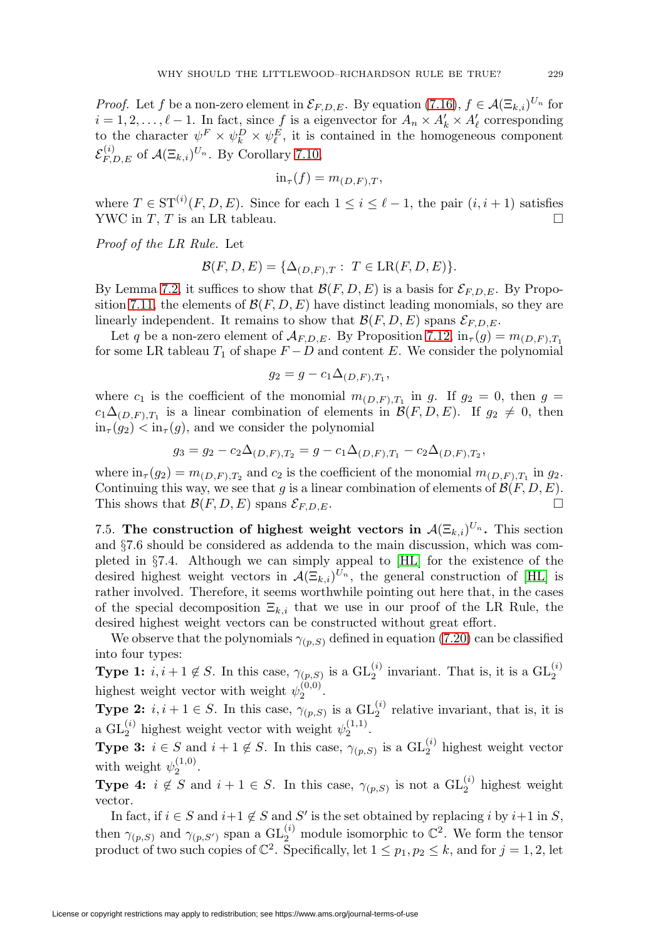*Proof.* Let f be a non-zero element in  $\mathcal{E}_{F.D.E.}$ . By equation [\(7.16\)](#page-30-1),  $f \in \mathcal{A}(\Xi_{k,i})^{U_n}$  for  $i = 1, 2, \ldots, \ell - 1$ . In fact, since f is a eigenvector for  $A_n \times A'_k \times A'_\ell$  corresponding to the character  $\psi^F \times \psi^D_k \times \psi^E_\ell$ , it is contained in the homogeneous component  $\mathcal{E}_{F,D,E}^{(i)}$  of  $\mathcal{A}(\Xi_{k,i})^{U_n}$ . By Corollary [7.10,](#page-41-1)

$$
\text{in}_{\tau}(f) = m_{(D,F),T},
$$

where  $T \in ST^{(i)}(F, D, E)$ . Since for each  $1 \leq i \leq \ell - 1$ , the pair  $(i, i + 1)$  satisfies YWC in T, T is an LR tableau.  $\square$ 

Proof of the LR Rule. Let

$$
\mathcal{B}(F,D,E) = \{\Delta_{(D,F),T} : T \in \operatorname{LR}(F,D,E)\}.
$$

By Lemma [7.2,](#page-29-0) it suffices to show that  $\mathcal{B}(F, D, E)$  is a basis for  $\mathcal{E}_{F,D,E}$ . By Propo-sition [7.11,](#page-41-2) the elements of  $\mathcal{B}(F, D, E)$  have distinct leading monomials, so they are linearly independent. It remains to show that  $\mathcal{B}(F, D, E)$  spans  $\mathcal{E}_{F, D, E}$ .

Let q be a non-zero element of  $\mathcal{A}_{F,D,E}$ . By Proposition [7.12,](#page-41-3)  $\text{in}_{\tau}(g) = m_{(D,F),T_1}$ for some LR tableau  $T_1$  of shape  $F - D$  and content E. We consider the polynomial

$$
g_2 = g - c_1 \Delta_{(D,F),T_1},
$$

where  $c_1$  is the coefficient of the monomial  $m_{(D,F),T_1}$  in g. If  $g_2 = 0$ , then  $g =$  $c_1\Delta_{(D,F),T_1}$  is a linear combination of elements in  $\mathcal{B}(F, D, E)$ . If  $g_2 \neq 0$ , then  $\text{in}_{\tau}(q_2) < \text{in}_{\tau}(q)$ , and we consider the polynomial

$$
g_3 = g_2 - c_2 \Delta_{(D,F),T_2} = g - c_1 \Delta_{(D,F),T_1} - c_2 \Delta_{(D,F),T_2},
$$

where  $\text{in}_{\tau}(g_2) = m_{(D,F),T_2}$  and  $c_2$  is the coefficient of the monomial  $m_{(D,F),T_1}$  in  $g_2$ . Continuing this way, we see that g is a linear combination of elements of  $\mathcal{B}(F, D, E)$ . This shows that  $\mathcal{B}(F, D, E)$  spans  $\mathcal{E}_{F, D, E}$ .

<span id="page-42-0"></span>7.5. The construction of highest weight vectors in  $\mathcal{A}(\Xi_{k,i})^{U_n}$ . This section and §7.6 should be considered as addenda to the main discussion, which was completed in §7.4. Although we can simply appeal to [\[HL\]](#page-47-3) for the existence of the desired highest weight vectors in  $\mathcal{A}(\Xi_{k,i})^{U_n}$ , the general construction of [\[HL\]](#page-47-3) is rather involved. Therefore, it seems worthwhile pointing out here that, in the cases of the special decomposition  $\Xi_{k,i}$  that we use in our proof of the LR Rule, the desired highest weight vectors can be constructed without great effort.

We observe that the polynomials  $\gamma_{(p,S)}$  defined in equation [\(7.20\)](#page-32-0) can be classified into four types:

**Type 1:**  $i, i+1 \notin S$ . In this case,  $\gamma_{(p,S)}$  is a  $GL_2^{(i)}$  invariant. That is, it is a  $GL_2^{(i)}$ highest weight vector with weight  $\psi_2^{(0,0)}$ .

**Type 2:**  $i, i+1 \in S$ . In this case,  $\gamma_{(p,S)}$  is a  $GL_2^{(i)}$  relative invariant, that is, it is a  $GL_2^{(i)}$  highest weight vector with weight  $\psi_2^{(1,1)}$ .

**Type 3:**  $i \in S$  and  $i + 1 \notin S$ . In this case,  $\gamma_{(p,S)}$  is a  $GL_2^{(i)}$  highest weight vector with weight  $\psi_2^{(1,0)}$ .

**Type 4:**  $i \notin S$  and  $i + 1 \in S$ . In this case,  $\gamma_{(p,S)}$  is not a  $GL_2^{(i)}$  highest weight vector.

In fact, if  $i \in S$  and  $i+1 \notin S$  and S' is the set obtained by replacing i by  $i+1$  in S, then  $\gamma_{(p,S)}$  and  $\gamma_{(p,S')}$  span a  $\mathrm{GL}_2^{(i)}$  module isomorphic to  $\mathbb{C}^2$ . We form the tensor product of two such copies of  $\mathbb{C}^2$ . Specifically, let  $1 \leq p_1, p_2 \leq k$ , and for  $j = 1, 2$ , let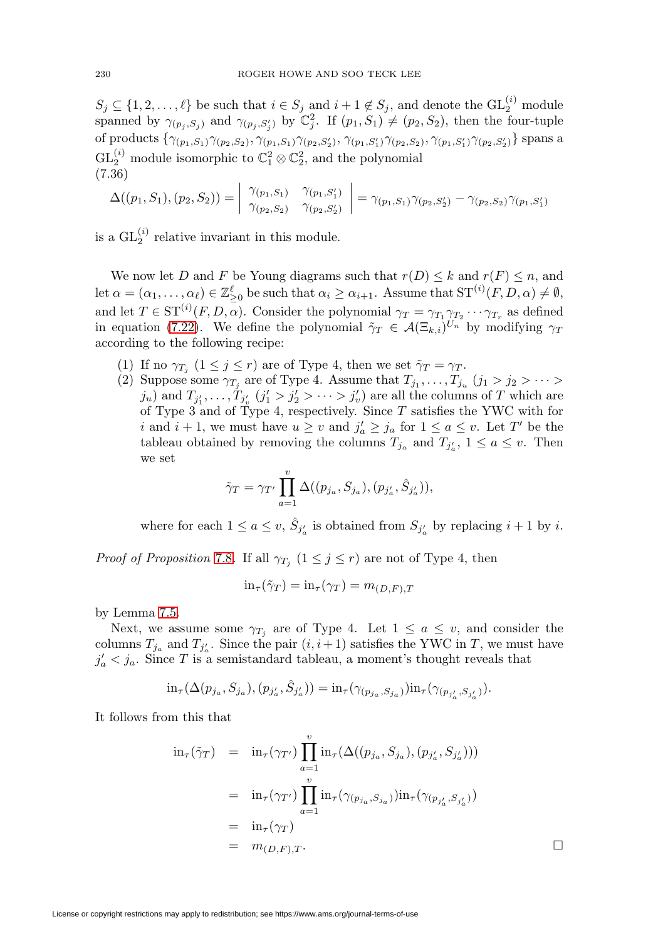$S_j \subseteq \{1, 2, \ldots, \ell\}$  be such that  $i \in S_j$  and  $i + 1 \notin S_j$ , and denote the  $GL_2^{(i)}$  module spanned by  $\gamma_{(p_j, S_j)}$  and  $\gamma_{(p_j, S'_j)}$  by  $\mathbb{C}_j^2$ . If  $(p_1, S_1) \neq (p_2, S_2)$ , then the four-tuple of products  $\{\gamma_{(p_1,S_1)}\gamma_{(p_2,S_2)},\gamma_{(p_1,S_1)}\gamma_{(p_2,S'_2)},\gamma_{(p_1,S'_1)}\gamma_{(p_2,S_2)},\gamma_{(p_1,S'_1)}\gamma_{(p_2,S'_2)}\}$  spans a  $\text{GL}_2^{(i)}$  module isomorphic to  $\mathbb{C}_1^2 \otimes \mathbb{C}_2^2$ , and the polynomial (7.36)

$$
\Delta((p_1, S_1), (p_2, S_2)) = \begin{vmatrix} \gamma_{(p_1, S_1)} & \gamma_{(p_1, S'_1)} \\ \gamma_{(p_2, S_2)} & \gamma_{(p_2, S'_2)} \end{vmatrix} = \gamma_{(p_1, S_1)} \gamma_{(p_2, S'_2)} - \gamma_{(p_2, S_2)} \gamma_{(p_1, S'_1)}
$$

is a  $GL_2^{(i)}$  relative invariant in this module.

We now let D and F be Young diagrams such that  $r(D) \leq k$  and  $r(F) \leq n$ , and let  $\alpha = (\alpha_1, \ldots, \alpha_\ell) \in \mathbb{Z}_{\geq 0}^{\ell}$  be such that  $\alpha_i \geq \alpha_{i+1}$ . Assume that  $ST^{(i)}(F, D, \alpha) \neq \emptyset$ , and let  $T \in \mathrm{ST}^{(i)}(F,D,\alpha)$ . Consider the polynomial  $\gamma_T = \gamma_{T_1} \gamma_{T_2} \cdots \gamma_{T_r}$  as defined in equation [\(7.22\)](#page-32-2). We define the polynomial  $\tilde{\gamma}_T \in \mathcal{A}(\Xi_{k,i})^{\tilde{U}_n}$  by modifying  $\gamma_T$ according to the following recipe:

- (1) If no  $\gamma_{T_j}$   $(1 \leq j \leq r)$  are of Type 4, then we set  $\tilde{\gamma}_T = \gamma_T$ .
- (2) Suppose some  $\gamma_{T_j}$  are of Type 4. Assume that  $T_{j_1}, \ldots, T_{j_u}$   $(j_1 > j_2 > \cdots > j_u)$  $j_u$ ) and  $T_{j'_1}, \ldots, T_{j'_v}$   $(j'_1 > j'_2 > \cdots > j'_v)$  are all the columns of T which are of Type 3 and of Type 4, respectively. Since  $T$  satisfies the YWC with for *i* and  $i + 1$ , we must have  $u \ge v$  and  $j'_a \ge j_a$  for  $1 \le a \le v$ . Let T' be the tableau obtained by removing the columns  $T_{j_a}$  and  $T_{j'_a}$ ,  $1 \le a \le v$ . Then we set

$$
\tilde{\gamma}_T = \gamma_{T'} \prod_{a=1}^v \Delta((p_{j_a}, S_{j_a}), (p_{j'_a}, \hat{S}_{j'_a})),
$$

where for each  $1 \le a \le v$ ,  $\hat{S}_{j'_a}$  is obtained from  $S_{j'_a}$  by replacing  $i+1$  by i.

*Proof of Proposition [7.8](#page-41-0).* If all  $\gamma_{T_i}$   $(1 \leq j \leq r)$  are not of Type 4, then

$$
\text{in}_{\tau}(\tilde{\gamma}_T) = \text{in}_{\tau}(\gamma_T) = m_{(D,F),T}
$$

by Lemma [7.5.](#page-34-1)

Next, we assume some  $\gamma_{T_j}$  are of Type 4. Let  $1 \le a \le v$ , and consider the columns  $T_{j_a}$  and  $T_{j'_a}$ . Since the pair  $(i, i+1)$  satisfies the YWC in T, we must have  $j'_a < j_a$ . Since T is a semistandard tableau, a moment's thought reveals that

$$
\text{in}_{\tau}(\Delta(p_{j_a}, S_{j_a}), (p_{j'_a}, \hat{S}_{j'_a})) = \text{in}_{\tau}(\gamma_{(p_{j_a}, S_{j_a})})\text{in}_{\tau}(\gamma_{(p_{j'_a}, S_{j'_a})}).
$$

It follows from this that

$$
\begin{array}{rcl}\n\operatorname{in}_{\tau}(\tilde{\gamma}_{T}) & = & \operatorname{in}_{\tau}(\gamma_{T'}) \prod_{a=1}^{v} \operatorname{in}_{\tau}(\Delta((p_{j_{a}}, S_{j_{a}}), (p_{j'_{a}}, S_{j'_{a}}))) \\
& = & \operatorname{in}_{\tau}(\gamma_{T'}) \prod_{a=1}^{v} \operatorname{in}_{\tau}(\gamma_{(p_{j_{a}}, S_{j_{a}})}) \operatorname{in}_{\tau}(\gamma_{(p_{j'_{a}}, S_{j'_{a}})}) \\
& = & \operatorname{in}_{\tau}(\gamma_{T}) \\
& = & m_{(D, F), T}.\n\end{array}
$$

 $\Box$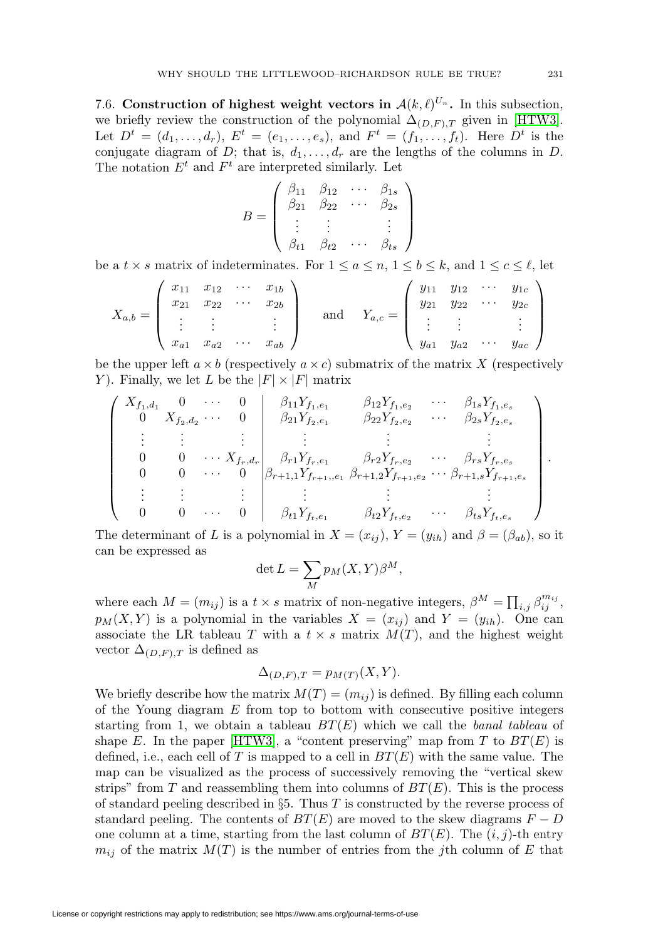<span id="page-44-0"></span>7.6. **Construction of highest weight vectors in**  $\mathcal{A}(k,\ell)^{U_n}$ **.** In this subsection, we briefly review the construction of the polynomial  $\Delta_{(D,F),T}$  given in [\[HTW3\]](#page-47-2). Let  $D^t = (d_1, ..., d_r)$ ,  $E^t = (e_1, ..., e_s)$ , and  $F^t = (f_1, ..., f_t)$ . Here  $D^t$  is the conjugate diagram of D; that is,  $d_1, \ldots, d_r$  are the lengths of the columns in D. The notation  $E^t$  and  $F^t$  are interpreted similarly. Let

$$
B = \left(\begin{array}{cccc} \beta_{11} & \beta_{12} & \cdots & \beta_{1s} \\ \beta_{21} & \beta_{22} & \cdots & \beta_{2s} \\ \vdots & \vdots & & \vdots \\ \beta_{t1} & \beta_{t2} & \cdots & \beta_{ts} \end{array}\right)
$$

be a  $t \times s$  matrix of indeterminates. For  $1 \le a \le n, 1 \le b \le k$ , and  $1 \le c \le \ell$ , let

$$
X_{a,b} = \begin{pmatrix} x_{11} & x_{12} & \cdots & x_{1b} \\ x_{21} & x_{22} & \cdots & x_{2b} \\ \vdots & \vdots & & \vdots \\ x_{a1} & x_{a2} & \cdots & x_{ab} \end{pmatrix} \text{ and } Y_{a,c} = \begin{pmatrix} y_{11} & y_{12} & \cdots & y_{1c} \\ y_{21} & y_{22} & \cdots & y_{2c} \\ \vdots & \vdots & & \vdots \\ y_{a1} & y_{a2} & \cdots & y_{ac} \end{pmatrix}
$$

be the upper left  $a \times b$  (respectively  $a \times c$ ) submatrix of the matrix X (respectively Y). Finally, we let L be the  $|F| \times |F|$  matrix

$$
\begin{pmatrix}\nX_{f_1,d_1} & 0 & \cdots & 0 & \beta_{11}Y_{f_1,e_1} & \beta_{12}Y_{f_1,e_2} & \cdots & \beta_{1s}Y_{f_1,e_s} \\
0 & X_{f_2,d_2} & \cdots & 0 & \beta_{21}Y_{f_2,e_1} & \beta_{22}Y_{f_2,e_2} & \cdots & \beta_{2s}Y_{f_2,e_s} \\
\vdots & \vdots & \vdots & \vdots & \vdots & \vdots \\
0 & 0 & \cdots & X_{f_r,d_r} & \beta_{r1}Y_{f_r,e_1} & \beta_{r2}Y_{f_r,e_2} & \cdots & \beta_{rs}Y_{f_r,e_s} \\
0 & 0 & \cdots & 0 & \beta_{r+1,1}Y_{f_{r+1},e_1} & \beta_{r+1,2}Y_{f_{r+1},e_2} & \cdots & \beta_{r+1,s}Y_{f_{r+1},e_s} \\
\vdots & \vdots & \vdots & \vdots & \vdots & \vdots \\
0 & 0 & \cdots & 0 & \beta_{t1}Y_{f_t,e_1} & \beta_{t2}Y_{f_t,e_2} & \cdots & \beta_{ts}Y_{f_t,e_s}\n\end{pmatrix}.
$$

The determinant of L is a polynomial in  $X = (x_{ij})$ ,  $Y = (y_{ih})$  and  $\beta = (\beta_{ab})$ , so it can be expressed as

$$
\det L = \sum_{M} p_M(X, Y) \beta^M,
$$

where each  $M = (m_{ij})$  is a  $t \times s$  matrix of non-negative integers,  $\beta^{M} = \prod_{i,j} \beta_{ij}^{m_{ij}}$ ,  $p_M(X, Y)$  is a polynomial in the variables  $X = (x_{ij})$  and  $Y = (y_{ih})$ . One can associate the LR tableau T with a  $t \times s$  matrix  $M(T)$ , and the highest weight vector  $\Delta_{(D,F),T}$  is defined as

$$
\Delta_{(D,F),T} = p_{M(T)}(X,Y).
$$

We briefly describe how the matrix  $M(T)=(m_{ij})$  is defined. By filling each column of the Young diagram  $E$  from top to bottom with consecutive positive integers starting from 1, we obtain a tableau  $BT(E)$  which we call the banal tableau of shape E. In the paper [\[HTW3\]](#page-47-2), a "content preserving" map from T to  $BT(E)$  is defined, i.e., each cell of T is mapped to a cell in  $BT(E)$  with the same value. The map can be visualized as the process of successively removing the "vertical skew strips" from T and reassembling them into columns of  $BT(E)$ . This is the process of standard peeling described in  $\S5$ . Thus T is constructed by the reverse process of standard peeling. The contents of  $BT(E)$  are moved to the skew diagrams  $F - D$ one column at a time, starting from the last column of  $BT(E)$ . The  $(i, j)$ -th entry  $m_{ij}$  of the matrix  $M(T)$  is the number of entries from the jth column of E that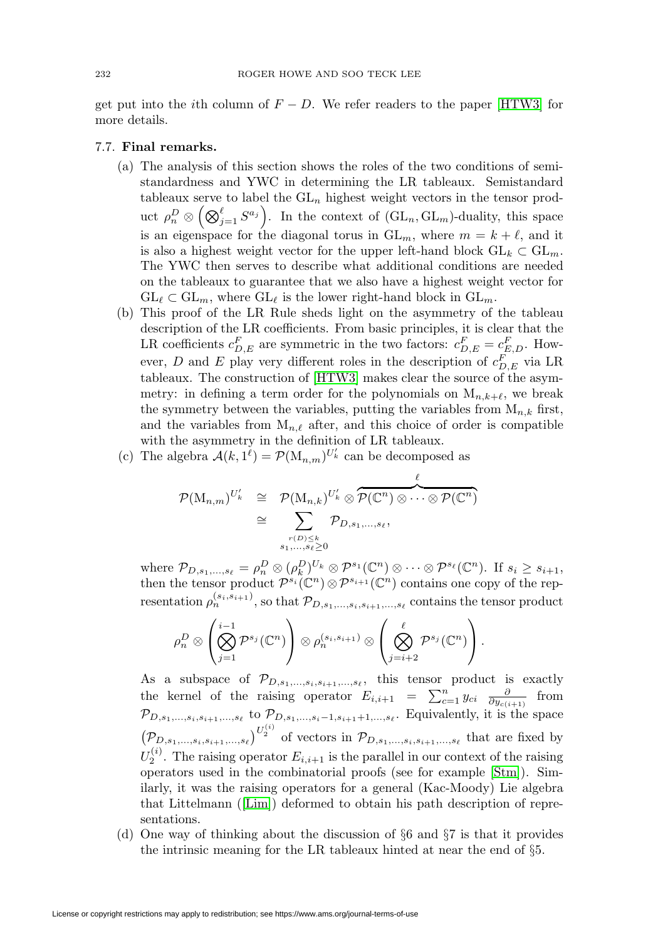get put into the *i*th column of  $F - D$ . We refer readers to the paper [\[HTW3\]](#page-47-2) for more details.

# 7.7. **Final remarks.**

- (a) The analysis of this section shows the roles of the two conditions of semistandardness and YWC in determining the LR tableaux. Semistandard tableaux serve to label the  $GL_n$  highest weight vectors in the tensor product  $\rho_n^D \otimes \left( \bigotimes_{j=1}^\ell S^{a_j} \right)$ . In the context of  $(\mathrm{GL}_n, \mathrm{GL}_m)$ -duality, this space is an eigenspace for the diagonal torus in  $GL_m$ , where  $m = k + \ell$ , and it is also a highest weight vector for the upper left-hand block  $GL_k \subset GL_m$ . The YWC then serves to describe what additional conditions are needed on the tableaux to guarantee that we also have a highest weight vector for  $GL_{\ell} \subset GL_m$ , where  $GL_{\ell}$  is the lower right-hand block in  $GL_m$ .
- (b) This proof of the LR Rule sheds light on the asymmetry of the tableau description of the LR coefficients. From basic principles, it is clear that the LR coefficients  $c_{D,E}^F$  are symmetric in the two factors:  $c_{D,E}^F = c_{E,D}^F$ . However, D and E play very different roles in the description of  $c_{D,E}^F$  via LR tableaux. The construction of [\[HTW3\]](#page-47-2) makes clear the source of the asymmetry: in defining a term order for the polynomials on  $M_{n,k+\ell}$ , we break the symmetry between the variables, putting the variables from  $M_{n,k}$  first, and the variables from  $M_{n,\ell}$  after, and this choice of order is compatible with the asymmetry in the definition of LR tableaux.

(c) The algebra  $\mathcal{A}(k, 1^{\ell}) = \mathcal{P}(\mathbf{M}_{n,m})^{U'_{k}}$  can be decomposed as

$$
\begin{array}{rcl}\mathcal{P}(\mathrm{M}_{n,m})^{U'_{k}} & \cong & \mathcal{P}(\mathrm{M}_{n,k})^{U'_{k}} \otimes \overbrace{\mathcal{P}(\mathbb{C}^{n}) \otimes \cdots \otimes \mathcal{P}(\mathbb{C}^{n})}^{\ell} \\ & \cong & \sum\limits_{r(D) \leq k} \mathcal{P}_{D, s_{1}, \ldots, s_{\ell}}, \\ & _{s_{1}, \ldots, s_{\ell} \geq 0}\end{array}
$$

where  $\mathcal{P}_{D,s_1,...,s_\ell} = \rho_n^D \otimes (\rho_k^D)^{U_k} \otimes \mathcal{P}^{s_1}(\mathbb{C}^n) \otimes \cdots \otimes \mathcal{P}^{s_\ell}(\mathbb{C}^n)$ . If  $s_i \geq s_{i+1}$ , then the tensor product  $\mathcal{P}^{s_i}(\mathbb{C}^n) \otimes \mathcal{P}^{s_{i+1}}(\mathbb{C}^n)$  contains one copy of the representation  $\rho_n^{(s_i,s_{i+1})}$ , so that  $\mathcal{P}_{D,s_1,...,s_i,s_{i+1},...,s_\ell}$  contains the tensor product

$$
\rho_n^D \otimes \left( \bigotimes_{j=1}^{i-1} \mathcal{P}^{s_j}(\mathbb{C}^n) \right) \otimes \rho_n^{(s_i, s_{i+1})} \otimes \left( \bigotimes_{j=i+2}^{\ell} \mathcal{P}^{s_j}(\mathbb{C}^n) \right).
$$

As a subspace of  $\mathcal{P}_{D,s_1,...,s_i,s_{i+1},...,s_{\ell}}$ , this tensor product is exactly the kernel of the raising operator  $E_{i,i+1} = \sum_{c=1}^{n} y_{ci} \frac{\partial}{\partial y_{c(i+1)}}$  from  $\mathcal{P}_{D,s_1,...,s_i,s_{i+1},...,s_\ell}$  to  $\mathcal{P}_{D,s_1,...,s_i-1,s_{i+1}+1,...,s_\ell}$ . Equivalently, it is the space  $(\mathcal{P}_{D,s_1,\ldots,s_i,s_{i+1},\ldots,s_\ell})^{U_2^{(i)}}$  of vectors in  $\mathcal{P}_{D,s_1,\ldots,s_i,s_{i+1},\ldots,s_\ell}$  that are fixed by  $U_2^{(i)}$ . The raising operator  $E_{i,i+1}$  is the parallel in our context of the raising operators used in the combinatorial proofs (see for example [\[Stm\]](#page-48-6)). Similarly, it was the raising operators for a general (Kac-Moody) Lie algebra that Littelmann ([\[Lim\]](#page-48-8)) deformed to obtain his path description of representations.

(d) One way of thinking about the discussion of  $\S6$  and  $\S7$  is that it provides the intrinsic meaning for the LR tableaux hinted at near the end of §5.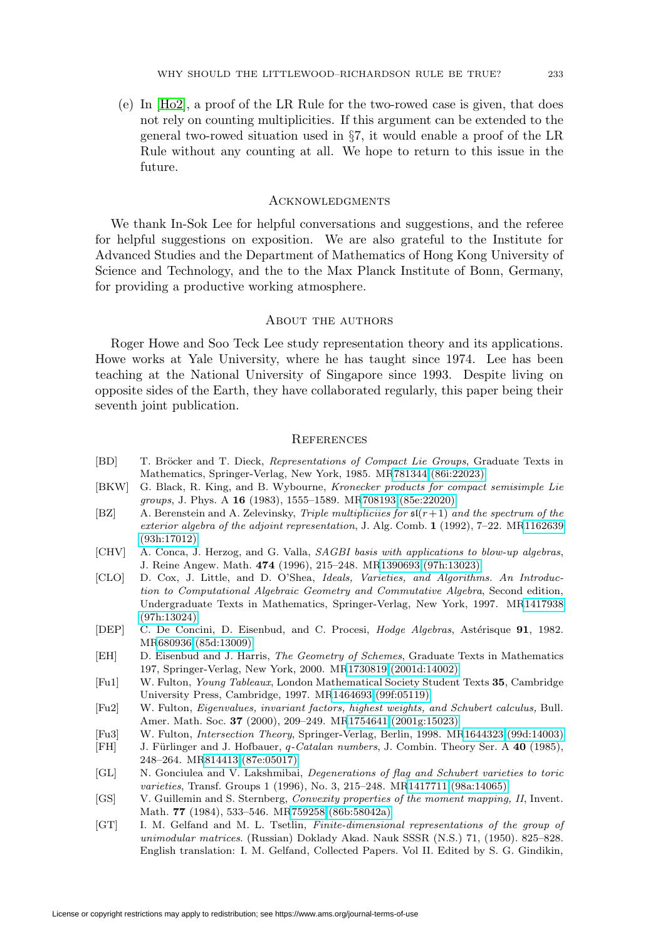(e) In [\[Ho2\]](#page-47-11), a proof of the LR Rule for the two-rowed case is given, that does not rely on counting multiplicities. If this argument can be extended to the general two-rowed situation used in §7, it would enable a proof of the LR Rule without any counting at all. We hope to return to this issue in the future.

#### **ACKNOWLEDGMENTS**

We thank In-Sok Lee for helpful conversations and suggestions, and the referee for helpful suggestions on exposition. We are also grateful to the Institute for Advanced Studies and the Department of Mathematics of Hong Kong University of Science and Technology, and the to the Max Planck Institute of Bonn, Germany, for providing a productive working atmosphere.

# About the authors

Roger Howe and Soo Teck Lee study representation theory and its applications. Howe works at Yale University, where he has taught since 1974. Lee has been teaching at the National University of Singapore since 1993. Despite living on opposite sides of the Earth, they have collaborated regularly, this paper being their seventh joint publication.

#### **REFERENCES**

- <span id="page-46-6"></span>[BD] T. Bröcker and T. Dieck, Representations of Compact Lie Groups, Graduate Texts in Mathematics, Springer-Verlag, New York, 1985. M[R781344 \(86i:22023\)](http://www.ams.org/mathscinet-getitem?mr=781344)
- <span id="page-46-2"></span>[BKW] G. Black, R. King, and B. Wybourne, Kronecker products for compact semisimple Lie groups, J. Phys. A **16** (1983), 1555–1589. M[R708193 \(85e:22020\)](http://www.ams.org/mathscinet-getitem?mr=708193)
- <span id="page-46-13"></span>[BZ] A. Berenstein and A. Zelevinsky, Triple multiplicities for  $\mathfrak{sl}(r+1)$  and the spectrum of the exterior algebra of the adjoint representation, J. Alg. Comb. **1** (1992), 7–22. M[R1162639](http://www.ams.org/mathscinet-getitem?mr=1162639) [\(93h:17012\)](http://www.ams.org/mathscinet-getitem?mr=1162639)
- <span id="page-46-11"></span>[CHV] A. Conca, J. Herzog, and G. Valla, SAGBI basis with applications to blow-up algebras, J. Reine Angew. Math. **474** (1996), 215–248. M[R1390693 \(97h:13023\)](http://www.ams.org/mathscinet-getitem?mr=1390693)
- <span id="page-46-8"></span>[CLO] D. Cox, J. Little, and D. O'Shea, Ideals, Varieties, and Algorithms. An Introduction to Computational Algebraic Geometry and Commutative Algebra, Second edition, Undergraduate Texts in Mathematics, Springer-Verlag, New York, 1997. M[R1417938](http://www.ams.org/mathscinet-getitem?mr=1417938) [\(97h:13024\)](http://www.ams.org/mathscinet-getitem?mr=1417938)
- <span id="page-46-9"></span>[DEP] C. De Concini, D. Eisenbud, and C. Procesi, *Hodge Algebras*, Astérisque 91, 1982. M[R680936 \(85d:13009\)](http://www.ams.org/mathscinet-getitem?mr=680936)
- <span id="page-46-10"></span>[EH] D. Eisenbud and J. Harris, The Geometry of Schemes, Graduate Texts in Mathematics 197, Springer-Verlag, New York, 2000. M[R1730819 \(2001d:14002\)](http://www.ams.org/mathscinet-getitem?mr=1730819)
- <span id="page-46-0"></span>[Fu1] W. Fulton, Young Tableaux, London Mathematical Society Student Texts **35**, Cambridge University Press, Cambridge, 1997. M[R1464693 \(99f:05119\)](http://www.ams.org/mathscinet-getitem?mr=1464693)
- <span id="page-46-1"></span>[Fu2] W. Fulton, Eigenvalues, invariant factors, highest weights, and Schubert calculus, Bull. Amer. Math. Soc. **37** (2000), 209–249. M[R1754641 \(2001g:15023\)](http://www.ams.org/mathscinet-getitem?mr=1754641)
- <span id="page-46-3"></span>[Fu3] W. Fulton, Intersection Theory, Springer-Verlag, Berlin, 1998. M[R1644323 \(99d:14003\)](http://www.ams.org/mathscinet-getitem?mr=1644323)
- <span id="page-46-5"></span>[FH] J. Fürlinger and J. Hofbauer, q-Catalan numbers, J. Combin. Theory Ser. A 40 (1985), 248–264. M[R814413 \(87e:05017\)](http://www.ams.org/mathscinet-getitem?mr=814413)
- <span id="page-46-7"></span>[GL] N. Gonciulea and V. Lakshmibai, Degenerations of flag and Schubert varieties to toric varieties, Transf. Groups 1 (1996), No. 3, 215–248. M[R1417711 \(98a:14065\)](http://www.ams.org/mathscinet-getitem?mr=1417711)
- <span id="page-46-4"></span>[GS] V. Guillemin and S. Sternberg, Convexity properties of the moment mapping, II, Invent. Math. **77** (1984), 533–546. M[R759258 \(86b:58042a\)](http://www.ams.org/mathscinet-getitem?mr=759258)
- <span id="page-46-12"></span>[GT] I. M. Gelfand and M. L. Tsetlin, Finite-dimensional representations of the group of unimodular matrices. (Russian) Doklady Akad. Nauk SSSR (N.S.) 71, (1950). 825–828. English translation: I. M. Gelfand, Collected Papers. Vol II. Edited by S. G. Gindikin,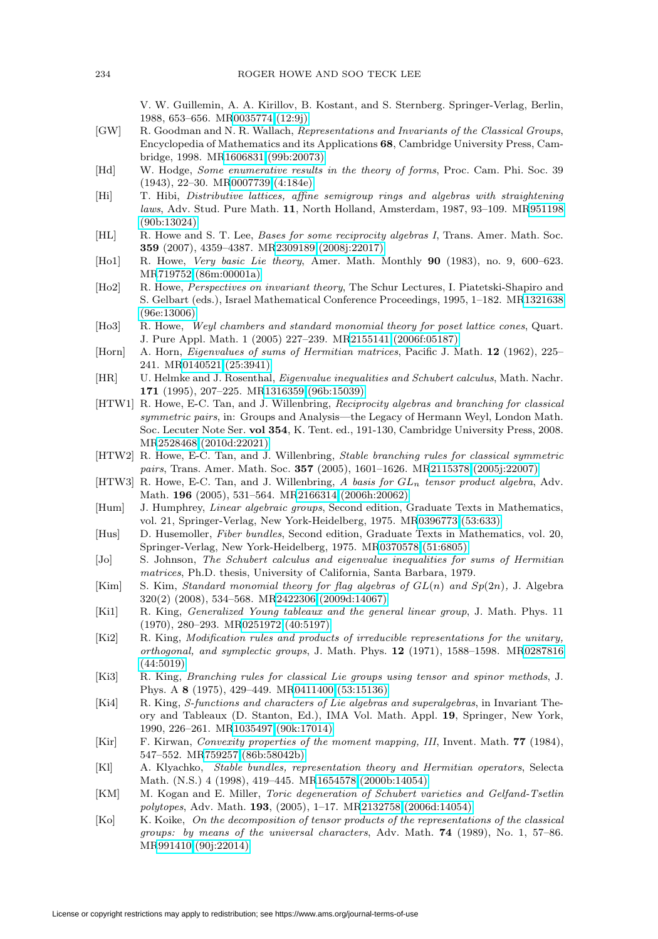V. W. Guillemin, A. A. Kirillov, B. Kostant, and S. Sternberg. Springer-Verlag, Berlin, 1988, 653–656. M[R0035774 \(12:9j\)](http://www.ams.org/mathscinet-getitem?mr=0035774)

- <span id="page-47-10"></span>[GW] R. Goodman and N. R. Wallach, Representations and Invariants of the Classical Groups, Encyclopedia of Mathematics and its Applications **68**, Cambridge University Press, Cambridge, 1998. M[R1606831 \(99b:20073\)](http://www.ams.org/mathscinet-getitem?mr=1606831)
- <span id="page-47-19"></span>[Hd] W. Hodge, Some enumerative results in the theory of forms, Proc. Cam. Phi. Soc. 39 (1943), 22–30. M[R0007739 \(4:184e\)](http://www.ams.org/mathscinet-getitem?mr=0007739)
- <span id="page-47-21"></span>[Hi] T. Hibi, Distributive lattices, affine semigroup rings and algebras with straightening laws, Adv. Stud. Pure Math. **11**, North Holland, Amsterdam, 1987, 93–109. M[R951198](http://www.ams.org/mathscinet-getitem?mr=951198) [\(90b:13024\)](http://www.ams.org/mathscinet-getitem?mr=951198)
- <span id="page-47-3"></span>[HL] R. Howe and S. T. Lee, Bases for some reciprocity algebras I, Trans. Amer. Math. Soc. **359** (2007), 4359–4387. M[R2309189 \(2008j:22017\)](http://www.ams.org/mathscinet-getitem?mr=2309189)
- <span id="page-47-17"></span>[Ho1] R. Howe, Very basic Lie theory, Amer. Math. Monthly **90** (1983), no. 9, 600–623. M[R719752 \(86m:00001a\)](http://www.ams.org/mathscinet-getitem?mr=719752)
- <span id="page-47-11"></span>[Ho2] R. Howe, Perspectives on invariant theory, The Schur Lectures, I. Piatetski-Shapiro and S. Gelbart (eds.), Israel Mathematical Conference Proceedings, 1995, 1–182. M[R1321638](http://www.ams.org/mathscinet-getitem?mr=1321638) [\(96e:13006\)](http://www.ams.org/mathscinet-getitem?mr=1321638)
- <span id="page-47-23"></span>[Ho3] R. Howe, Weyl chambers and standard monomial theory for poset lattice cones, Quart. J. Pure Appl. Math. 1 (2005) 227–239. M[R2155141 \(2006f:05187\)](http://www.ams.org/mathscinet-getitem?mr=2155141)
- <span id="page-47-13"></span>[Horn] A. Horn, Eigenvalues of sums of Hermitian matrices, Pacific J. Math. **12** (1962), 225– 241. M[R0140521 \(25:3941\)](http://www.ams.org/mathscinet-getitem?mr=0140521)
- <span id="page-47-15"></span>[HR] U. Helmke and J. Rosenthal, Eigenvalue inequalities and Schubert calculus, Math. Nachr. **171** (1995), 207–225. M[R1316359 \(96b:15039\)](http://www.ams.org/mathscinet-getitem?mr=1316359)
- <span id="page-47-1"></span>[HTW1] R. Howe, E-C. Tan, and J. Willenbring, Reciprocity algebras and branching for classical symmetric pairs, in: Groups and Analysis—the Legacy of Hermann Weyl, London Math. Soc. Lecuter Note Ser. **vol 354**, K. Tent. ed., 191-130, Cambridge University Press, 2008. M[R2528468 \(2010d:22021\)](http://www.ams.org/mathscinet-getitem?mr=2528468)
- <span id="page-47-4"></span>[HTW2] R. Howe, E-C. Tan, and J. Willenbring, *Stable branching rules for classical symmetric* pairs, Trans. Amer. Math. Soc. **357** (2005), 1601–1626. M[R2115378 \(2005j:22007\)](http://www.ams.org/mathscinet-getitem?mr=2115378)
- <span id="page-47-2"></span>[HTW3] R. Howe, E-C. Tan, and J. Willenbring, A basis for  $GL_n$  tensor product algebra, Adv. Math. **196** (2005), 531–564. M[R2166314 \(2006h:20062\)](http://www.ams.org/mathscinet-getitem?mr=2166314)
- <span id="page-47-18"></span>[Hum] J. Humphrey, Linear algebraic groups, Second edition, Graduate Texts in Mathematics, vol. 21, Springer-Verlag, New York-Heidelberg, 1975. M[R0396773 \(53:633\)](http://www.ams.org/mathscinet-getitem?mr=0396773)
- <span id="page-47-0"></span>[Hus] D. Husemoller, Fiber bundles, Second edition, Graduate Texts in Mathematics, vol. 20, Springer-Verlag, New York-Heidelberg, 1975. M[R0370578 \(51:6805\)](http://www.ams.org/mathscinet-getitem?mr=0370578)
- <span id="page-47-14"></span>[Jo] S. Johnson, The Schubert calculus and eigenvalue inequalities for sums of Hermitian matrices, Ph.D. thesis, University of California, Santa Barbara, 1979.
- <span id="page-47-20"></span>[Kim] S. Kim, Standard monomial theory for flag algebras of  $GL(n)$  and  $Sp(2n)$ , J. Algebra 320(2) (2008), 534–568. M[R2422306 \(2009d:14067\)](http://www.ams.org/mathscinet-getitem?mr=2422306)
- <span id="page-47-5"></span>[Ki1] R. King, Generalized Young tableaux and the general linear group, J. Math. Phys. 11 (1970), 280–293. M[R0251972 \(40:5197\)](http://www.ams.org/mathscinet-getitem?mr=0251972)
- <span id="page-47-6"></span>[Ki2] R. King, Modification rules and products of irreducible representations for the unitary, orthogonal, and symplectic groups, J. Math. Phys. **12** (1971), 1588–1598. M[R0287816](http://www.ams.org/mathscinet-getitem?mr=0287816) [\(44:5019\)](http://www.ams.org/mathscinet-getitem?mr=0287816)
- <span id="page-47-7"></span>[Ki3] R. King, Branching rules for classical Lie groups using tensor and spinor methods, J. Phys. A **8** (1975), 429–449. M[R0411400 \(53:15136\)](http://www.ams.org/mathscinet-getitem?mr=0411400)
- <span id="page-47-8"></span>[Ki4] R. King, S-functions and characters of Lie algebras and superalgebras, in Invariant Theory and Tableaux (D. Stanton, Ed.), IMA Vol. Math. Appl. **19**, Springer, New York, 1990, 226–261. M[R1035497 \(90k:17014\)](http://www.ams.org/mathscinet-getitem?mr=1035497)
- <span id="page-47-16"></span>[Kir] F. Kirwan, Convexity properties of the moment mapping, III, Invent. Math. **77** (1984), 547–552. M[R759257 \(86b:58042b\)](http://www.ams.org/mathscinet-getitem?mr=759257)
- <span id="page-47-12"></span>[Kl] A. Klyachko, Stable bundles, representation theory and Hermitian operators, Selecta Math. (N.S.) 4 (1998), 419–445. M[R1654578 \(2000b:14054\)](http://www.ams.org/mathscinet-getitem?mr=1654578)
- <span id="page-47-22"></span>[KM] M. Kogan and E. Miller, Toric degeneration of Schubert varieties and Gelfand-Tsetlin polytopes, Adv. Math. **193**, (2005), 1–17. M[R2132758 \(2006d:14054\)](http://www.ams.org/mathscinet-getitem?mr=2132758)
- <span id="page-47-9"></span>[Ko] K. Koike, On the decomposition of tensor products of the representations of the classical groups: by means of the universal characters, Adv. Math. **74** (1989), No. 1, 57–86. M[R991410 \(90j:22014\)](http://www.ams.org/mathscinet-getitem?mr=991410)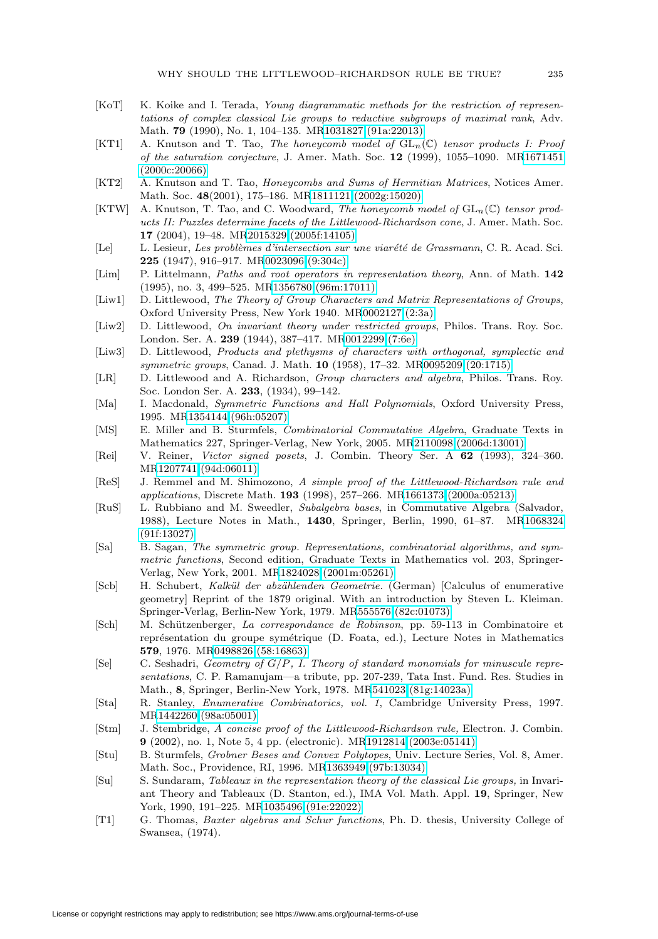- <span id="page-48-13"></span>[KoT] K. Koike and I. Terada, Young diagrammatic methods for the restriction of representations of complex classical Lie groups to reductive subgroups of maximal rank, Adv. Math. **79** (1990), No. 1, 104–135. M[R1031827 \(91a:22013\)](http://www.ams.org/mathscinet-getitem?mr=1031827)
- <span id="page-48-16"></span>[KT1] A. Knutson and T. Tao, The honeycomb model of  $GL_n(\mathbb{C})$  tensor products I: Proof of the saturation conjecture, J. Amer. Math. Soc. **12** (1999), 1055–1090. M[R1671451](http://www.ams.org/mathscinet-getitem?mr=1671451) [\(2000c:20066\)](http://www.ams.org/mathscinet-getitem?mr=1671451)
- <span id="page-48-17"></span>[KT2] A. Knutson and T. Tao, Honeycombs and Sums of Hermitian Matrices, Notices Amer. Math. Soc. **48**(2001), 175–186. M[R1811121 \(2002g:15020\)](http://www.ams.org/mathscinet-getitem?mr=1811121)
- <span id="page-48-18"></span>[KTW] A. Knutson, T. Tao, and C. Woodward, The honeycomb model of  $GL_n(\mathbb{C})$  tensor products II: Puzzles determine facets of the Littlewood-Richardson cone, J. Amer. Math. Soc. **17** (2004), 19–48. M[R2015329 \(2005f:14105\)](http://www.ams.org/mathscinet-getitem?mr=2015329)
- <span id="page-48-14"></span>[Le] L. Lesieur, Les problèmes d'intersection sur une viarété de Grassmann, C. R. Acad. Sci. **225** (1947), 916–917. M[R0023096 \(9:304c\)](http://www.ams.org/mathscinet-getitem?mr=0023096)
- <span id="page-48-8"></span>[Lim] P. Littelmann, Paths and root operators in representation theory, Ann. of Math. **142** (1995), no. 3, 499–525. M[R1356780 \(96m:17011\)](http://www.ams.org/mathscinet-getitem?mr=1356780)
- <span id="page-48-10"></span>[Liw1] D. Littlewood, The Theory of Group Characters and Matrix Representations of Groups, Oxford University Press, New York 1940. M[R0002127 \(2:3a\)](http://www.ams.org/mathscinet-getitem?mr=0002127)
- <span id="page-48-11"></span>[Liw2] D. Littlewood, On invariant theory under restricted groups, Philos. Trans. Roy. Soc. London. Ser. A. **239** (1944), 387–417. M[R0012299 \(7:6e\)](http://www.ams.org/mathscinet-getitem?mr=0012299)
- <span id="page-48-12"></span>[Liw3] D. Littlewood, Products and plethysms of characters with orthogonal, symplectic and symmetric groups, Canad. J. Math. **10** (1958), 17–32. M[R0095209 \(20:1715\)](http://www.ams.org/mathscinet-getitem?mr=0095209)
- <span id="page-48-0"></span>[LR] D. Littlewood and A. Richardson, Group characters and algebra, Philos. Trans. Roy. Soc. London Ser. A. **233**, (1934), 99–142.
- <span id="page-48-1"></span>[Ma] I. Macdonald, Symmetric Functions and Hall Polynomials, Oxford University Press, 1995. M[R1354144 \(96h:05207\)](http://www.ams.org/mathscinet-getitem?mr=1354144)
- <span id="page-48-21"></span>[MS] E. Miller and B. Sturmfels, Combinatorial Commutative Algebra, Graduate Texts in Mathematics 227, Springer-Verlag, New York, 2005. M[R2110098 \(2006d:13001\)](http://www.ams.org/mathscinet-getitem?mr=2110098)
- <span id="page-48-23"></span>[Rei] V. Reiner, Victor signed posets, J. Combin. Theory Ser. A **62** (1993), 324–360. M[R1207741 \(94d:06011\)](http://www.ams.org/mathscinet-getitem?mr=1207741)
- <span id="page-48-7"></span>[ReS] J. Remmel and M. Shimozono, A simple proof of the Littlewood-Richardson rule and applications, Discrete Math. **193** (1998), 257–266. M[R1661373 \(2000a:05213\)](http://www.ams.org/mathscinet-getitem?mr=1661373)
- <span id="page-48-9"></span>[RuS] L. Rubbiano and M. Sweedler, Subalgebra bases, in Commutative Algebra (Salvador, 1988), Lecture Notes in Math., **1430**, Springer, Berlin, 1990, 61–87. M[R1068324](http://www.ams.org/mathscinet-getitem?mr=1068324) [\(91f:13027\)](http://www.ams.org/mathscinet-getitem?mr=1068324)
- <span id="page-48-2"></span>[Sa] B. Sagan, The symmetric group. Representations, combinatorial algorithms, and symmetric functions, Second edition, Graduate Texts in Mathematics vol. 203, Springer-Verlag, New York, 2001. M[R1824028 \(2001m:05261\)](http://www.ams.org/mathscinet-getitem?mr=1824028)
- <span id="page-48-15"></span>[Scb] H. Schubert, Kalkül der abzählenden Geometrie. (German) [Calculus of enumerative geometry] Reprint of the 1879 original. With an introduction by Steven L. Kleiman. Springer-Verlag, Berlin-New York, 1979. M[R555576 \(82c:01073\)](http://www.ams.org/mathscinet-getitem?mr=555576)
- <span id="page-48-4"></span>[Sch] M. Sch¨utzenberger, La correspondance de Robinson, pp. 59-113 in Combinatoire et représentation du groupe symétrique (D. Foata, ed.), Lecture Notes in Mathematics **579**, 1976. M[R0498826 \(58:16863\)](http://www.ams.org/mathscinet-getitem?mr=0498826)
- <span id="page-48-22"></span> $[Se]$  C. Seshadri, Geometry of  $G/P$ , I. Theory of standard monomials for minuscule representations, C. P. Ramanujam—a tribute, pp. 207-239, Tata Inst. Fund. Res. Studies in Math., **8**, Springer, Berlin-New York, 1978. M[R541023 \(81g:14023a\)](http://www.ams.org/mathscinet-getitem?mr=541023)
- <span id="page-48-19"></span>[Sta] R. Stanley, Enumerative Combinatorics, vol. 1, Cambridge University Press, 1997. M[R1442260 \(98a:05001\)](http://www.ams.org/mathscinet-getitem?mr=1442260)
- <span id="page-48-6"></span>[Stm] J. Stembridge, A concise proof of the Littlewood-Richardson rule, Electron. J. Combin. **9** (2002), no. 1, Note 5, 4 pp. (electronic). M[R1912814 \(2003e:05141\)](http://www.ams.org/mathscinet-getitem?mr=1912814)
- <span id="page-48-20"></span>[Stu] B. Sturmfels, Grobner Beses and Convex Polytopes, Univ. Lecture Series, Vol. 8, Amer. Math. Soc., Providence, RI, 1996. M[R1363949 \(97b:13034\)](http://www.ams.org/mathscinet-getitem?mr=1363949)
- <span id="page-48-3"></span>[Su] S. Sundaram, Tableaux in the representation theory of the classical Lie groups, in Invariant Theory and Tableaux (D. Stanton, ed.), IMA Vol. Math. Appl. **19**, Springer, New York, 1990, 191–225. M[R1035496 \(91e:22022\)](http://www.ams.org/mathscinet-getitem?mr=1035496)
- <span id="page-48-5"></span>[T1] G. Thomas, Baxter algebras and Schur functions, Ph. D. thesis, University College of Swansea, (1974).